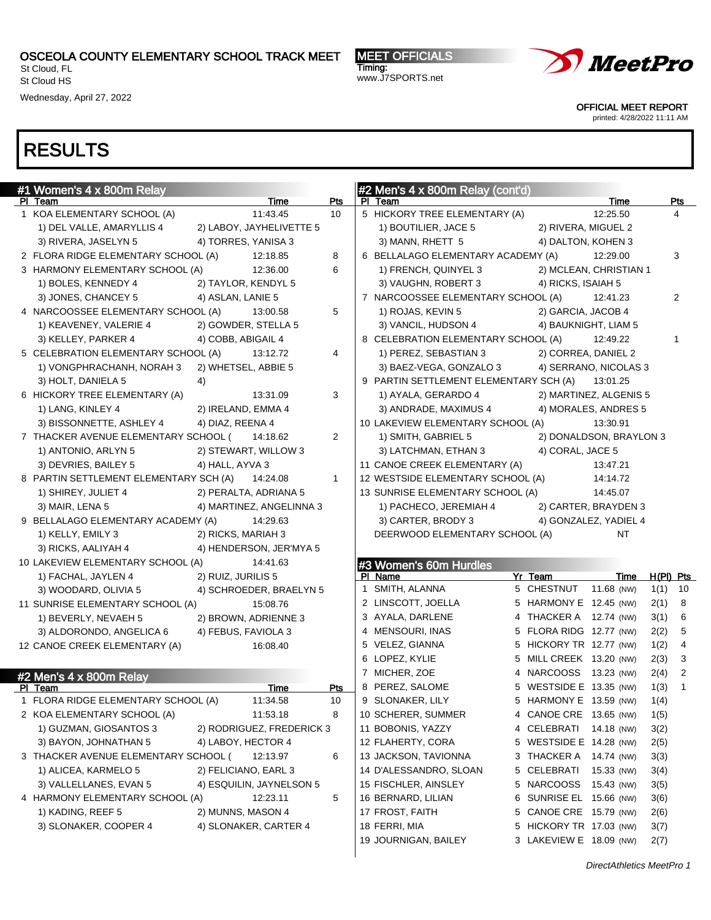St Cloud, FL St Cloud HS

Wednesday, April 27, 2022

MEET OFFICIALS Timing: www.J7SPORTS.net



OFFICIAL MEET REPORT

printed: 4/28/2022 11:11 AM

| #1 Women's 4 x 800m Relay                             |                            | #2 Men's 4 x 800m Relay (cont'd)                         |                |
|-------------------------------------------------------|----------------------------|----------------------------------------------------------|----------------|
| PI Team                                               | Time<br>Pts<br>10          | PI Team<br>Time<br>12:25.50                              | Pts<br>4       |
| 1 KOA ELEMENTARY SCHOOL (A)                           | 11:43.45                   | 5 HICKORY TREE ELEMENTARY (A)                            |                |
| 1) DEL VALLE, AMARYLLIS 4<br>2) LABOY, JAYHELIVETTE 5 |                            | 1) BOUTILIER, JACE 5<br>2) RIVERA, MIGUEL 2              |                |
| 3) RIVERA, JASELYN 5<br>4) TORRES, YANISA 3           |                            | 3) MANN, RHETT 5<br>4) DALTON, KOHEN 3                   |                |
| 2 FLORA RIDGE ELEMENTARY SCHOOL (A)                   | 12:18.85<br>8              | 6 BELLALAGO ELEMENTARY ACADEMY (A)<br>12:29.00           | 3              |
| 3 HARMONY ELEMENTARY SCHOOL (A)                       | 6<br>12:36.00              | 1) FRENCH, QUINYEL 3<br>2) MCLEAN, CHRISTIAN 1           |                |
| 1) BOLES, KENNEDY 4<br>2) TAYLOR, KENDYL 5            |                            | 3) VAUGHN, ROBERT 3<br>4) RICKS, ISAIAH 5                |                |
| 3) JONES, CHANCEY 5<br>4) ASLAN, LANIE 5              |                            | 7 NARCOOSSEE ELEMENTARY SCHOOL (A)<br>12:41.23           | 2              |
| 4 NARCOOSSEE ELEMENTARY SCHOOL (A)                    | 5<br>13:00.58              | 1) ROJAS, KEVIN 5<br>2) GARCIA, JACOB 4                  |                |
| 1) KEAVENEY, VALERIE 4<br>2) GOWDER, STELLA 5         |                            | 3) VANCIL, HUDSON 4<br>4) BAUKNIGHT, LIAM 5              |                |
| 3) KELLEY, PARKER 4<br>4) COBB, ABIGAIL 4             |                            | 8 CELEBRATION ELEMENTARY SCHOOL (A)<br>12:49.22          | $\mathbf{1}$   |
| 5 CELEBRATION ELEMENTARY SCHOOL (A)                   | $\overline{4}$<br>13:12.72 | 2) CORREA, DANIEL 2<br>1) PEREZ, SEBASTIAN 3             |                |
| 2) WHETSEL, ABBIE 5<br>1) VONGPHRACHANH, NORAH 3      |                            | 3) BAEZ-VEGA, GONZALO 3<br>4) SERRANO, NICOLAS 3         |                |
| 3) HOLT, DANIELA 5<br>4)                              |                            | 9 PARTIN SETTLEMENT ELEMENTARY SCH (A)<br>13:01.25       |                |
| 6 HICKORY TREE ELEMENTARY (A)                         | 3<br>13:31.09              | 1) AYALA, GERARDO 4<br>2) MARTINEZ, ALGENIS 5            |                |
| 1) LANG, KINLEY 4<br>2) IRELAND, EMMA 4               |                            | 3) ANDRADE, MAXIMUS 4<br>4) MORALES, ANDRES 5            |                |
| 3) BISSONNETTE, ASHLEY 4<br>4) DIAZ, REENA 4          |                            | 10 LAKEVIEW ELEMENTARY SCHOOL (A)<br>13:30.91            |                |
| 7 THACKER AVENUE ELEMENTARY SCHOOL (                  | $\overline{2}$<br>14:18.62 | 1) SMITH, GABRIEL 5<br>2) DONALDSON, BRAYLON 3           |                |
| 1) ANTONIO, ARLYN 5<br>2) STEWART, WILLOW 3           |                            | 4) CORAL, JACE 5<br>3) LATCHMAN, ETHAN 3                 |                |
| 3) DEVRIES, BAILEY 5<br>4) HALL, AYVA 3               |                            | 11 CANOE CREEK ELEMENTARY (A)<br>13:47.21                |                |
| 8 PARTIN SETTLEMENT ELEMENTARY SCH (A)                | 14:24.08<br>$\mathbf{1}$   | 12 WESTSIDE ELEMENTARY SCHOOL (A)<br>14:14.72            |                |
| 1) SHIREY, JULIET 4<br>2) PERALTA, ADRIANA 5          |                            | 13 SUNRISE ELEMENTARY SCHOOL (A)<br>14:45.07             |                |
| 3) MAIR, LENA 5<br>4) MARTINEZ, ANGELINNA 3           |                            | 1) PACHECO, JEREMIAH 4<br>2) CARTER, BRAYDEN 3           |                |
| 9 BELLALAGO ELEMENTARY ACADEMY (A)                    | 14:29.63                   | 3) CARTER, BRODY 3<br>4) GONZALEZ, YADIEL 4              |                |
| 2) RICKS, MARIAH 3<br>1) KELLY, EMILY 3               |                            | DEERWOOD ELEMENTARY SCHOOL (A)<br>NT                     |                |
| 3) RICKS, AALIYAH 4<br>4) HENDERSON, JER'MYA 5        |                            |                                                          |                |
| 10 LAKEVIEW ELEMENTARY SCHOOL (A)                     | 14 41 63                   | #3 Women's 60m Hurdles                                   |                |
| 2) RUIZ, JURILIS 5<br>1) FACHAL, JAYLEN 4             |                            | Yr Team<br>PI Name<br>Time                               | $H(PI)$ Pts    |
| 3) WOODARD, OLIVIA 5<br>4) SCHROEDER, BRAELYN 5       |                            | 1 SMITH, ALANNA<br>5 CHESTNUT<br>11.68 (NW)              | $1(1)$ 10      |
| 11 SUNRISE ELEMENTARY SCHOOL (A)                      | 15:08.76                   | 2 LINSCOTT, JOELLA<br>5 HARMONY E 12.45 (NW)<br>2(1)     | 8              |
| 2) BROWN, ADRIENNE 3<br>1) BEVERLY, NEVAEH 5          |                            | 3 AYALA, DARLENE<br>4 THACKER A 12.74 (NW)<br>3(1)       | 6              |
| 3) ALDORONDO, ANGELICA 6<br>4) FEBUS, FAVIOLA 3       |                            | 4 MENSOURI, INAS<br>5 FLORA RIDG 12.77 (NW)<br>2(2)      | 5              |
| 12 CANOE CREEK ELEMENTARY (A)                         | 16:08.40                   | 5 VELEZ, GIANNA<br>5 HICKORY TR 12.77 (NW)<br>1(2)       | 4              |
|                                                       |                            | 6 LOPEZ, KYLIE<br>5 MILL CREEK 13.20 (NW)<br>2(3)        | 3              |
| #2 Men's 4 x 800m Relay                               |                            | 7 MICHER, ZOE<br>4 NARCOOSS 13.23 (NW)<br>2(4)           | $\overline{2}$ |
| PI Team                                               | <b>Time</b><br><b>Pts</b>  | 8 PEREZ, SALOME<br>5 WESTSIDE E 13.35 (NW)<br>1(3)       | 1              |
| 1 FLORA RIDGE ELEMENTARY SCHOOL (A)                   | 11:34.58<br>10             | 9 SLONAKER, LILY<br>5 HARMONY E 13.59 (NW)<br>1(4)       |                |
| 2 KOA ELEMENTARY SCHOOL (A)                           | 8<br>11:53.18              | 10 SCHERER, SUMMER<br>4 CANOE CRE 13.65 (NW)<br>1(5)     |                |
| 1) GUZMAN, GIOSANTOS 3                                | 2) RODRIGUEZ, FREDERICK 3  | 11 BOBONIS, YAZZY<br>4 CELEBRATI 14.18 (NW)<br>3(2)      |                |
| 3) BAYON, JOHNATHAN 5<br>4) LABOY, HECTOR 4           |                            | 12 FLAHERTY, CORA<br>5 WESTSIDE E 14.28 (NW)<br>2(5)     |                |
| 3 THACKER AVENUE ELEMENTARY SCHOOL (                  | 6<br>12:13.97              | 13 JACKSON, TAVIONNA<br>3 THACKER A 14.74 (NW)<br>3(3)   |                |
| 1) ALICEA, KARMELO 5<br>2) FELICIANO, EARL 3          |                            | 14 D'ALESSANDRO, SLOAN<br>5 CELEBRATI 15.33 (NW)<br>3(4) |                |
| 3) VALLELLANES, EVAN 5<br>4) ESQUILIN, JAYNELSON 5    |                            | 15 FISCHLER, AINSLEY<br>5 NARCOOSS 15.43 (NW)<br>3(5)    |                |
| 4 HARMONY ELEMENTARY SCHOOL (A)                       | 12:23.11<br>5              | 16 BERNARD, LILIAN<br>6 SUNRISE EL 15.66 (NW)<br>3(6)    |                |
| 2) MUNNS, MASON 4<br>1) KADING, REEF 5                |                            | 17 FROST, FAITH<br>5 CANOE CRE 15.79 (NW)<br>2(6)        |                |
| 3) SLONAKER, COOPER 4<br>4) SLONAKER, CARTER 4        |                            | 18 FERRI, MIA<br>5 HICKORY TR 17.03 (NW)<br>3(7)         |                |
|                                                       |                            |                                                          |                |
|                                                       |                            | 19 JOURNIGAN, BAILEY<br>3 LAKEVIEW E 18.09 (NW)<br>2(7)  |                |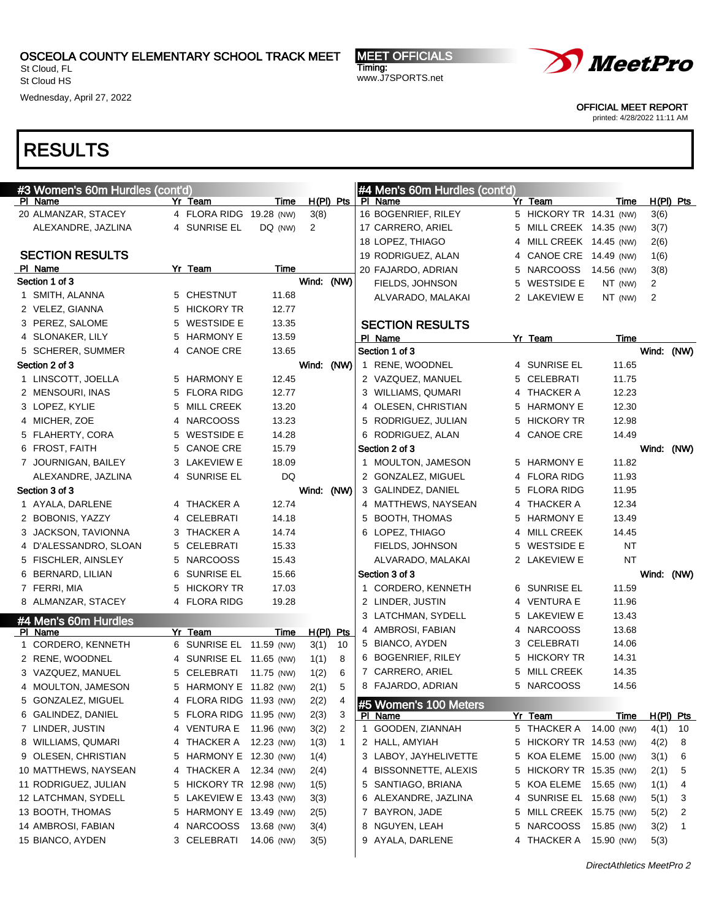St Cloud, FL St Cloud HS

Wednesday, April 27, 2022

MEET OFFICIALS Timing: www.J7SPORTS.net



OFFICIAL MEET REPORT

printed: 4/28/2022 11:11 AM

## RESULTS

| #3 Women's 60m Hurdles (cont'd) |   |                                                  |            |            |             |              | #4 Men's 60m Hurdles (cont'd) |                                   |             |             |      |
|---------------------------------|---|--------------------------------------------------|------------|------------|-------------|--------------|-------------------------------|-----------------------------------|-------------|-------------|------|
| PI Name                         |   | Yr Team                                          | Time       |            | $H(PI)$ Pts |              | PI Name                       | Yr Team                           | Time        | $H(PI)$ Pts |      |
| 20 ALMANZAR, STACEY             |   | 4 FLORA RIDG 19.28 (NW)                          |            | 3(8)       |             |              | 16 BOGENRIEF, RILEY           | 5 HICKORY TR 14.31 (NW)           |             | 3(6)        |      |
| ALEXANDRE, JAZLINA              |   | 4 SUNRISE EL                                     | DQ (NW)    | 2          |             |              | 17 CARRERO, ARIEL             | 5 MILL CREEK 14.35 (NW)           |             | 3(7)        |      |
|                                 |   |                                                  |            |            |             |              | 18 LOPEZ, THIAGO              | 4 MILL CREEK 14.45 (NW)           |             | 2(6)        |      |
| <b>SECTION RESULTS</b>          |   |                                                  |            |            |             |              | 19 RODRIGUEZ, ALAN            | 4 CANOE CRE 14.49 (NW)            |             | 1(6)        |      |
| PI Name                         |   | Yr Team                                          | Time       |            |             |              | 20 FAJARDO, ADRIAN            | 5 NARCOOSS                        | 14.56 (NW)  | 3(8)        |      |
| Section 1 of 3                  |   |                                                  |            | Wind: (NW) |             |              | FIELDS, JOHNSON               | 5 WESTSIDE E                      | $NT$ (NW)   | 2           |      |
| 1 SMITH, ALANNA                 |   | 5 CHESTNUT                                       | 11.68      |            |             |              | ALVARADO, MALAKAI             | 2 LAKEVIEW E                      | NT (NW)     | 2           |      |
| 2 VELEZ, GIANNA                 |   | 5 HICKORY TR                                     | 12.77      |            |             |              |                               |                                   |             |             |      |
| 3 PEREZ, SALOME                 | 5 | <b>WESTSIDE E</b>                                | 13.35      |            |             |              | <b>SECTION RESULTS</b>        |                                   |             |             |      |
| 4 SLONAKER, LILY                |   | 5 HARMONY E                                      | 13.59      |            |             |              | PI Name                       | Yr Team                           | Time        |             |      |
| 5 SCHERER, SUMMER               | 4 | <b>CANOE CRE</b>                                 | 13.65      |            |             |              | Section 1 of 3                |                                   |             | Wind:       | (NW) |
| Section 2 of 3                  |   |                                                  |            | Wind: (NW) |             |              | 1 RENE, WOODNEL               | 4 SUNRISE EL                      | 11.65       |             |      |
| 1 LINSCOTT, JOELLA              |   | 5 HARMONY E                                      | 12.45      |            |             |              | 2 VAZQUEZ, MANUEL             | 5 CELEBRATI                       | 11.75       |             |      |
| 2 MENSOURI, INAS                |   | 5 FLORA RIDG                                     | 12.77      |            |             |              | 3 WILLIAMS, QUMARI            | 4 THACKER A                       | 12.23       |             |      |
| 3 LOPEZ, KYLIE                  | 5 | <b>MILL CREEK</b>                                | 13.20      |            |             |              | 4 OLESEN, CHRISTIAN           | 5 HARMONY E                       | 12.30       |             |      |
| 4 MICHER, ZOE                   | 4 | <b>NARCOOSS</b>                                  | 13.23      |            |             |              | 5 RODRIGUEZ, JULIAN           | 5 HICKORY TR                      | 12.98       |             |      |
| 5 FLAHERTY, CORA                | 5 | <b>WESTSIDE E</b>                                | 14.28      |            |             |              | 6 RODRIGUEZ, ALAN             | 4 CANOE CRE                       | 14.49       |             |      |
| 6 FROST, FAITH                  | 5 | <b>CANOE CRE</b>                                 | 15.79      |            |             |              | Section 2 of 3                |                                   |             | Wind:       | (NW) |
| 7 JOURNIGAN, BAILEY             |   | 3 LAKEVIEW E                                     | 18.09      |            |             |              | 1 MOULTON, JAMESON            | 5 HARMONY E                       | 11.82       |             |      |
| ALEXANDRE, JAZLINA              |   | 4 SUNRISE EL                                     | DQ         |            |             |              | 2 GONZALEZ, MIGUEL            | 4 FLORA RIDG                      | 11.93       |             |      |
| Section 3 of 3                  |   |                                                  |            | Wind: (NW) |             |              | 3 GALINDEZ, DANIEL            | 5 FLORA RIDG                      | 11.95       |             |      |
| 1 AYALA, DARLENE                |   | 4 THACKER A                                      | 12.74      |            |             |              | 4 MATTHEWS, NAYSEAN           | 4 THACKER A                       | 12.34       |             |      |
| 2 BOBONIS, YAZZY                |   | 4 CELEBRATI                                      | 14.18      |            |             |              | 5 BOOTH, THOMAS               | 5 HARMONY E                       | 13.49       |             |      |
| 3 JACKSON, TAVIONNA             |   | 3 THACKER A                                      | 14.74      |            |             |              | 6 LOPEZ, THIAGO               | 4 MILL CREEK                      | 14.45       |             |      |
| 4 D'ALESSANDRO, SLOAN           |   | 5 CELEBRATI                                      | 15.33      |            |             |              | FIELDS, JOHNSON               | 5 WESTSIDE E                      | <b>NT</b>   |             |      |
| 5 FISCHLER, AINSLEY             |   | 5 NARCOOSS                                       | 15.43      |            |             |              | ALVARADO, MALAKAI             | 2 LAKEVIEW E                      | ΝT          |             |      |
| 6 BERNARD, LILIAN               | 6 | SUNRISE EL                                       | 15.66      |            |             |              | Section 3 of 3                |                                   |             | Wind: (NW)  |      |
| 7 FERRI, MIA                    | 5 | <b>HICKORY TR</b>                                | 17.03      |            |             |              | 1 CORDERO, KENNETH            | 6 SUNRISE EL                      | 11.59       |             |      |
| 8 ALMANZAR, STACEY              |   | 4 FLORA RIDG                                     | 19.28      |            |             |              | 2 LINDER, JUSTIN              | 4 VENTURA E                       | 11.96       |             |      |
|                                 |   |                                                  |            |            |             |              | 3 LATCHMAN, SYDELL            | 5 LAKEVIEW E                      | 13.43       |             |      |
| #4 Men's 60m Hurdles<br>PI Name |   | Yr Team                                          | Time       |            | $H(PI)$ Pts |              | 4 AMBROSI, FABIAN             | 4 NARCOOSS                        | 13.68       |             |      |
| 1 CORDERO, KENNETH              |   | 6 SUNRISE EL 11.59 (NW)                          |            | 3(1)       | 10          |              | 5 BIANCO, AYDEN               | 3 CELEBRATI                       | 14.06       |             |      |
| 2 RENE, WOODNEL                 |   | 4 SUNRISE EL 11.65 (NW)                          |            | 1(1)       | 8           |              | 6 BOGENRIEF, RILEY            | 5 HICKORY TR                      | 14.31       |             |      |
| 3 VAZQUEZ, MANUEL               |   | 5 CELEBRATI                                      | 11.75 (NW) | 1(2)       | 6           |              | 7 CARRERO, ARIEL              | 5 MILL CREEK                      | 14.35       |             |      |
| 4 MOULTON, JAMESON              |   | 5 HARMONY E 11.82 (NW)                           |            | 2(1)       | 5           |              | 8 FAJARDO, ADRIAN             | 5 NARCOOSS                        | 14.56       |             |      |
| 5 GONZALEZ, MIGUEL              |   | 4 FLORA RIDG 11.93 (NW)                          |            | 2(2)       | 4           |              |                               |                                   |             |             |      |
| 6 GALINDEZ, DANIEL              |   | 5 FLORA RIDG 11.95 (NW)                          |            | 2(3)       | 3           |              | #5 Women's 100 Meters         |                                   |             |             |      |
| 7 LINDER, JUSTIN                |   | 4 VENTURA E 11.96 (NW)                           |            |            | 2           |              | PI Name<br>GOODEN, ZIANNAH    | Yr Team<br>5 THACKER A 14.00 (NW) | <b>Time</b> | H(PI) Pts   |      |
| 8 WILLIAMS, QUMARI              | 4 | THACKER A 12.23 (NW)                             |            | 3(2)       | 1           | $\mathbf{1}$ | 2 HALL, AMYIAH                | 5 HICKORY TR 14.53 (NW)           |             | 4(1)        | 10   |
|                                 |   |                                                  |            | 1(3)       |             |              | 3 LABOY, JAYHELIVETTE         |                                   |             | 4(2)        | 8    |
| 9 OLESEN, CHRISTIAN             |   | 5 HARMONY E 12.30 (NW)<br>4 THACKER A 12.34 (NW) |            | 1(4)       |             |              |                               | 5 KOA ELEME 15.00 (NW)            |             | 3(1)        | 6    |
| 10 MATTHEWS, NAYSEAN            |   |                                                  |            | 2(4)       |             | 4            | BISSONNETTE, ALEXIS           | 5 HICKORY TR 15.35 (NW)           |             | 2(1)        | 5    |
| 11 RODRIGUEZ, JULIAN            |   | 5 HICKORY TR 12.98 (NW)                          |            | 1(5)       |             |              | 5 SANTIAGO, BRIANA            | 5 KOA ELEME 15.65 (NW)            |             | 1(1)        | 4    |
| 12 LATCHMAN, SYDELL             |   | 5 LAKEVIEW E 13.43 (NW)                          |            | 3(3)       |             |              | 6 ALEXANDRE, JAZLINA          | 4 SUNRISE EL 15.68 (NW)           |             | 5(1)        | З    |
| 13 BOOTH, THOMAS                |   | 5 HARMONY E 13.49 (NW)                           |            | 2(5)       |             |              | 7 BAYRON, JADE                | 5 MILL CREEK 15.75 (NW)           |             | 5(2)        | 2    |
| 14 AMBROSI, FABIAN              |   | 4 NARCOOSS                                       | 13.68 (NW) | 3(4)       |             |              | 8 NGUYEN, LEAH                | 5 NARCOOSS 15.85 (NW)             |             | 3(2)        | 1    |
| 15 BIANCO, AYDEN                |   | 3 CELEBRATI                                      | 14.06 (NW) | 3(5)       |             | 9            | AYALA, DARLENE                | 4 THACKER A 15.90 (NW)            |             | 5(3)        |      |
|                                 |   |                                                  |            |            |             |              |                               |                                   |             |             |      |

DirectAthletics MeetPro 2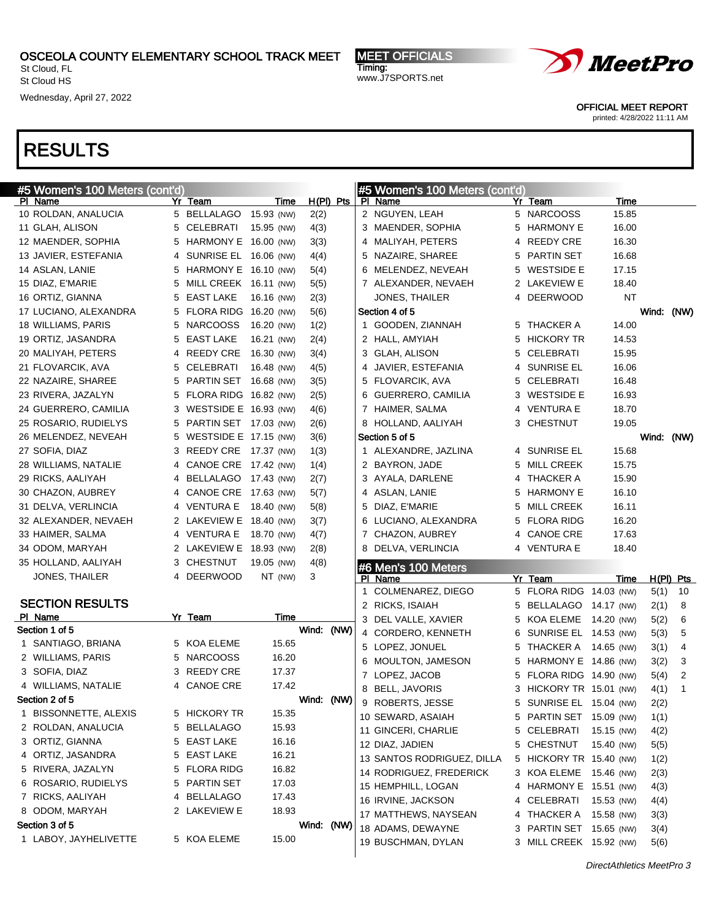St Cloud, FL St Cloud HS

Wednesday, April 27, 2022

MEET OFFICIALS Timing: www.J7SPORTS.net



OFFICIAL MEET REPORT

printed: 4/28/2022 11:11 AM

| #5 Women's 100 Meters (cont'd) |   |                       |            |             |      |   | #5 Women's 100 Meters (cont'd) |   |                         |            |              |              |
|--------------------------------|---|-----------------------|------------|-------------|------|---|--------------------------------|---|-------------------------|------------|--------------|--------------|
| PI Name                        |   | Yr Team               | Time       | $H(PI)$ Pts |      |   | PI Name                        |   | Yr Team                 | Time       |              |              |
| 10 ROLDAN, ANALUCIA            |   | 5 BELLALAGO           | 15.93 (NW) | 2(2)        |      |   | 2 NGUYEN, LEAH                 |   | 5 NARCOOSS              | 15.85      |              |              |
| 11 GLAH, ALISON                | 5 | CELEBRATI             | 15.95 (NW) | 4(3)        |      |   | 3 MAENDER, SOPHIA              |   | 5 HARMONY E             | 16.00      |              |              |
| 12 MAENDER, SOPHIA             | 5 | HARMONY E 16.00 (NW)  |            | 3(3)        |      |   | 4 MALIYAH, PETERS              |   | 4 REEDY CRE             | 16.30      |              |              |
| 13 JAVIER, ESTEFANIA           | 4 | SUNRISE EL 16.06 (NW) |            | 4(4)        |      |   | 5 NAZAIRE, SHAREE              |   | 5 PARTIN SET            | 16.68      |              |              |
| 14 ASLAN, LANIE                | 5 | HARMONY E 16.10 (NW)  |            | 5(4)        |      |   | 6 MELENDEZ, NEVEAH             | 5 | <b>WESTSIDE E</b>       | 17.15      |              |              |
| 15 DIAZ, E'MARIE               | 5 | MILL CREEK 16.11 (NW) |            | 5(5)        |      |   | 7 ALEXANDER, NEVAEH            |   | 2 LAKEVIEW E            | 18.40      |              |              |
| 16 ORTIZ, GIANNA               | 5 | <b>EAST LAKE</b>      | 16.16 (NW) | 2(3)        |      |   | JONES, THAILER                 |   | 4 DEERWOOD              | NT         |              |              |
| 17 LUCIANO, ALEXANDRA          | 5 | <b>FLORA RIDG</b>     | 16.20 (NW) | 5(6)        |      |   | Section 4 of 5                 |   |                         |            | Wind: (NW)   |              |
| 18 WILLIAMS, PARIS             | 5 | <b>NARCOOSS</b>       | 16.20 (NW) | 1(2)        |      |   | 1 GOODEN, ZIANNAH              |   | 5 THACKER A             | 14.00      |              |              |
| 19 ORTIZ, JASANDRA             | 5 | <b>EAST LAKE</b>      | 16.21 (NW) | 2(4)        |      |   | 2 HALL, AMYIAH                 |   | 5 HICKORY TR            | 14.53      |              |              |
| 20 MALIYAH, PETERS             | 4 | REEDY CRE             | 16.30 (NW) | 3(4)        |      |   | 3 GLAH, ALISON                 |   | 5 CELEBRATI             | 15.95      |              |              |
| 21 FLOVARCIK, AVA              | 5 | <b>CELEBRATI</b>      | 16.48 (NW) | 4(5)        |      |   | 4 JAVIER, ESTEFANIA            |   | 4 SUNRISE EL            | 16.06      |              |              |
| 22 NAZAIRE, SHAREE             | 5 | PARTIN SET 16.68 (NW) |            | 3(5)        |      |   | 5 FLOVARCIK, AVA               |   | 5 CELEBRATI             | 16.48      |              |              |
| 23 RIVERA, JAZALYN             | 5 | FLORA RIDG 16.82 (NW) |            | 2(5)        |      |   | 6 GUERRERO, CAMILIA            |   | 3 WESTSIDE E            | 16.93      |              |              |
| 24 GUERRERO, CAMILIA           | 3 | WESTSIDE E 16.93 (NW) |            | 4(6)        |      |   | 7 HAIMER, SALMA                |   | 4 VENTURA E             | 18.70      |              |              |
| 25 ROSARIO, RUDIELYS           | 5 | PARTIN SET 17.03 (NW) |            | 2(6)        |      |   | 8 HOLLAND, AALIYAH             |   | 3 CHESTNUT              | 19.05      |              |              |
| 26 MELENDEZ, NEVEAH            | 5 | WESTSIDE E 17.15 (NW) |            | 3(6)        |      |   | Section 5 of 5                 |   |                         |            | Wind: (NW)   |              |
| 27 SOFIA, DIAZ                 | 3 | REEDY CRE 17.37 (NW)  |            | 1(3)        |      |   | 1 ALEXANDRE, JAZLINA           |   | 4 SUNRISE EL            | 15.68      |              |              |
| 28 WILLIAMS, NATALIE           | 4 | CANOE CRE 17.42 (NW)  |            | 1(4)        |      |   | 2 BAYRON, JADE                 |   | 5 MILL CREEK            | 15.75      |              |              |
| 29 RICKS, AALIYAH              | 4 | BELLALAGO 17.43 (NW)  |            | 2(7)        |      |   | 3 AYALA, DARLENE               |   | 4 THACKER A             | 15.90      |              |              |
| 30 CHAZON, AUBREY              | 4 | CANOE CRE 17.63 (NW)  |            | 5(7)        |      |   | 4 ASLAN, LANIE                 |   | 5 HARMONY E             | 16.10      |              |              |
| 31 DELVA, VERLINCIA            | 4 | <b>VENTURA E</b>      | 18.40 (NW) | 5(8)        |      | 5 | DIAZ, E'MARIE                  |   | 5 MILL CREEK            | 16.11      |              |              |
| 32 ALEXANDER, NEVAEH           | 2 | LAKEVIEW E 18.40 (NW) |            | 3(7)        |      |   | 6 LUCIANO, ALEXANDRA           |   | 5 FLORA RIDG            | 16.20      |              |              |
| 33 HAIMER, SALMA               |   | 4 VENTURA E           | 18.70 (NW) | 4(7)        |      |   | 7 CHAZON, AUBREY               |   | 4 CANOE CRE             | 17.63      |              |              |
| 34 ODOM, MARYAH                | 2 | LAKEVIEW E 18.93 (NW) |            | 2(8)        |      |   | 8 DELVA, VERLINCIA             |   | 4 VENTURA E             | 18.40      |              |              |
| 35 HOLLAND, AALIYAH            | 3 | <b>CHESTNUT</b>       | 19.05 (NW) | 4(8)        |      |   |                                |   |                         |            |              |              |
| <b>JONES, THAILER</b>          |   | 4 DEERWOOD            | NT (NW)    | 3           |      |   | #6 Men's 100 Meters<br>PI Name |   | Yr Team                 | Time       | $H(PI)$ Pts  |              |
|                                |   |                       |            |             |      |   | COLMENAREZ, DIEGO              |   | 5 FLORA RIDG 14.03 (NW) |            | 5(1)         | 10           |
| <b>SECTION RESULTS</b>         |   |                       |            |             |      |   | 2 RICKS, ISAIAH                |   | 5 BELLALAGO 14.17 (NW)  |            | 2(1)         | 8            |
| PI Name                        |   | Yr Team               | Time       |             |      |   | 3 DEL VALLE, XAVIER            |   | 5 KOA ELEME 14.20 (NW)  |            | 5(2)         | 6            |
| Section 1 of 5                 |   |                       |            | Wind: (NW)  |      |   | 4 CORDERO, KENNETH             |   | 6 SUNRISE EL 14.53 (NW) |            | 5(3)         | 5            |
| 1 SANTIAGO, BRIANA             |   | 5 KOA ELEME           | 15.65      |             |      |   | 5 LOPEZ, JONUEL                | 5 | THACKER A 14.65 (NW)    |            | 3(1)         | 4            |
| 2 WILLIAMS, PARIS              |   | 5 NARCOOSS            | 16.20      |             |      | 6 | MOULTON, JAMESON               |   | 5 HARMONY E 14.86 (NW)  |            | 3(2)         | 3            |
| 3 SOFIA, DIAZ                  |   | 3 REEDY CRE           | 17.37      |             |      | 7 | LOPEZ, JACOB                   |   | 5 FLORA RIDG 14.90 (NW) |            | 5(4)         | 2            |
| 4 WILLIAMS, NATALIE            |   | 4 CANOE CRE           | 17.42      |             |      |   | 8 BELL, JAVORIS                |   | 3 HICKORY TR 15.01 (NW) |            | 4(1)         | $\mathbf{1}$ |
| Section 2 of 5                 |   |                       |            | Wind:       | (NW) |   | 9 ROBERTS, JESSE               |   | 5 SUNRISE EL 15.04 (NW) |            | 2(2)         |              |
| 1 BISSONNETTE, ALEXIS          |   | 5 HICKORY TR          | 15.35      |             |      |   | 10 SEWARD, ASAIAH              |   | 5 PARTIN SET 15.09 (NW) |            | 1(1)         |              |
| 2 ROLDAN, ANALUCIA             |   | 5 BELLALAGO           | 15.93      |             |      |   | 11 GINCERI, CHARLIE            |   | 5 CELEBRATI             | 15.15 (NW) | 4(2)         |              |
| 3 ORTIZ, GIANNA                |   | 5 EAST LAKE           | 16.16      |             |      |   | 12 DIAZ, JADIEN                |   | 5 CHESTNUT              | 15.40 (NW) | 5(5)         |              |
| 4 ORTIZ, JASANDRA              |   | 5 EAST LAKE           | 16.21      |             |      |   | 13 SANTOS RODRIGUEZ, DILLA     |   | 5 HICKORY TR 15.40 (NW) |            |              |              |
| 5 RIVERA, JAZALYN              |   | 5 FLORA RIDG          | 16.82      |             |      |   | 14 RODRIGUEZ, FREDERICK        |   | 3 KOA ELEME 15.46 (NW)  |            | 1(2)<br>2(3) |              |
| 6 ROSARIO, RUDIELYS            |   | 5 PARTIN SET          | 17.03      |             |      |   | 15 HEMPHILL, LOGAN             |   | 4 HARMONY E 15.51 (NW)  |            |              |              |
| 7 RICKS, AALIYAH               |   | 4 BELLALAGO           | 17.43      |             |      |   | 16 IRVINE, JACKSON             |   | 4 CELEBRATI             |            | 4(3)         |              |
| 8 ODOM, MARYAH                 |   | 2 LAKEVIEW E          | 18.93      |             |      |   | 17 MATTHEWS, NAYSEAN           |   | 4 THACKER A 15.58 (NW)  | 15.53 (NW) | 4(4)         |              |
| Section 3 of 5                 |   |                       |            | Wind: (NW)  |      |   | 18 ADAMS, DEWAYNE              |   | 3 PARTIN SET 15.65 (NW) |            | 3(3)         |              |
| 1 LABOY, JAYHELIVETTE          |   | 5 KOA ELEME           | 15.00      |             |      |   |                                |   |                         |            | 3(4)         |              |
|                                |   |                       |            |             |      |   | 19 BUSCHMAN, DYLAN             |   | 3 MILL CREEK 15.92 (NW) |            | 5(6)         |              |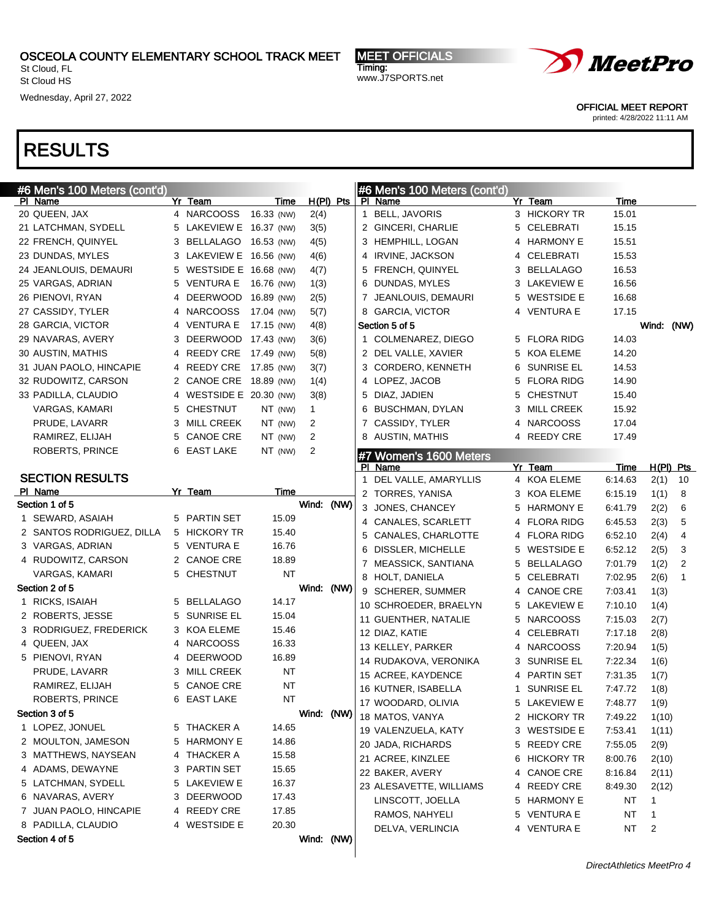St Cloud, FL St Cloud HS

Wednesday, April 27, 2022

MEET OFFICIALS Timing: www.J7SPORTS.net



OFFICIAL MEET REPORT

printed: 4/28/2022 11:11 AM

| #6 Men's 100 Meters (cont'd) |   |                         |            |    |              |  | #6 Men's 100 Meters (cont'd) |              |         |       |                |
|------------------------------|---|-------------------------|------------|----|--------------|--|------------------------------|--------------|---------|-------|----------------|
| PI Name                      |   | Yr Team                 | Time       |    | $H(PI)$ Pts  |  | PI Name                      | Yr Team      | Time    |       |                |
| 20 QUEEN, JAX                |   | 4 NARCOOSS 16.33 (NW)   |            |    | 2(4)         |  | 1 BELL, JAVORIS              | 3 HICKORY TR | 15.01   |       |                |
| 21 LATCHMAN, SYDELL          |   | 5 LAKEVIEW E 16.37 (NW) |            |    | 3(5)         |  | 2 GINCERI, CHARLIE           | 5 CELEBRATI  | 15.15   |       |                |
| 22 FRENCH, QUINYEL           |   | 3 BELLALAGO 16.53 (NW)  |            |    | 4(5)         |  | 3 HEMPHILL, LOGAN            | 4 HARMONY E  | 15.51   |       |                |
| 23 DUNDAS, MYLES             |   | 3 LAKEVIEW E 16.56 (NW) |            |    | 4(6)         |  | 4 IRVINE, JACKSON            | 4 CELEBRATI  | 15.53   |       |                |
| 24 JEANLOUIS, DEMAURI        |   | 5 WESTSIDE E 16.68 (NW) |            |    | 4(7)         |  | 5 FRENCH, QUINYEL            | 3 BELLALAGO  | 16.53   |       |                |
| 25 VARGAS, ADRIAN            |   | 5 VENTURA E 16.76 (NW)  |            |    | 1(3)         |  | 6 DUNDAS, MYLES              | 3 LAKEVIEW E | 16.56   |       |                |
| 26 PIENOVI, RYAN             | 4 | DEERWOOD 16.89 (NW)     |            |    | 2(5)         |  | 7 JEANLOUIS, DEMAURI         | 5 WESTSIDE E | 16.68   |       |                |
| 27 CASSIDY, TYLER            |   | 4 NARCOOSS              | 17.04 (NW) |    | 5(7)         |  | 8 GARCIA, VICTOR             | 4 VENTURA E  | 17.15   |       |                |
| 28 GARCIA, VICTOR            |   | 4 VENTURA E             | 17.15 (NW) |    | 4(8)         |  | Section 5 of 5               |              |         | Wind: | (NW)           |
| 29 NAVARAS, AVERY            |   | 3 DEERWOOD 17.43 (NW)   |            |    | 3(6)         |  | 1 COLMENAREZ, DIEGO          | 5 FLORA RIDG | 14.03   |       |                |
| 30 AUSTIN, MATHIS            | 4 | REEDY CRE 17.49 (NW)    |            |    | 5(8)         |  | 2 DEL VALLE, XAVIER          | 5 KOA ELEME  | 14.20   |       |                |
| 31 JUAN PAOLO, HINCAPIE      |   | 4 REEDY CRE 17.85 (NW)  |            |    | 3(7)         |  | 3 CORDERO, KENNETH           | 6 SUNRISE EL | 14.53   |       |                |
| 32 RUDOWITZ, CARSON          |   | 2 CANOE CRE 18.89 (NW)  |            |    | 1(4)         |  | 4 LOPEZ, JACOB               | 5 FLORA RIDG | 14.90   |       |                |
| 33 PADILLA, CLAUDIO          |   | 4 WESTSIDE E 20.30 (NW) |            |    | 3(8)         |  | 5 DIAZ, JADIEN               | 5 CHESTNUT   | 15.40   |       |                |
| VARGAS, KAMARI               |   | 5 CHESTNUT              | NT (NW)    |    | $\mathbf{1}$ |  | 6 BUSCHMAN, DYLAN            | 3 MILL CREEK | 15.92   |       |                |
| PRUDE, LAVARR                |   | 3 MILL CREEK            | NT (NW)    |    | 2            |  | 7 CASSIDY, TYLER             | 4 NARCOOSS   | 17.04   |       |                |
| RAMIREZ, ELIJAH              |   | 5 CANOE CRE             | NT (NW)    |    | 2            |  | 8 AUSTIN, MATHIS             | 4 REEDY CRE  | 17.49   |       |                |
| ROBERTS, PRINCE              |   | 6 EAST LAKE             | NT (NW)    |    | 2            |  | #7 Women's 1600 Meters       |              |         |       |                |
|                              |   |                         |            |    |              |  | PI Name                      | Yr Team      | Time    |       | $H(PI)$ Pts    |
| <b>SECTION RESULTS</b>       |   |                         |            |    |              |  | 1 DEL VALLE, AMARYLLIS       | 4 KOA ELEME  | 6:14.63 | 2(1)  | 10             |
| PI Name                      |   | Yr Team                 | Time       |    |              |  | 2 TORRES, YANISA             | 3 KOA ELEME  | 6:15.19 | 1(1)  | 8              |
| Section 1 of 5               |   |                         |            |    | Wind: (NW)   |  | 3 JONES, CHANCEY             | 5 HARMONY E  | 6:41.79 | 2(2)  | 6              |
| 1 SEWARD, ASAIAH             |   | 5 PARTIN SET            | 15.09      |    |              |  | 4 CANALES, SCARLETT          | 4 FLORA RIDG | 6.45.53 | 2(3)  | 5              |
| 2 SANTOS RODRIGUEZ, DILLA    |   | 5 HICKORY TR            | 15.40      |    |              |  | 5 CANALES, CHARLOTTE         | 4 FLORA RIDG | 6:52.10 | 2(4)  | 4              |
| 3 VARGAS, ADRIAN             |   | 5 VENTURA E             | 16.76      |    |              |  | 6 DISSLER, MICHELLE          | 5 WESTSIDE E | 6:52.12 | 2(5)  | 3              |
| 4 RUDOWITZ, CARSON           | 2 | <b>CANOE CRE</b>        | 18.89      |    |              |  | 7 MEASSICK, SANTIANA         | 5 BELLALAGO  | 7:01.79 | 1(2)  | $\overline{2}$ |
| <b>VARGAS, KAMARI</b>        | 5 | <b>CHESTNUT</b>         | <b>NT</b>  |    |              |  | 8 HOLT, DANIELA              | 5 CELEBRATI  | 7:02.95 | 2(6)  | $\mathbf{1}$   |
| Section 2 of 5               |   |                         |            |    | Wind: (NW)   |  | 9 SCHERER, SUMMER            | 4 CANOE CRE  | 7:03.41 | 1(3)  |                |
| 1 RICKS, ISAIAH              | 5 | BELLALAGO               | 14.17      |    |              |  | 10 SCHROEDER, BRAELYN        | 5 LAKEVIEW E | 7:10.10 | 1(4)  |                |
| 2 ROBERTS, JESSE             | 5 | SUNRISE EL              | 15.04      |    |              |  | 11 GUENTHER, NATALIE         | 5 NARCOOSS   | 7:15.03 | 2(7)  |                |
| 3 RODRIGUEZ, FREDERICK       |   | 3 KOA ELEME             | 15.46      |    |              |  | 12 DIAZ, KATIE               | 4 CELEBRATI  | 7:17.18 | 2(8)  |                |
| 4 QUEEN, JAX                 | 4 | <b>NARCOOSS</b>         | 16.33      |    |              |  | 13 KELLEY, PARKER            | 4 NARCOOSS   | 7:20.94 | 1(5)  |                |
| 5 PIENOVI, RYAN              | 4 | <b>DEERWOOD</b>         | 16.89      |    |              |  | 14 RUDAKOVA, VERONIKA        | 3 SUNRISE EL | 7:22.34 | 1(6)  |                |
| PRUDE, LAVARR                | 3 | <b>MILL CREEK</b>       | <b>NT</b>  |    |              |  | 15 ACREE, KAYDENCE           | 4 PARTIN SET | 7:31.35 | 1(7)  |                |
| RAMIREZ, ELIJAH              | 5 | <b>CANOE CRE</b>        | NT         |    |              |  | 16 KUTNER, ISABELLA          | 1 SUNRISE EL | 7:47.72 | 1(8)  |                |
| ROBERTS, PRINCE              |   | 6 EAST LAKE             |            | NT |              |  | 17 WOODARD, OLIVIA           | 5 LAKEVIEW E | 7:48.77 | 1(9)  |                |
| Section 3 of 5               |   |                         |            |    | Wind: (NW)   |  | 18 MATOS, VANYA              | 2 HICKORY TR | 7:49.22 | 1(10) |                |
| 1 LOPEZ, JONUEL              |   | 5 THACKER A             | 14.65      |    |              |  | 19 VALENZUELA, KATY          | 3 WESTSIDE E | 7:53.41 | 1(11) |                |
| 2 MOULTON, JAMESON           | 5 | HARMONY E               | 14.86      |    |              |  | 20 JADA, RICHARDS            | 5 REEDY CRE  | 7:55.05 | 2(9)  |                |
| 3 MATTHEWS, NAYSEAN          |   | 4 THACKER A             | 15.58      |    |              |  |                              |              |         |       |                |
| 4 ADAMS, DEWAYNE             |   | 3 PARTIN SET            | 15.65      |    |              |  | 21 ACREE, KINZLEE            | 6 HICKORY TR | 8:00.76 | 2(10) |                |
| 5 LATCHMAN, SYDELL           |   | 5 LAKEVIEW E            | 16.37      |    |              |  | 22 BAKER, AVERY              | 4 CANOE CRE  | 8:16.84 | 2(11) |                |
| 6 NAVARAS, AVERY             |   | 3 DEERWOOD              | 17.43      |    |              |  | 23 ALESAVETTE, WILLIAMS      | 4 REEDY CRE  | 8:49.30 | 2(12) |                |
| 7 JUAN PAOLO, HINCAPIE       |   | 4 REEDY CRE             | 17.85      |    |              |  | LINSCOTT, JOELLA             | 5 HARMONY E  | NT      | 1     |                |
| 8 PADILLA, CLAUDIO           |   | 4 WESTSIDE E            | 20.30      |    |              |  | RAMOS, NAHYELI               | 5 VENTURA E  | NT      | 1     |                |
| Section 4 of 5               |   |                         |            |    | Wind: (NW)   |  | DELVA, VERLINCIA             | 4 VENTURA E  | NT      | 2     |                |
|                              |   |                         |            |    |              |  |                              |              |         |       |                |
|                              |   |                         |            |    |              |  |                              |              |         |       |                |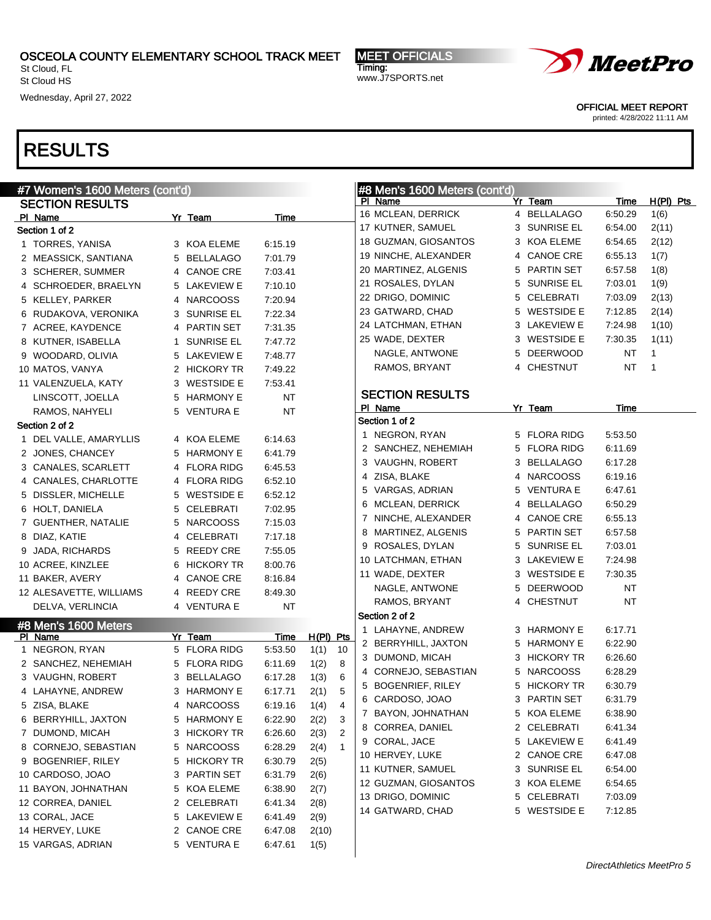15 VARGAS, ADRIAN 5 VENTURA E 6:47.61 1(5)

St Cloud, FL St Cloud HS

Wednesday, April 27, 2022

# RESULTS

| #7 Women's 1600 Meters (cont'd) |              |           |                        | #8 Men's 1600 Meters (cont'd) |   |                   |             |             |
|---------------------------------|--------------|-----------|------------------------|-------------------------------|---|-------------------|-------------|-------------|
| <b>SECTION RESULTS</b>          |              |           |                        | PI Name                       |   | Yr Team           | <b>Time</b> | $H(PI)$ Pts |
| PI Name                         | Yr Team      | Time      |                        | 16 MCLEAN, DERRICK            |   | 4 BELLALAGO       | 6:50.29     | 1(6)        |
| Section 1 of 2                  |              |           |                        | 17 KUTNER, SAMUEL             | 3 | SUNRISE EL        | 6:54.00     | 2(11)       |
| 1 TORRES, YANISA                | 3 KOA ELEME  | 6:15.19   |                        | 18 GUZMAN, GIOSANTOS          | 3 | KOA ELEME         | 6:54.65     | 2(12)       |
| 2 MEASSICK, SANTIANA            | 5 BELLALAGO  | 7:01.79   |                        | 19 NINCHE, ALEXANDER          | 4 | <b>CANOE CRE</b>  | 6:55.13     | 1(7)        |
| 3 SCHERER, SUMMER               | 4 CANOE CRE  | 7:03.41   |                        | 20 MARTINEZ, ALGENIS          | 5 | PARTIN SET        | 6:57.58     | 1(8)        |
| 4 SCHROEDER, BRAELYN            | 5 LAKEVIEW E | 7:10.10   |                        | 21 ROSALES, DYLAN             | 5 | SUNRISE EL        | 7:03.01     | 1(9)        |
| 5 KELLEY, PARKER                | 4 NARCOOSS   | 7:20.94   |                        | 22 DRIGO, DOMINIC             | 5 | CELEBRATI         | 7:03.09     | 2(13)       |
| 6 RUDAKOVA, VERONIKA            | 3 SUNRISE EL | 7:22.34   |                        | 23 GATWARD, CHAD              | 5 | <b>WESTSIDE E</b> | 7:12.85     | 2(14)       |
| 7 ACREE, KAYDENCE               | 4 PARTIN SET | 7:31.35   |                        | 24 LATCHMAN, ETHAN            |   | 3 LAKEVIEW E      | 7:24.98     | 1(10)       |
| 8 KUTNER, ISABELLA              | 1 SUNRISE EL | 7:47.72   |                        | 25 WADE, DEXTER               |   | 3 WESTSIDE E      | 7:30.35     | 1(11)       |
| 9 WOODARD, OLIVIA               | 5 LAKEVIEW E | 7:48.77   |                        | NAGLE, ANTWONE                | 5 | <b>DEERWOOD</b>   | <b>NT</b>   | 1           |
| 10 MATOS, VANYA                 | 2 HICKORY TR | 7:49.22   |                        | RAMOS, BRYANT                 |   | 4 CHESTNUT        | <b>NT</b>   | 1           |
| 11 VALENZUELA, KATY             | 3 WESTSIDE E | 7:53.41   |                        |                               |   |                   |             |             |
| LINSCOTT, JOELLA                | 5 HARMONY E  | <b>NT</b> |                        | <b>SECTION RESULTS</b>        |   |                   |             |             |
| RAMOS, NAHYELI                  | 5 VENTURA E  | <b>NT</b> |                        | PI Name                       |   | Yr Team           | Time        |             |
| Section 2 of 2                  |              |           |                        | Section 1 of 2                |   |                   |             |             |
| 1 DEL VALLE, AMARYLLIS          | 4 KOA ELEME  | 6:14.63   |                        | 1 NEGRON, RYAN                |   | 5 FLORA RIDG      | 5:53.50     |             |
| 2 JONES, CHANCEY                | 5 HARMONY E  | 6:41.79   |                        | 2 SANCHEZ, NEHEMIAH           | 5 | <b>FLORA RIDG</b> | 6:11.69     |             |
| 3 CANALES, SCARLETT             | 4 FLORA RIDG | 6:45.53   |                        | 3 VAUGHN, ROBERT              | 3 | <b>BELLALAGO</b>  | 6:17.28     |             |
| 4 CANALES, CHARLOTTE            | 4 FLORA RIDG | 6:52.10   |                        | 4 ZISA, BLAKE                 | 4 | <b>NARCOOSS</b>   | 6:19.16     |             |
| 5 DISSLER, MICHELLE             | 5 WESTSIDE E | 6:52.12   |                        | 5 VARGAS, ADRIAN              | 5 | VENTURA E         | 6:47.61     |             |
| 6 HOLT, DANIELA                 | 5 CELEBRATI  | 7:02.95   |                        | 6 MCLEAN, DERRICK             | 4 | <b>BELLALAGO</b>  | 6:50.29     |             |
| 7 GUENTHER, NATALIE             | 5 NARCOOSS   | 7:15.03   |                        | 7 NINCHE, ALEXANDER           | 4 | <b>CANOE CRE</b>  | 6:55.13     |             |
| 8 DIAZ, KATIE                   | 4 CELEBRATI  | 7:17.18   |                        | 8 MARTINEZ, ALGENIS           | 5 | PARTIN SET        | 6:57.58     |             |
| 9 JADA, RICHARDS                | 5 REEDY CRE  | 7:55.05   |                        | 9 ROSALES, DYLAN              | 5 | <b>SUNRISE EL</b> | 7:03.01     |             |
| 10 ACREE, KINZLEE               | 6 HICKORY TR | 8:00.76   |                        | 10 LATCHMAN, ETHAN            | 3 | LAKEVIEW E        | 7:24.98     |             |
| 11 BAKER, AVERY                 | 4 CANOE CRE  | 8:16.84   |                        | 11 WADE, DEXTER               | 3 | <b>WESTSIDE E</b> | 7:30.35     |             |
| 12 ALESAVETTE, WILLIAMS         | 4 REEDY CRE  | 8:49.30   |                        | NAGLE, ANTWONE                | 5 | <b>DEERWOOD</b>   | <b>NT</b>   |             |
| DELVA, VERLINCIA                | 4 VENTURA E  | <b>NT</b> |                        | RAMOS, BRYANT                 |   | 4 CHESTNUT        | <b>NT</b>   |             |
| #8 Men's 1600 Meters            |              |           |                        | Section 2 of 2                |   |                   |             |             |
| PI Name                         | Yr Team      | Time      | H(PI) Pts              | 1 LAHAYNE, ANDREW             |   | 3 HARMONY E       | 6:17.71     |             |
| 1 NEGRON, RYAN                  | 5 FLORA RIDG | 5:53.50   | 10<br>1(1)             | 2 BERRYHILL, JAXTON           | 5 | <b>HARMONY E</b>  | 6:22.90     |             |
| 2 SANCHEZ, NEHEMIAH             | 5 FLORA RIDG | 6:11.69   | 8<br>1(2)              | 3 DUMOND, MICAH               | 3 | <b>HICKORY TR</b> | 6:26.60     |             |
| 3 VAUGHN, ROBERT                | 3 BELLALAGO  | 6:17.28   | 6<br>1(3)              | 4 CORNEJO, SEBASTIAN          | 5 | <b>NARCOOSS</b>   | 6:28.29     |             |
| 4 LAHAYNE, ANDREW               | 3 HARMONY E  | 6:17.71   | 5<br>2(1)              | 5 BOGENRIEF, RILEY            |   | 5 HICKORY TR      | 6:30.79     |             |
| 5 ZISA, BLAKE                   | 4 NARCOOSS   | 6:19.16   | 1(4)<br>4              | 6 CARDOSO, JOAO               | 3 | PARTIN SET        | 6:31.79     |             |
| 6 BERRYHILL, JAXTON             | 5 HARMONY E  | 6:22.90   | 3<br>2(2)              | 7<br>BAYON, JOHNATHAN         | 5 | KOA ELEME         | 6:38.90     |             |
| 7 DUMOND, MICAH                 | 3 HICKORY TR | 6:26.60   | $\overline{c}$<br>2(3) | 8 CORREA, DANIEL              | 2 | CELEBRATI         | 6:41.34     |             |
| 8 CORNEJO, SEBASTIAN            | 5 NARCOOSS   | 6:28.29   | $\mathbf{1}$<br>2(4)   | 9 CORAL, JACE                 | 5 | LAKEVIEW E        | 6:41.49     |             |
| 9 BOGENRIEF, RILEY              | 5 HICKORY TR | 6:30.79   | 2(5)                   | 10 HERVEY, LUKE               | 2 | <b>CANOE CRE</b>  | 6:47.08     |             |
| 10 CARDOSO, JOAO                | 3 PARTIN SET | 6:31.79   | 2(6)                   | 11 KUTNER, SAMUEL             | 3 | <b>SUNRISE EL</b> | 6:54.00     |             |
| 11 BAYON, JOHNATHAN             | 5 KOA ELEME  | 6:38.90   | 2(7)                   | 12 GUZMAN, GIOSANTOS          | 3 | KOA ELEME         | 6:54.65     |             |
| 12 CORREA, DANIEL               | 2 CELEBRATI  | 6:41.34   | 2(8)                   | 13 DRIGO, DOMINIC             | 5 | CELEBRATI         | 7:03.09     |             |
| 13 CORAL, JACE                  | 5 LAKEVIEW E | 6:41.49   | 2(9)                   | 14 GATWARD, CHAD              | 5 | <b>WESTSIDE E</b> | 7:12.85     |             |
| 14 HERVEY, LUKE                 | 2 CANOE CRE  | 6:47.08   | 2(10)                  |                               |   |                   |             |             |

MEET OFFICIALS

www.J7SPORTS.net

Timing:



OFFICIAL MEET REPORT

printed: 4/28/2022 11:11 AM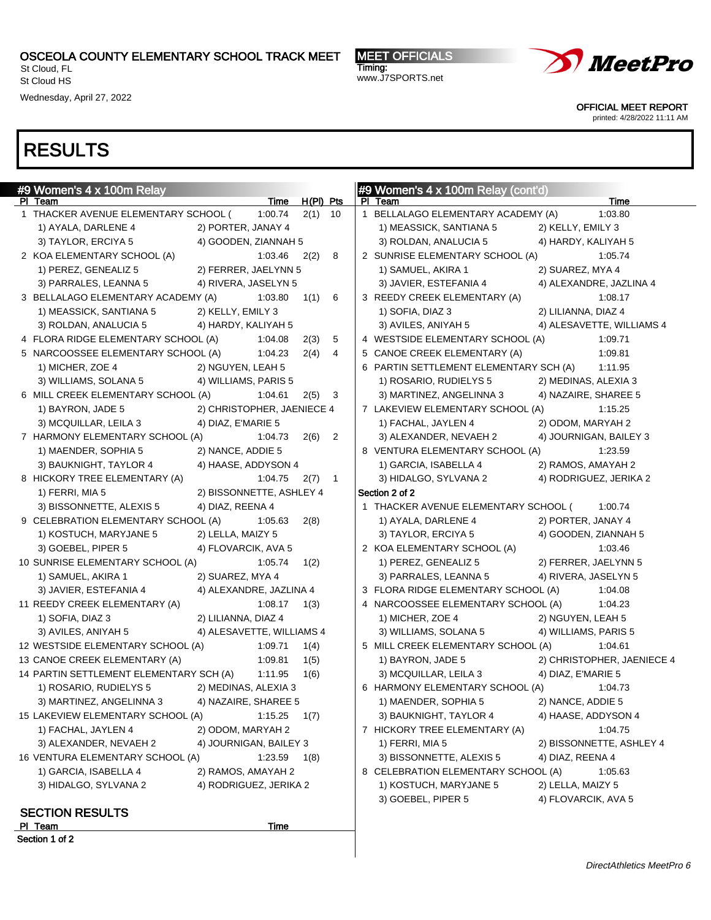St Cloud, FL St Cloud HS

Wednesday, April 27, 2022

MEET OFFICIALS Timing: www.J7SPORTS.net



OFFICIAL MEET REPORT

printed: 4/28/2022 11:11 AM

| #9 Women's 4 x 100m Relay                  |                                            |                        | #9 Women's 4 x 100m Relay (cont'd)                                  |
|--------------------------------------------|--------------------------------------------|------------------------|---------------------------------------------------------------------|
| PI Team                                    |                                            | Time H(PI) Pts         | Time<br>PI Team                                                     |
| 1 THACKER AVENUE ELEMENTARY SCHOOL (       | 1:00.74                                    | $2(1)$ 10              | 1 BELLALAGO ELEMENTARY ACADEMY (A)<br>1:03.80                       |
| 1) AYALA, DARLENE 4<br>3) TAYLOR, ERCIYA 5 | 2) PORTER, JANAY 4<br>4) GOODEN, ZIANNAH 5 |                        | 1) MEASSICK, SANTIANA 5<br>2) KELLY, EMILY 3<br>4) HARDY, KALIYAH 5 |
|                                            |                                            |                        | 3) ROLDAN, ANALUCIA 5                                               |
| 2 KOA ELEMENTARY SCHOOL (A)                | 1:03.46                                    | 8<br>2(2)              | 2 SUNRISE ELEMENTARY SCHOOL (A)<br>1:05.74                          |
| 1) PEREZ, GENEALIZ 5                       | 2) FERRER, JAELYNN 5                       |                        | 2) SUAREZ, MYA 4<br>1) SAMUEL, AKIRA 1                              |
| 3) PARRALES, LEANNA 5                      | 4) RIVERA, JASELYN 5                       |                        | 3) JAVIER, ESTEFANIA 4<br>4) ALEXANDRE, JAZLINA 4                   |
| 3 BELLALAGO ELEMENTARY ACADEMY (A)         | 1:03.80                                    | 1(1)<br>-6             | 3 REEDY CREEK ELEMENTARY (A)<br>1:08.17                             |
| 1) MEASSICK, SANTIANA 5                    | 2) KELLY, EMILY 3                          |                        | 1) SOFIA, DIAZ 3<br>2) LILIANNA, DIAZ 4                             |
| 3) ROLDAN, ANALUCIA 5                      | 4) HARDY, KALIYAH 5                        |                        | 3) AVILES, ANIYAH 5<br>4) ALESAVETTE, WILLIAMS 4                    |
| 4 FLORA RIDGE ELEMENTARY SCHOOL (A)        | 1:04.08                                    | 2(3)<br>5              | 4 WESTSIDE ELEMENTARY SCHOOL (A)<br>1:09.71                         |
| 5 NARCOOSSEE ELEMENTARY SCHOOL (A)         | 1:04.23                                    | 2(4)<br>$\overline{4}$ | 5 CANOE CREEK ELEMENTARY (A)<br>1:09.81                             |
| 1) MICHER, ZOE 4                           | 2) NGUYEN, LEAH 5                          |                        | 6 PARTIN SETTLEMENT ELEMENTARY SCH (A)<br>1:11.95                   |
| 3) WILLIAMS, SOLANA 5                      | 4) WILLIAMS, PARIS 5                       |                        | 1) ROSARIO, RUDIELYS 5<br>2) MEDINAS, ALEXIA 3                      |
| 6 MILL CREEK ELEMENTARY SCHOOL (A)         | 1:04.61                                    | $2(5)$ 3               | 3) MARTINEZ, ANGELINNA 3<br>4) NAZAIRE, SHAREE 5                    |
| 1) BAYRON, JADE 5                          | 2) CHRISTOPHER, JAENIECE 4                 |                        | 7 LAKEVIEW ELEMENTARY SCHOOL (A)<br>1:15.25                         |
| 3) MCQUILLAR, LEILA 3                      | 4) DIAZ, E'MARIE 5                         |                        | 1) FACHAL, JAYLEN 4<br>2) ODOM, MARYAH 2                            |
| 7 HARMONY ELEMENTARY SCHOOL (A)            | 1:04.73                                    | $2(6)$ 2               | 3) ALEXANDER, NEVAEH 2<br>4) JOURNIGAN, BAILEY 3                    |
| 1) MAENDER, SOPHIA 5                       | 2) NANCE, ADDIE 5                          |                        | 8 VENTURA ELEMENTARY SCHOOL (A)<br>1:23.59                          |
| 3) BAUKNIGHT, TAYLOR 4                     | 4) HAASE, ADDYSON 4                        |                        | 1) GARCIA, ISABELLA 4<br>2) RAMOS, AMAYAH 2                         |
| 8 HICKORY TREE ELEMENTARY (A)              | 1:04.75                                    | $2(7)$ 1               | 3) HIDALGO, SYLVANA 2<br>4) RODRIGUEZ, JERIKA 2                     |
| 1) FERRI, MIA 5                            | 2) BISSONNETTE, ASHLEY 4                   |                        | Section 2 of 2                                                      |
| 3) BISSONNETTE, ALEXIS 5                   | 4) DIAZ, REENA 4                           |                        | 1 THACKER AVENUE ELEMENTARY SCHOOL (<br>1:00.74                     |
| 9 CELEBRATION ELEMENTARY SCHOOL (A)        | 1:05.63                                    | 2(8)                   | 1) AYALA, DARLENE 4<br>2) PORTER, JANAY 4                           |
| 1) KOSTUCH, MARYJANE 5                     | 2) LELLA, MAIZY 5                          |                        | 3) TAYLOR, ERCIYA 5<br>4) GOODEN, ZIANNAH 5                         |
| 3) GOEBEL, PIPER 5                         | 4) FLOVARCIK, AVA 5                        |                        | 2 KOA ELEMENTARY SCHOOL (A)<br>1:03.46                              |
| 10 SUNRISE ELEMENTARY SCHOOL (A)           | 1:05.74                                    | 1(2)                   | 1) PEREZ, GENEALIZ 5<br>2) FERRER, JAELYNN 5                        |
| 1) SAMUEL, AKIRA 1                         | 2) SUAREZ, MYA 4                           |                        | 3) PARRALES, LEANNA 5<br>4) RIVERA, JASELYN 5                       |
| 3) JAVIER, ESTEFANIA 4                     | 4) ALEXANDRE, JAZLINA 4                    |                        | 3 FLORA RIDGE ELEMENTARY SCHOOL (A)<br>1:04.08                      |
| 11 REEDY CREEK ELEMENTARY (A)              | 1:08.17                                    | 1(3)                   | 4 NARCOOSSEE ELEMENTARY SCHOOL (A)<br>1:04.23                       |
| 1) SOFIA, DIAZ 3                           | 2) LILIANNA, DIAZ 4                        |                        | 1) MICHER, ZOE 4<br>2) NGUYEN, LEAH 5                               |
| 3) AVILES, ANIYAH 5                        | 4) ALESAVETTE, WILLIAMS 4                  |                        | 3) WILLIAMS, SOLANA 5<br>4) WILLIAMS, PARIS 5                       |
| 12 WESTSIDE ELEMENTARY SCHOOL (A)          | 1:09.71                                    | 1(4)                   | 5 MILL CREEK ELEMENTARY SCHOOL (A)<br>1:04.61                       |
| 13 CANOE CREEK ELEMENTARY (A)              | 1:09.81                                    | 1(5)                   | 1) BAYRON, JADE 5<br>2) CHRISTOPHER, JAENIECE 4                     |
| 14 PARTIN SETTLEMENT ELEMENTARY SCH (A)    | 1:11.95                                    | 1(6)                   | 3) MCQUILLAR, LEILA 3<br>4) DIAZ, E'MARIE 5                         |
| 1) ROSARIO, RUDIELYS 5                     | 2) MEDINAS, ALEXIA 3                       |                        | 6 HARMONY ELEMENTARY SCHOOL (A)<br>1:04.73                          |
| 3) MARTINEZ, ANGELINNA 3                   | 4) NAZAIRE, SHAREE 5                       |                        | 1) MAENDER, SOPHIA 5<br>2) NANCE, ADDIE 5                           |
| 15 LAKEVIEW ELEMENTARY SCHOOL (A)          | 1:15.25                                    | 1(7)                   | 3) BAUKNIGHT, TAYLOR 4<br>4) HAASE, ADDYSON 4                       |
| 1) FACHAL, JAYLEN 4                        | 2) ODOM, MARYAH 2                          |                        | 7 HICKORY TREE ELEMENTARY (A)<br>1:04.75                            |
| 3) ALEXANDER, NEVAEH 2                     | 4) JOURNIGAN, BAILEY 3                     |                        | 1) FERRI, MIA 5<br>2) BISSONNETTE, ASHLEY 4                         |
| 16 VENTURA ELEMENTARY SCHOOL (A)           | 1:23.59                                    | 1(8)                   | 3) BISSONNETTE, ALEXIS 5<br>4) DIAZ, REENA 4                        |
| 1) GARCIA, ISABELLA 4                      | 2) RAMOS, AMAYAH 2                         |                        | 8 CELEBRATION ELEMENTARY SCHOOL (A)<br>1:05.63                      |
| 3) HIDALGO, SYLVANA 2                      | 4) RODRIGUEZ, JERIKA 2                     |                        | 1) KOSTUCH, MARYJANE 5<br>2) LELLA, MAIZY 5                         |
|                                            |                                            |                        | 4) FLOVARCIK, AVA 5<br>3) GOEBEL, PIPER 5                           |
| <b>SECTION RESULTS</b>                     |                                            |                        |                                                                     |
| PI Team                                    | Time                                       |                        |                                                                     |
| Section 1 of 2                             |                                            |                        |                                                                     |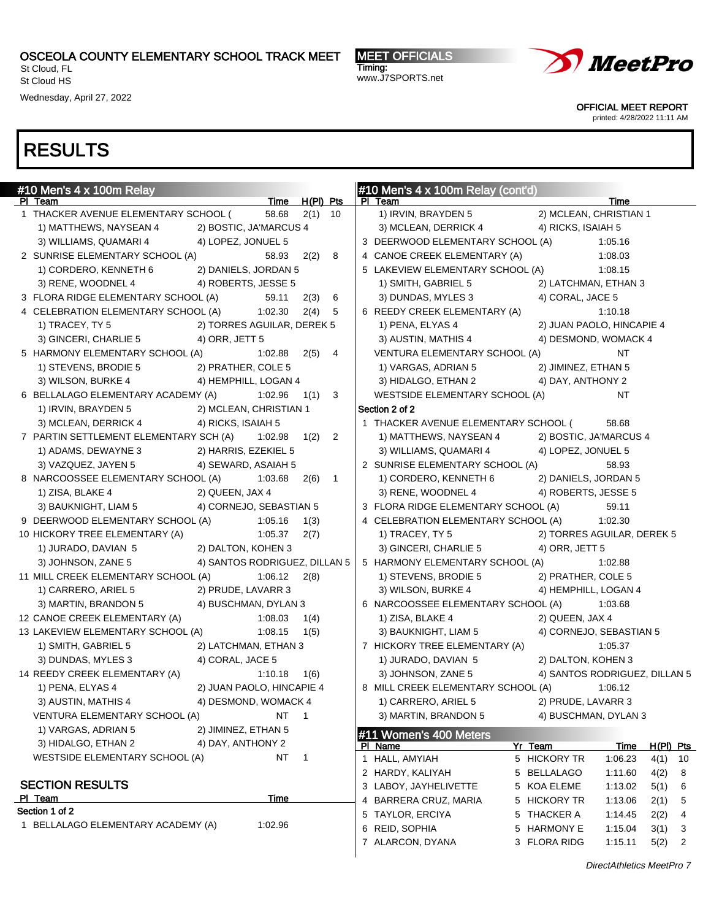St Cloud, FL St Cloud HS

Wednesday, April 27, 2022

MEET OFFICIALS Timing: www.J7SPORTS.net



OFFICIAL MEET REPORT

printed: 4/28/2022 11:11 AM

| #10 Men's $4 \times 100$ m Relay                                                            |                                |             | #10 Men's $4 \times 100$ m Relay (cont'd)                                       |
|---------------------------------------------------------------------------------------------|--------------------------------|-------------|---------------------------------------------------------------------------------|
| PI Team                                                                                     | Time H(PI) Pts                 |             | PI Team<br>Time                                                                 |
| 1 THACKER AVENUE ELEMENTARY SCHOOL (                                                        | 58.68                          | $2(1)$ 10   | 1) IRVIN, BRAYDEN 5<br>2) MCLEAN, CHRISTIAN 1                                   |
| 1) MATTHEWS, NAYSEAN 4 2) BOSTIC, JA'MARCUS 4<br>3) WILLIAMS, QUAMARI 4 4) LOPEZ, JONUEL 5  |                                |             | 3) MCLEAN, DERRICK 4<br>4) RICKS, ISAIAH 5                                      |
|                                                                                             |                                |             | 3 DEERWOOD ELEMENTARY SCHOOL (A)<br>1:05.16                                     |
| 2 SUNRISE ELEMENTARY SCHOOL (A)                                                             | 58.93                          | 2(2)<br>- 8 | 4 CANOE CREEK ELEMENTARY (A)<br>1:08.03                                         |
| 1) CORDERO, KENNETH 6<br>2) DANIELS, JORDAN 5                                               |                                |             | 5 LAKEVIEW ELEMENTARY SCHOOL (A)<br>1:08.15                                     |
| 4) ROBERTS, JESSE 5<br>3) RENE, WOODNEL 4                                                   |                                |             | 1) SMITH, GABRIEL 5<br>2) LATCHMAN, ETHAN 3                                     |
| 3 FLORA RIDGE ELEMENTARY SCHOOL (A)                                                         | 59.11                          | 2(3) 6      | 3) DUNDAS, MYLES 3<br>4) CORAL, JACE 5                                          |
| 4 CELEBRATION ELEMENTARY SCHOOL (A) 1:02.30                                                 |                                | 2(4)<br>5   | 6 REEDY CREEK ELEMENTARY (A)<br>1:10.18                                         |
| 2) TORRES AGUILAR, DEREK 5<br>1) TRACEY, TY 5                                               |                                |             | 1) PENA, ELYAS 4<br>2) JUAN PAOLO, HINCAPIE 4                                   |
| 3) GINCERI, CHARLIE 5<br>4) ORR, JETT 5                                                     |                                |             | 3) AUSTIN, MATHIS 4<br>4) DESMOND, WOMACK 4                                     |
| 5 HARMONY ELEMENTARY SCHOOL (A)                                                             | 1:02.88                        | 2(5)<br>4   | VENTURA ELEMENTARY SCHOOL (A)<br>NT                                             |
| 2) PRATHER, COLE 5<br>1) STEVENS, BRODIE 5                                                  |                                |             | 1) VARGAS, ADRIAN 5<br>2) JIMINEZ, ETHAN 5                                      |
| 3) WILSON, BURKE 4<br>4) HEMPHILL, LOGAN 4                                                  |                                |             | 3) HIDALGO, ETHAN 2<br>4) DAY, ANTHONY 2<br>NT                                  |
| 6 BELLALAGO ELEMENTARY ACADEMY (A)                                                          | 1:02.96                        | 1(1)<br>3   | WESTSIDE ELEMENTARY SCHOOL (A)<br>Section 2 of 2                                |
| 1) IRVIN, BRAYDEN 5<br>2) MCLEAN, CHRISTIAN 1<br>3) MCLEAN, DERRICK 4<br>4) RICKS, ISAIAH 5 |                                |             | 1 THACKER AVENUE ELEMENTARY SCHOOL (<br>58.68                                   |
| 7 PARTIN SETTLEMENT ELEMENTARY SCH (A)                                                      | 1:02.98                        | $1(2)$ 2    | 1) MATTHEWS, NAYSEAN 4 2) BOSTIC, JA'MARCUS 4                                   |
| 1) ADAMS, DEWAYNE 3<br>2) HARRIS, EZEKIEL 5                                                 |                                |             | 3) WILLIAMS, QUAMARI 4<br>4) LOPEZ, JONUEL 5                                    |
| 3) VAZQUEZ, JAYEN 5<br>4) SEWARD, ASAIAH 5                                                  |                                |             | 2 SUNRISE ELEMENTARY SCHOOL (A)<br>58.93                                        |
| 8 NARCOOSSEE ELEMENTARY SCHOOL (A)                                                          | 1:03.68                        | $2(6)$ 1    | 2) DANIELS, JORDAN 5<br>1) CORDERO, KENNETH 6                                   |
| 1) ZISA, BLAKE 4<br>2) QUEEN, JAX 4                                                         |                                |             | 3) RENE, WOODNEL 4<br>4) ROBERTS, JESSE 5                                       |
| 3) BAUKNIGHT, LIAM 5<br>4) CORNEJO, SEBASTIAN 5                                             |                                |             | 3 FLORA RIDGE ELEMENTARY SCHOOL (A)<br>59.11                                    |
| 9 DEERWOOD ELEMENTARY SCHOOL (A)                                                            | 1:05.16                        | 1(3)        | 4 CELEBRATION ELEMENTARY SCHOOL (A)<br>1:02.30                                  |
| 10 HICKORY TREE ELEMENTARY (A)                                                              | 1:05.37                        | 2(7)        | 2) TORRES AGUILAR, DEREK 5<br>1) TRACEY, TY 5                                   |
| 1) JURADO, DAVIAN 5<br>2) DALTON, KOHEN 3                                                   |                                |             | 3) GINCERI, CHARLIE 5<br>4) ORR, JETT 5                                         |
| 4) SANTOS RODRIGUEZ, DILLAN 5<br>3) JOHNSON, ZANE 5                                         |                                |             | 5 HARMONY ELEMENTARY SCHOOL (A)<br>1:02.88                                      |
| 11 MILL CREEK ELEMENTARY SCHOOL (A)                                                         | 1:06.12                        | 2(8)        | 1) STEVENS, BRODIE 5<br>2) PRATHER, COLE 5                                      |
| 1) CARRERO, ARIEL 5<br>2) PRUDE, LAVARR 3                                                   |                                |             | 3) WILSON, BURKE 4<br>4) HEMPHILL, LOGAN 4                                      |
| 3) MARTIN, BRANDON 5<br>4) BUSCHMAN, DYLAN 3                                                |                                |             | 6 NARCOOSSEE ELEMENTARY SCHOOL (A)<br>1:03.68                                   |
| 12 CANOE CREEK ELEMENTARY (A)                                                               | 1:08.03                        | 1(4)        | 1) ZISA, BLAKE 4<br>2) QUEEN, JAX 4                                             |
| 13 LAKEVIEW ELEMENTARY SCHOOL (A)                                                           | 1:08.15                        | 1(5)        | 3) BAUKNIGHT, LIAM 5<br>4) CORNEJO, SEBASTIAN 5                                 |
| 1) SMITH, GABRIEL 5<br>2) LATCHMAN, ETHAN 3                                                 |                                |             | 7 HICKORY TREE ELEMENTARY (A)<br>1:05.37                                        |
| 3) DUNDAS, MYLES 3<br>4) CORAL, JACE 5                                                      |                                |             | 2) DALTON, KOHEN 3<br>1) JURADO, DAVIAN 5                                       |
| 14 REEDY CREEK ELEMENTARY (A)                                                               | $1:10.18$ $1(6)$               |             | 3) JOHNSON, ZANE 5<br>4) SANTOS RODRIGUEZ, DILLAN 5                             |
| 2) JUAN PAOLO, HINCAPIE 4<br>1) PENA, ELYAS 4                                               |                                |             | 8 MILL CREEK ELEMENTARY SCHOOL (A)<br>1:06.12                                   |
| 3) AUSTIN, MATHIS 4<br>4) DESMOND, WOMACK 4                                                 |                                |             | 2) PRUDE, LAVARR 3<br>1) CARRERO, ARIEL 5                                       |
| VENTURA ELEMENTARY SCHOOL (A)                                                               | NT 1                           |             | 3) MARTIN, BRANDON 5<br>4) BUSCHMAN, DYLAN 3                                    |
| 2) JIMINEZ, ETHAN 5<br>1) VARGAS, ADRIAN 5                                                  |                                |             | #11 Women's 400 Meters                                                          |
| 3) HIDALGO, ETHAN 2<br>4) DAY, ANTHONY 2                                                    |                                |             | Yr Team<br>PI Name<br>Time<br>$H(PI)$ Pts                                       |
| WESTSIDE ELEMENTARY SCHOOL (A)                                                              | NT<br>$\overline{\phantom{1}}$ |             | 1 HALL, AMYIAH<br>5 HICKORY TR<br>1:06.23<br>$4(1)$ 10                          |
|                                                                                             |                                |             | 2 HARDY, KALIYAH<br>5 BELLALAGO<br>1:11.60<br>4(2)<br>8                         |
| <b>SECTION RESULTS</b>                                                                      |                                |             | 3 LABOY, JAYHELIVETTE<br>5 KOA ELEME<br>1:13.02<br>5(1)<br>6                    |
| PI Team                                                                                     | Time                           |             | 4 BARRERA CRUZ, MARIA<br>5 HICKORY TR<br>1:13.06<br>2(1)<br>5                   |
| Section 1 of 2                                                                              |                                |             | 5 TAYLOR, ERCIYA<br>5 THACKER A<br>1:14.45<br>2(2)<br>4                         |
| 1 BELLALAGO ELEMENTARY ACADEMY (A)                                                          | 1:02.96                        |             | 6 REID, SOPHIA<br>5 HARMONY E<br>1:15.04<br>3(1)<br>3                           |
|                                                                                             |                                |             | 7 ALARCON, DYANA<br>3 FLORA RIDG<br>1:15.11<br>5(2)<br>$\overline{\phantom{a}}$ |
|                                                                                             |                                |             |                                                                                 |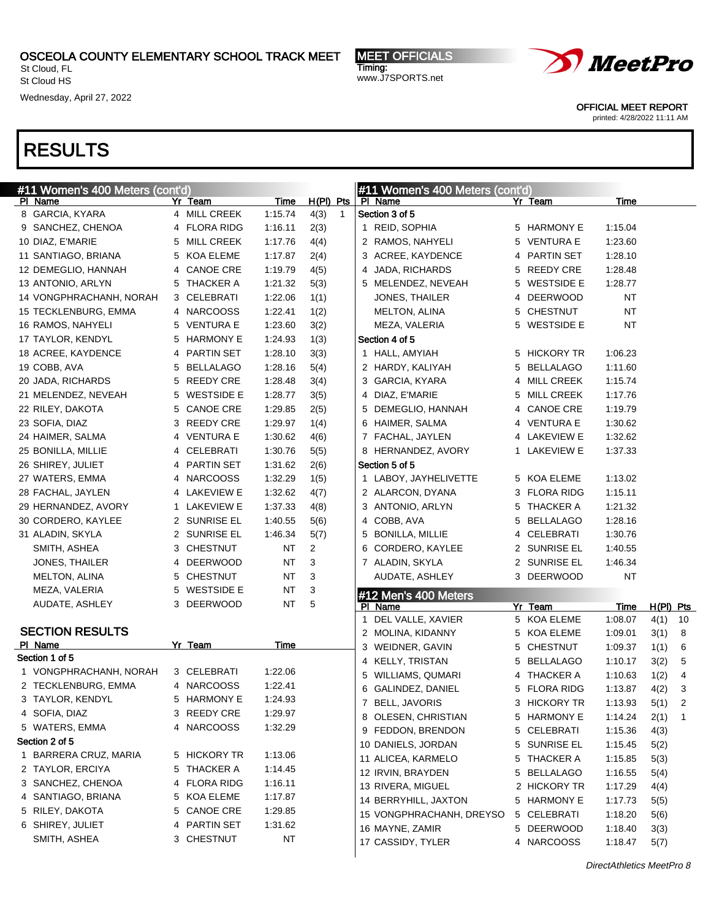St Cloud, FL St Cloud HS

Wednesday, April 27, 2022

MEET OFFICIALS Timing: www.J7SPORTS.net



OFFICIAL MEET REPORT

printed: 4/28/2022 11:11 AM

| #11 Women's 400 Meters (cont'd) |   |                            |             |                | #11 Women's 400 Meters (cont'd) |    |                              |                        |                 |                     |                          |
|---------------------------------|---|----------------------------|-------------|----------------|---------------------------------|----|------------------------------|------------------------|-----------------|---------------------|--------------------------|
| PI Name                         |   | Yr Team                    | <b>Time</b> | $H(PI)$ Pts    |                                 |    | PI Name                      | Yr Team                | Time            |                     |                          |
| 8 GARCIA, KYARA                 |   | 4 MILL CREEK               | 1:15.74     | 4(3)           | $\mathbf{1}$                    |    | Section 3 of 5               |                        |                 |                     |                          |
| 9 SANCHEZ, CHENOA               |   | 4 FLORA RIDG               | 1:16.11     | 2(3)           |                                 |    | 1 REID, SOPHIA               | 5 HARMONY E            | 1:15.04         |                     |                          |
| 10 DIAZ, E'MARIE                |   | 5 MILL CREEK               | 1:17.76     | 4(4)           |                                 |    | 2 RAMOS, NAHYELI             | 5 VENTURA E            | 1:23.60         |                     |                          |
| 11 SANTIAGO, BRIANA             |   | 5 KOA ELEME                | 1:17.87     | 2(4)           |                                 |    | 3 ACREE, KAYDENCE            | 4 PARTIN SET           | 1:28.10         |                     |                          |
| 12 DEMEGLIO, HANNAH             | 4 | <b>CANOE CRE</b>           | 1:19.79     | 4(5)           |                                 | 4  | JADA, RICHARDS               | 5 REEDY CRE            | 1:28.48         |                     |                          |
| 13 ANTONIO, ARLYN               | 5 | THACKER A                  | 1:21.32     | 5(3)           |                                 |    | 5 MELENDEZ, NEVEAH           | 5 WESTSIDE E           | 1:28.77         |                     |                          |
| 14 VONGPHRACHANH, NORAH         | 3 | CELEBRATI                  | 1:22.06     | 1(1)           |                                 |    | <b>JONES, THAILER</b>        | 4 DEERWOOD             | NT              |                     |                          |
| 15 TECKLENBURG, EMMA            |   | 4 NARCOOSS                 | 1:22.41     | 1(2)           |                                 |    | <b>MELTON, ALINA</b>         | 5 CHESTNUT             | NT              |                     |                          |
| 16 RAMOS, NAHYELI               | 5 | <b>VENTURA E</b>           | 1:23.60     | 3(2)           |                                 |    | MEZA, VALERIA                | 5 WESTSIDE E           | NT              |                     |                          |
| 17 TAYLOR, KENDYL               | 5 | <b>HARMONY E</b>           | 1:24.93     | 1(3)           |                                 |    | Section 4 of 5               |                        |                 |                     |                          |
| 18 ACREE, KAYDENCE              | 4 | <b>PARTIN SET</b>          | 1:28.10     | 3(3)           |                                 |    | 1 HALL, AMYIAH               | 5 HICKORY TR           | 1:06.23         |                     |                          |
| 19 COBB, AVA                    | 5 | <b>BELLALAGO</b>           | 1:28.16     | 5(4)           |                                 |    | 2 HARDY, KALIYAH             | 5 BELLALAGO            | 1:11.60         |                     |                          |
| 20 JADA, RICHARDS               | 5 | <b>REEDY CRE</b>           | 1:28.48     | 3(4)           |                                 |    | 3 GARCIA, KYARA              | 4 MILL CREEK           | 1:15.74         |                     |                          |
| 21 MELENDEZ, NEVEAH             | 5 | <b>WESTSIDE E</b>          | 1:28.77     | 3(5)           |                                 |    | 4 DIAZ, E'MARIE              | 5 MILL CREEK           | 1:17.76         |                     |                          |
| 22 RILEY, DAKOTA                | 5 | <b>CANOE CRE</b>           | 1:29.85     | 2(5)           |                                 |    | 5 DEMEGLIO, HANNAH           | 4 CANOE CRE            | 1:19.79         |                     |                          |
| 23 SOFIA, DIAZ                  | 3 | <b>REEDY CRE</b>           | 1:29.97     | 1(4)           |                                 |    | 6 HAIMER, SALMA              | 4 VENTURA E            | 1:30.62         |                     |                          |
| 24 HAIMER, SALMA                | 4 | <b>VENTURA E</b>           | 1:30.62     | 4(6)           |                                 |    | 7 FACHAL, JAYLEN             | 4 LAKEVIEW E           | 1:32.62         |                     |                          |
| 25 BONILLA, MILLIE              | 4 | CELEBRATI                  | 1:30.76     | 5(5)           |                                 |    | 8 HERNANDEZ, AVORY           | 1 LAKEVIEW E           | 1:37.33         |                     |                          |
| 26 SHIREY, JULIET               | 4 | <b>PARTIN SET</b>          | 1:31.62     | 2(6)           |                                 |    | Section 5 of 5               |                        |                 |                     |                          |
| 27 WATERS, EMMA                 | 4 | <b>NARCOOSS</b>            | 1:32.29     | 1(5)           |                                 |    | 1 LABOY, JAYHELIVETTE        | 5 KOA ELEME            | 1:13.02         |                     |                          |
| 28 FACHAL, JAYLEN               |   | 4 LAKEVIEW E               | 1:32.62     | 4(7)           |                                 |    | 2 ALARCON, DYANA             | 3 FLORA RIDG           | 1:15.11         |                     |                          |
| 29 HERNANDEZ, AVORY             | 1 | <b>LAKEVIEW E</b>          | 1:37.33     | 4(8)           |                                 |    | 3 ANTONIO, ARLYN             | 5 THACKER A            | 1:21.32         |                     |                          |
| 30 CORDERO, KAYLEE              | 2 | SUNRISE EL                 | 1:40.55     | 5(6)           |                                 |    | 4 COBB, AVA                  | 5 BELLALAGO            | 1:28.16         |                     |                          |
| 31 ALADIN, SKYLA                | 2 | <b>SUNRISE EL</b>          | 1:46.34     | 5(7)           |                                 |    | 5 BONILLA, MILLIE            | 4 CELEBRATI            | 1:30.76         |                     |                          |
| SMITH, ASHEA                    | 3 | <b>CHESTNUT</b>            | <b>NT</b>   | $\overline{2}$ |                                 |    | 6 CORDERO, KAYLEE            | 2 SUNRISE EL           | 1:40.55         |                     |                          |
| JONES, THAILER                  | 4 | <b>DEERWOOD</b>            | <b>NT</b>   | 3              |                                 |    | 7 ALADIN, SKYLA              | 2 SUNRISE EL           | 1:46.34         |                     |                          |
| <b>MELTON, ALINA</b>            | 5 | <b>CHESTNUT</b>            | <b>NT</b>   | 3              |                                 |    | AUDATE, ASHLEY               | 3 DEERWOOD             | NT              |                     |                          |
| MEZA, VALERIA                   | 5 | <b>WESTSIDE E</b>          | <b>NT</b>   | 3              |                                 |    |                              |                        |                 |                     |                          |
| AUDATE, ASHLEY                  |   | 3 DEERWOOD                 | <b>NT</b>   | 5              |                                 |    | #12 Men's 400 Meters         |                        |                 |                     |                          |
|                                 |   |                            |             |                |                                 | 1  | PI Name<br>DEL VALLE, XAVIER | Yr Team<br>5 KOA ELEME | Time<br>1:08.07 | $H(PI)$ Pts<br>4(1) | 10                       |
| <b>SECTION RESULTS</b>          |   |                            |             |                |                                 |    | 2 MOLINA, KIDANNY            | 5 KOA ELEME            | 1:09.01         | 3(1)                | 8                        |
| PI Name                         |   | Yr Team                    | Time        |                |                                 |    | 3 WEIDNER, GAVIN             | 5 CHESTNUT             | 1:09.37         |                     | 6                        |
| Section 1 of 5                  |   |                            |             |                |                                 |    | 4 KELLY, TRISTAN             | 5 BELLALAGO            | 1:10.17         | 1(1)                | 5                        |
| 1 VONGPHRACHANH, NORAH          |   | 3 CELEBRATI                | 1:22.06     |                |                                 |    |                              | 4 THACKER A            | 1:10.63         | 3(2)                | 4                        |
| 2 TECKLENBURG, EMMA             |   | 4 NARCOOSS                 | 1:22.41     |                |                                 | 5. | WILLIAMS, QUMARI             | 5 FLORA RIDG           |                 | 1(2)                |                          |
| 3 TAYLOR, KENDYL                |   | 5 HARMONY E                | 1:24.93     |                |                                 |    | 6 GALINDEZ, DANIEL           |                        | 1:13.87         | 4(2)                | 3                        |
| 4 SOFIA, DIAZ                   |   | 3 REEDY CRE                | 1:29.97     |                |                                 |    | 7 BELL, JAVORIS              | 3 HICKORY TR           | 1:13.93         | 5(1)                | $\overline{2}$           |
| 5 WATERS, EMMA                  |   | 4 NARCOOSS                 | 1:32.29     |                |                                 |    | 8 OLESEN, CHRISTIAN          | 5 HARMONY E            | 1:14.24         | 2(1)                | $\overline{\phantom{1}}$ |
| Section 2 of 5                  |   |                            |             |                |                                 |    | 9 FEDDON, BRENDON            | 5 CELEBRATI            | 1:15.36         | 4(3)                |                          |
| 1 BARRERA CRUZ, MARIA           |   | 5 HICKORY TR               | 1:13.06     |                |                                 |    | 10 DANIELS, JORDAN           | 5 SUNRISE EL           | 1:15.45         | 5(2)                |                          |
| 2 TAYLOR, ERCIYA                |   | 5 THACKER A                | 1:14.45     |                |                                 |    | 11 ALICEA, KARMELO           | 5 THACKER A            | 1:15.85         | 5(3)                |                          |
| 3 SANCHEZ, CHENOA               |   | 4 FLORA RIDG               | 1:16.11     |                |                                 |    | 12 IRVIN, BRAYDEN            | 5 BELLALAGO            | 1:16.55         | 5(4)                |                          |
| 4 SANTIAGO, BRIANA              |   |                            | 1:17.87     |                |                                 |    | 13 RIVERA, MIGUEL            | 2 HICKORY TR           | 1:17.29         | 4(4)                |                          |
| 5 RILEY, DAKOTA                 |   | 5 KOA ELEME<br>5 CANOE CRE |             |                |                                 |    | 14 BERRYHILL, JAXTON         | 5 HARMONY E            | 1:17.73         | 5(5)                |                          |
|                                 |   |                            | 1:29.85     |                |                                 |    | 15 VONGPHRACHANH, DREYSO     | 5 CELEBRATI            | 1:18.20         | 5(6)                |                          |
| 6 SHIREY, JULIET                |   | 4 PARTIN SET<br>3 CHESTNUT | 1:31.62     |                |                                 |    | 16 MAYNE, ZAMIR              | 5 DEERWOOD             | 1:18.40         | 3(3)                |                          |
| SMITH, ASHEA                    |   |                            | NT          |                |                                 |    | 17 CASSIDY, TYLER            | 4 NARCOOSS             | 1:18.47         | 5(7)                |                          |
|                                 |   |                            |             |                |                                 |    |                              |                        |                 |                     |                          |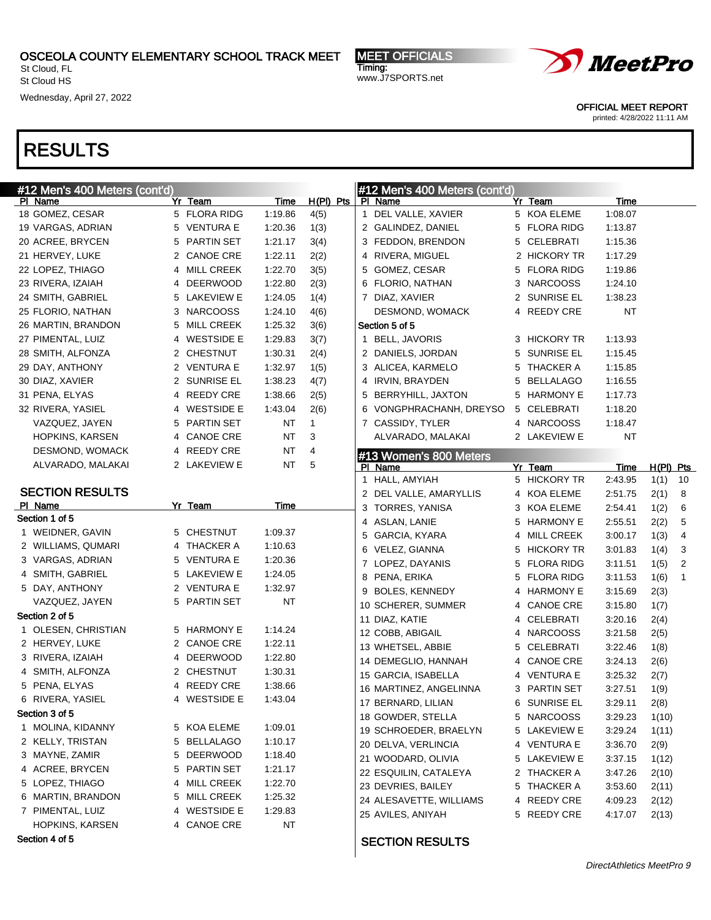St Cloud, FL St Cloud HS

Wednesday, April 27, 2022

MEET OFFICIALS Timing: www.J7SPORTS.net



OFFICIAL MEET REPORT

printed: 4/28/2022 11:11 AM

| #12 Men's 400 Meters (cont'd) |   |                   |           |             |  | #12 Men's 400 Meters (cont'd) |              |           |             |                |
|-------------------------------|---|-------------------|-----------|-------------|--|-------------------------------|--------------|-----------|-------------|----------------|
| PI Name                       |   | Yr Team           | Time      | $H(PI)$ Pts |  | PI Name                       | Yr Team      | Time      |             |                |
| 18 GOMEZ, CESAR               |   | 5 FLORA RIDG      | 1:19.86   | 4(5)        |  | 1 DEL VALLE, XAVIER           | 5 KOA ELEME  | 1:08.07   |             |                |
| 19 VARGAS, ADRIAN             |   | 5 VENTURA E       | 1:20.36   | 1(3)        |  | 2 GALINDEZ, DANIEL            | 5 FLORA RIDG | 1:13.87   |             |                |
| 20 ACREE, BRYCEN              | 5 | PARTIN SET        | 1:21.17   | 3(4)        |  | 3 FEDDON, BRENDON             | 5 CELEBRATI  | 1:15.36   |             |                |
| 21 HERVEY, LUKE               |   | 2 CANOE CRE       | 1:22.11   | 2(2)        |  | 4 RIVERA, MIGUEL              | 2 HICKORY TR | 1:17.29   |             |                |
| 22 LOPEZ, THIAGO              | 4 | MILL CREEK        | 1:22.70   | 3(5)        |  | 5 GOMEZ, CESAR                | 5 FLORA RIDG | 1:19.86   |             |                |
| 23 RIVERA, IZAIAH             | 4 | <b>DEERWOOD</b>   | 1:22.80   | 2(3)        |  | 6 FLORIO, NATHAN              | 3 NARCOOSS   | 1:24.10   |             |                |
| 24 SMITH, GABRIEL             |   | 5 LAKEVIEW E      | 1:24.05   | 1(4)        |  | 7 DIAZ, XAVIER                | 2 SUNRISE EL | 1:38.23   |             |                |
| 25 FLORIO, NATHAN             | 3 | <b>NARCOOSS</b>   | 1:24.10   | 4(6)        |  | DESMOND, WOMACK               | 4 REEDY CRE  | <b>NT</b> |             |                |
| 26 MARTIN, BRANDON            | 5 | <b>MILL CREEK</b> | 1:25.32   | 3(6)        |  | Section 5 of 5                |              |           |             |                |
| 27 PIMENTAL, LUIZ             | 4 | <b>WESTSIDE E</b> | 1:29.83   | 3(7)        |  | 1 BELL, JAVORIS               | 3 HICKORY TR | 1:13.93   |             |                |
| 28 SMITH, ALFONZA             | 2 | <b>CHESTNUT</b>   | 1:30.31   | 2(4)        |  | 2 DANIELS, JORDAN             | 5 SUNRISE EL | 1:15.45   |             |                |
| 29 DAY, ANTHONY               |   | 2 VENTURA E       | 1:32.97   | 1(5)        |  | 3 ALICEA, KARMELO             | 5 THACKER A  | 1:15.85   |             |                |
| 30 DIAZ, XAVIER               | 2 | SUNRISE EL        | 1:38.23   | 4(7)        |  | 4 IRVIN, BRAYDEN              | 5 BELLALAGO  | 1:16.55   |             |                |
| 31 PENA, ELYAS                | 4 | REEDY CRE         | 1.38.66   | 2(5)        |  | 5 BERRYHILL, JAXTON           | 5 HARMONY E  | 1:17.73   |             |                |
| 32 RIVERA, YASIEL             | 4 | <b>WESTSIDE E</b> | 1:43.04   | 2(6)        |  | 6 VONGPHRACHANH, DREYSO       | 5 CELEBRATI  | 1:18.20   |             |                |
| VAZQUEZ, JAYEN                | 5 | <b>PARTIN SET</b> | <b>NT</b> | 1           |  | 7 CASSIDY, TYLER              | 4 NARCOOSS   | 1:18.47   |             |                |
| HOPKINS, KARSEN               | 4 | <b>CANOE CRE</b>  | <b>NT</b> | 3           |  | ALVARADO, MALAKAI             | 2 LAKEVIEW E | <b>NT</b> |             |                |
| DESMOND, WOMACK               |   |                   | <b>NT</b> | 4           |  |                               |              |           |             |                |
|                               | 4 | REEDY CRE         |           | 5           |  | #13 Women's 800 Meters        |              |           |             |                |
| ALVARADO, MALAKAI             |   | 2 LAKEVIEW E      | <b>NT</b> |             |  | PI Name                       | Yr Team      | Time      | $H(PI)$ Pts |                |
|                               |   |                   |           |             |  | 1 HALL, AMYIAH                | 5 HICKORY TR | 2:43.95   | 1(1)        | 10             |
| <b>SECTION RESULTS</b>        |   |                   |           |             |  | 2 DEL VALLE, AMARYLLIS        | 4 KOA ELEME  | 2:51.75   | 2(1)        | 8              |
| PI Name<br>Section 1 of 5     |   | Yr Team           | Time      |             |  | 3 TORRES, YANISA              | 3 KOA ELEME  | 2:54.41   | 1(2)        | 6              |
|                               |   | 5 CHESTNUT        | 1:09.37   |             |  | 4 ASLAN, LANIE                | 5 HARMONY E  | 2:55.51   | 2(2)        | 5              |
| 1 WEIDNER, GAVIN              |   |                   |           |             |  | 5 GARCIA, KYARA               | 4 MILL CREEK | 3:00.17   | 1(3)        | 4              |
| 2 WILLIAMS, QUMARI            |   | 4 THACKER A       | 1:10.63   |             |  | 6 VELEZ, GIANNA               | 5 HICKORY TR | 3:01.83   | 1(4)        | 3              |
| 3 VARGAS, ADRIAN              |   | 5 VENTURA E       | 1:20.36   |             |  | 7 LOPEZ, DAYANIS              | 5 FLORA RIDG | 3:11.51   | 1(5)        | $\overline{2}$ |
| 4 SMITH, GABRIEL              |   | 5 LAKEVIEW E      | 1:24.05   |             |  | 8 PENA, ERIKA                 | 5 FLORA RIDG | 3:11.53   | 1(6)        | 1              |
| 5 DAY, ANTHONY                |   | 2 VENTURA E       | 1:32.97   |             |  | 9 BOLES, KENNEDY              | 4 HARMONY E  | 3:15.69   | 2(3)        |                |
| VAZQUEZ, JAYEN                |   | 5 PARTIN SET      | NT        |             |  | 10 SCHERER, SUMMER            | 4 CANOE CRE  | 3:15.80   | 1(7)        |                |
| Section 2 of 5                |   |                   |           |             |  | 11 DIAZ, KATIE                | 4 CELEBRATI  | 3:20.16   | 2(4)        |                |
| 1 OLESEN, CHRISTIAN           |   | 5 HARMONY E       | 1:14.24   |             |  | 12 COBB, ABIGAIL              | 4 NARCOOSS   | 3:21.58   | 2(5)        |                |
| 2 HERVEY, LUKE                |   | 2 CANOE CRE       | 1:22.11   |             |  | 13 WHETSEL, ABBIE             | 5 CELEBRATI  | 3:22.46   | 1(8)        |                |
| 3 RIVERA, IZAIAH              |   | 4 DEERWOOD        | 1:22.80   |             |  | 14 DEMEGLIO, HANNAH           | 4 CANOE CRE  | 3:24.13   | 2(6)        |                |
| 4 SMITH, ALFONZA              |   | 2 CHESTNUT        | 1:30.31   |             |  | 15 GARCIA, ISABELLA           | 4 VENTURA E  | 3:25.32   | 2(7)        |                |
| 5 PENA, ELYAS                 | 4 | REEDY CRE         | 1:38.66   |             |  | 16 MARTINEZ, ANGELINNA        | 3 PARTIN SET | 3:27.51   | 1(9)        |                |
| 6 RIVERA, YASIEL              |   | 4 WESTSIDE E      | 1:43.04   |             |  | 17 BERNARD, LILIAN            | 6 SUNRISE EL | 3:29.11   | 2(8)        |                |
| Section 3 of 5                |   |                   |           |             |  | 18 GOWDER, STELLA             | 5 NARCOOSS   | 3:29.23   | 1(10)       |                |
| 1 MOLINA, KIDANNY             |   | 5 KOA ELEME       | 1:09.01   |             |  | 19 SCHROEDER, BRAELYN         | 5 LAKEVIEW E | 3:29.24   | 1(11)       |                |
| 2 KELLY, TRISTAN              |   | 5 BELLALAGO       | 1:10.17   |             |  | 20 DELVA, VERLINCIA           | 4 VENTURA E  | 3:36.70   | 2(9)        |                |
| 3 MAYNE, ZAMIR                | 5 | <b>DEERWOOD</b>   | 1:18.40   |             |  | 21 WOODARD, OLIVIA            | 5 LAKEVIEW E | 3:37.15   | 1(12)       |                |
| 4 ACREE, BRYCEN               | 5 | PARTIN SET        | 1:21.17   |             |  | 22 ESQUILIN, CATALEYA         | 2 THACKER A  | 3:47.26   | 2(10)       |                |
| 5 LOPEZ, THIAGO               | 4 | MILL CREEK        | 1:22.70   |             |  | 23 DEVRIES, BAILEY            | 5 THACKER A  | 3:53.60   | 2(11)       |                |
| 6 MARTIN, BRANDON             | 5 | <b>MILL CREEK</b> | 1:25.32   |             |  | 24 ALESAVETTE, WILLIAMS       | 4 REEDY CRE  | 4:09.23   |             |                |
| 7 PIMENTAL, LUIZ              | 4 | <b>WESTSIDE E</b> | 1:29.83   |             |  |                               |              |           | 2(12)       |                |
| HOPKINS, KARSEN               |   | 4 CANOE CRE       | <b>NT</b> |             |  | 25 AVILES, ANIYAH             | 5 REEDY CRE  | 4:17.07   | 2(13)       |                |
| Section 4 of 5                |   |                   |           |             |  | <b>SECTION DESITI TS</b>      |              |           |             |                |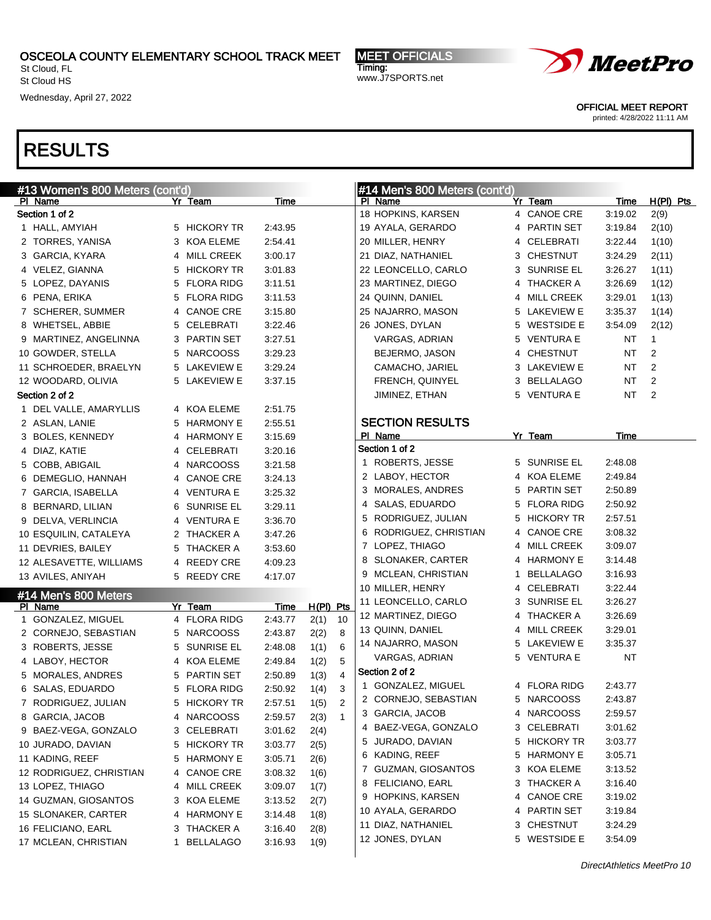St Cloud, FL St Cloud HS

Wednesday, April 27, 2022

MEET OFFICIALS Timing: www.J7SPORTS.net



OFFICIAL MEET REPORT

printed: 4/28/2022 11:11 AM

| #13 Women's 800 Meters (cont'd)             |        |                                      |                    |              | #14 Men's 800 Meters (cont'd) |                                   |   |                   |             |             |
|---------------------------------------------|--------|--------------------------------------|--------------------|--------------|-------------------------------|-----------------------------------|---|-------------------|-------------|-------------|
| PI Name                                     |        | Yr Team                              | Time               |              |                               | PI Name                           |   | Yr Team           | <b>Time</b> | $H(PI)$ Pts |
| Section 1 of 2                              |        |                                      |                    |              |                               | 18 HOPKINS, KARSEN                |   | 4 CANOE CRE       | 3:19.02     | 2(9)        |
| 1 HALL, AMYIAH                              |        | 5 HICKORY TR                         | 2:43.95            |              |                               | 19 AYALA, GERARDO                 |   | 4 PARTIN SET      | 3:19.84     | 2(10)       |
| 2 TORRES, YANISA                            |        | 3 KOA ELEME                          | 2:54.41            |              |                               | 20 MILLER, HENRY                  |   | 4 CELEBRATI       | 3:22.44     | 1(10)       |
| 3 GARCIA, KYARA                             |        | 4 MILL CREEK                         | 3:00.17            |              |                               | 21 DIAZ, NATHANIEL                |   | 3 CHESTNUT        | 3:24.29     | 2(11)       |
| 4 VELEZ, GIANNA                             | 5      | <b>HICKORY TR</b>                    | 3:01.83            |              |                               | 22 LEONCELLO, CARLO               |   | 3 SUNRISE EL      | 3:26.27     | 1(11)       |
| 5 LOPEZ, DAYANIS                            | 5      | <b>FLORA RIDG</b>                    | 3:11.51            |              |                               | 23 MARTINEZ, DIEGO                | 4 | THACKER A         | 3:26.69     | 1(12)       |
| 6 PENA, ERIKA                               | 5      | <b>FLORA RIDG</b>                    | 3:11.53            |              |                               | 24 QUINN, DANIEL                  | 4 | <b>MILL CREEK</b> | 3:29.01     | 1(13)       |
| 7 SCHERER, SUMMER                           |        | 4 CANOE CRE                          | 3:15.80            |              |                               | 25 NAJARRO, MASON                 |   | 5 LAKEVIEW E      | 3:35.37     | 1(14)       |
| 8 WHETSEL, ABBIE                            | 5      | CELEBRATI                            | 3:22.46            |              |                               | 26 JONES, DYLAN                   |   | 5 WESTSIDE E      | 3:54.09     | 2(12)       |
| 9 MARTINEZ, ANGELINNA                       | 3      | PARTIN SET                           | 3:27.51            |              |                               | VARGAS, ADRIAN                    |   | 5 VENTURA E       | NT          | 1           |
| 10 GOWDER, STELLA                           | 5      | <b>NARCOOSS</b>                      | 3:29.23            |              |                               | BEJERMO, JASON                    | 4 | <b>CHESTNUT</b>   | NT          | 2           |
| 11 SCHROEDER, BRAELYN                       |        | 5 LAKEVIEW E                         | 3:29.24            |              |                               | CAMACHO, JARIEL                   |   | 3 LAKEVIEW E      | NT          | 2           |
| 12 WOODARD, OLIVIA                          |        | 5 LAKEVIEW E                         | 3:37.15            |              |                               | FRENCH, QUINYEL                   |   | 3 BELLALAGO       | NT          | 2           |
| Section 2 of 2                              |        |                                      |                    |              |                               | JIMINEZ, ETHAN                    |   | 5 VENTURA E       | NT          | 2           |
| 1 DEL VALLE, AMARYLLIS                      |        | 4 KOA ELEME                          | 2:51.75            |              |                               |                                   |   |                   |             |             |
| 2 ASLAN, LANIE                              |        | 5 HARMONY E                          | 2:55.51            |              |                               | <b>SECTION RESULTS</b><br>PI Name |   | Yr Team           | Time        |             |
| 3 BOLES, KENNEDY                            |        | 4 HARMONY E                          | 3:15.69            |              |                               | Section 1 of 2                    |   |                   |             |             |
| 4 DIAZ, KATIE                               |        | 4 CELEBRATI                          | 3:20.16            |              |                               | 1 ROBERTS, JESSE                  |   | 5 SUNRISE EL      | 2:48.08     |             |
| 5 COBB, ABIGAIL                             |        | 4 NARCOOSS                           | 3:21.58            |              |                               | 2 LABOY, HECTOR                   |   | 4 KOA ELEME       | 2:49.84     |             |
| 6 DEMEGLIO, HANNAH                          |        | 4 CANOE CRE                          | 3:24.13            |              |                               | 3 MORALES, ANDRES                 |   | 5 PARTIN SET      | 2:50.89     |             |
| 7 GARCIA, ISABELLA                          |        | 4 VENTURA E                          | 3:25.32            |              |                               | 4 SALAS, EDUARDO                  |   | 5 FLORA RIDG      | 2:50.92     |             |
| 8 BERNARD, LILIAN                           | 6      | SUNRISE EL                           | 3:29.11            |              |                               | 5 RODRIGUEZ, JULIAN               | 5 | <b>HICKORY TR</b> | 2:57.51     |             |
| 9 DELVA, VERLINCIA                          |        | 4 VENTURA E                          | 3:36.70            |              |                               | 6 RODRIGUEZ, CHRISTIAN            | 4 | <b>CANOE CRE</b>  | 3:08.32     |             |
| 10 ESQUILIN, CATALEYA                       |        | 2 THACKER A<br><b>THACKER A</b>      | 3:47.26            |              |                               | 7 LOPEZ, THIAGO                   |   | 4 MILL CREEK      | 3:09.07     |             |
| 11 DEVRIES, BAILEY                          | 5      |                                      | 3:53.60            |              |                               | 8 SLONAKER, CARTER                |   | 4 HARMONY E       | 3:14.48     |             |
| 12 ALESAVETTE, WILLIAMS                     |        | 4 REEDY CRE                          | 4:09.23            |              |                               | 9 MCLEAN, CHRISTIAN               | 1 | <b>BELLALAGO</b>  | 3:16.93     |             |
| 13 AVILES, ANIYAH                           |        | 5 REEDY CRE                          | 4:17.07            |              |                               | 10 MILLER, HENRY                  |   | 4 CELEBRATI       | 3:22.44     |             |
| #14 Men's 800 Meters                        |        |                                      |                    |              |                               | 11 LEONCELLO, CARLO               |   | 3 SUNRISE EL      | 3:26.27     |             |
| PI Name                                     |        | Yr Team                              | Time               | $H(PI)$ Pts  |                               | 12 MARTINEZ, DIEGO                |   | 4 THACKER A       | 3:26.69     |             |
| 1 GONZALEZ, MIGUEL<br>2 CORNEJO, SEBASTIAN  |        | 4 FLORA RIDG<br><b>NARCOOSS</b>      | 2:43.77<br>2:43.87 | 2(1)         | 10<br>8                       | 13 QUINN, DANIEL                  |   | 4 MILL CREEK      | 3:29.01     |             |
| 3 ROBERTS, JESSE                            | 5      | <b>SUNRISE EL</b>                    | 2:48.08            | 2(2)         | 6                             | 14 NAJARRO, MASON                 |   | 5 LAKEVIEW E      | 3:35.37     |             |
|                                             | 5      |                                      | 2:49.84            | 1(1)         | 5                             | VARGAS, ADRIAN                    |   | 5 VENTURA E       | NT          |             |
| 4 LABOY, HECTOR                             | 4<br>5 | KOA ELEME<br><b>PARTIN SET</b>       | 2:50.89            | 1(2)         | 4                             | Section 2 of 2                    |   |                   |             |             |
| 5 MORALES, ANDRES<br>6 SALAS, EDUARDO       |        | 5 FLORA RIDG                         | 2:50.92            | 1(3)<br>1(4) | 3                             | 1 GONZALEZ, MIGUEL                |   | 4 FLORA RIDG      | 2:43.77     |             |
| 7 RODRIGUEZ, JULIAN                         |        | 5 HICKORY TR                         | 2:57.51            |              | っ                             | 2 CORNEJO, SEBASTIAN              | 5 | <b>NARCOOSS</b>   | 2:43.87     |             |
| 8 GARCIA, JACOB                             |        | 4 NARCOOSS                           | 2:59.57            | 1(5)<br>2(3) | $\overline{1}$                | 3 GARCIA, JACOB                   |   | 4 NARCOOSS        | 2:59.57     |             |
| 9 BAEZ-VEGA, GONZALO                        | 3      | CELEBRATI                            | 3:01.62            |              |                               | 4 BAEZ-VEGA, GONZALO              |   | 3 CELEBRATI       | 3:01.62     |             |
| 10 JURADO, DAVIAN                           | 5      | <b>HICKORY TR</b>                    | 3:03.77            | 2(4)         |                               | JURADO, DAVIAN<br>5               |   | 5 HICKORY TR      | 3:03.77     |             |
|                                             |        |                                      |                    | 2(5)         |                               | 6 KADING, REEF                    |   | 5 HARMONY E       | 3:05.71     |             |
| 11 KADING, REEF<br>12 RODRIGUEZ, CHRISTIAN  | 5      | <b>HARMONY E</b><br><b>CANOE CRE</b> | 3:05.71<br>3:08.32 | 2(6)<br>1(6) |                               | 7 GUZMAN, GIOSANTOS               | 3 | KOA ELEME         | 3:13.52     |             |
|                                             | 4      |                                      |                    |              |                               | 8 FELICIANO, EARL                 | 3 | THACKER A         | 3:16.40     |             |
| 13 LOPEZ, THIAGO                            | 4      | MILL CREEK                           | 3:09.07            | 1(7)         |                               | 9 HOPKINS, KARSEN                 | 4 | <b>CANOE CRE</b>  | 3:19.02     |             |
| 14 GUZMAN, GIOSANTOS<br>15 SLONAKER, CARTER | 3      | KOA ELEME<br><b>HARMONY E</b>        | 3:13.52<br>3:14.48 | 2(7)<br>1(8) |                               | 10 AYALA, GERARDO                 |   | 4 PARTIN SET      | 3:19.84     |             |
| 16 FELICIANO, EARL                          | 4<br>3 | <b>THACKER A</b>                     | 3:16.40            |              |                               | 11 DIAZ, NATHANIEL                | 3 | <b>CHESTNUT</b>   | 3:24.29     |             |
| 17 MCLEAN, CHRISTIAN                        | 1      | <b>BELLALAGO</b>                     | 3:16.93            | 2(8)<br>1(9) |                               | 12 JONES, DYLAN                   |   | 5 WESTSIDE E      | 3:54.09     |             |
|                                             |        |                                      |                    |              |                               |                                   |   |                   |             |             |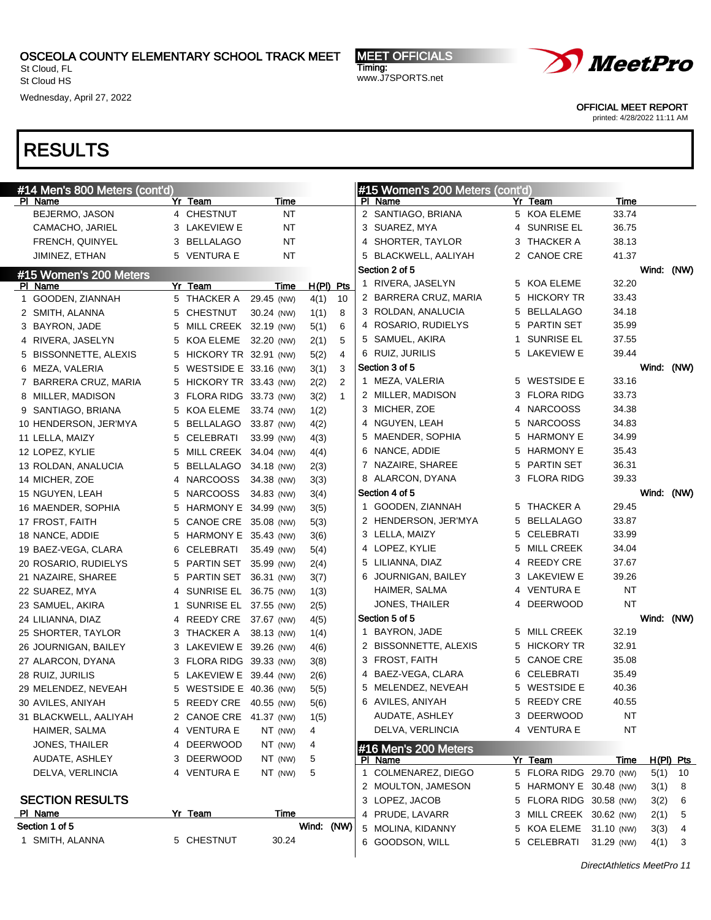St Cloud, FL St Cloud HS

Wednesday, April 27, 2022

MEET OFFICIALS Timing: www.J7SPORTS.net



OFFICIAL MEET REPORT

printed: 4/28/2022 11:11 AM

| #14 Men's 800 Meters (cont'd)           |        |                                                |            |              |              |    | #15 Women's 200 Meters (cont'd)   |    |                                   |                |      |             |
|-----------------------------------------|--------|------------------------------------------------|------------|--------------|--------------|----|-----------------------------------|----|-----------------------------------|----------------|------|-------------|
| PI Name                                 |        | Yr Team                                        | Time       |              |              |    | PI Name                           |    | Yr Team                           | Time           |      |             |
| BEJERMO, JASON                          |        | 4 CHESTNUT                                     | <b>NT</b>  |              |              |    | 2 SANTIAGO, BRIANA                |    | 5 KOA ELEME                       | 33.74          |      |             |
| CAMACHO, JARIEL                         | 3      | LAKEVIEW E                                     | <b>NT</b>  |              |              |    | 3 SUAREZ, MYA                     |    | 4 SUNRISE EL                      | 36.75          |      |             |
| FRENCH, QUINYEL                         | 3.     | <b>BELLALAGO</b>                               | ΝT         |              |              | 4  | SHORTER, TAYLOR                   |    | 3 THACKER A                       | 38.13          |      |             |
| JIMINEZ, ETHAN                          | 5.     | VENTURA E                                      | <b>NT</b>  |              |              |    | BLACKWELL, AALIYAH                |    | 2 CANOE CRE                       | 41.37          |      |             |
| #15 Women's 200 Meters                  |        |                                                |            |              |              |    | Section 2 of 5                    |    |                                   |                |      | Wind: (NW)  |
| PI Name                                 |        | Yr Team                                        | Time       | $H(PI)$ Pts  |              |    | 1 RIVERA, JASELYN                 |    | 5 KOA ELEME                       | 32.20          |      |             |
| 1 GOODEN, ZIANNAH                       |        | 5 THACKER A                                    | 29.45 (NW) | 4(1)         | 10           |    | 2 BARRERA CRUZ, MARIA             |    | 5 HICKORY TR                      | 33.43          |      |             |
| 2 SMITH, ALANNA                         | 5      | <b>CHESTNUT</b>                                | 30.24 (NW) | 1(1)         | 8            |    | 3 ROLDAN, ANALUCIA                |    | 5 BELLALAGO                       | 34.18          |      |             |
| 3 BAYRON, JADE                          | 5      | MILL CREEK 32.19 (NW)                          |            | 5(1)         | 6            |    | 4 ROSARIO, RUDIELYS               |    | 5 PARTIN SET                      | 35.99          |      |             |
| 4 RIVERA, JASELYN                       | 5      | KOA ELEME                                      | 32.20 (NW) | 2(1)         | 5            |    | 5 SAMUEL, AKIRA                   | 1. | <b>SUNRISE EL</b><br>5 LAKEVIEW E | 37.55<br>39.44 |      |             |
| 5 BISSONNETTE, ALEXIS                   | 5      | HICKORY TR 32.91 (NW)                          |            | 5(2)         | 4            |    | 6 RUIZ, JURILIS<br>Section 3 of 5 |    |                                   |                |      |             |
| 6 MEZA, VALERIA                         | 5      | WESTSIDE E 33.16 (NW)                          |            | 3(1)         | 3<br>2       |    | 1 MEZA, VALERIA                   |    | 5 WESTSIDE E                      | 33.16          |      | Wind: (NW)  |
| 7 BARRERA CRUZ, MARIA                   | 5.     | HICKORY TR 33.43 (NW)<br>FLORA RIDG 33.73 (NW) |            | 2(2)         | $\mathbf{1}$ |    | 2 MILLER, MADISON                 |    | 3 FLORA RIDG                      | 33.73          |      |             |
| 8 MILLER, MADISON<br>9 SANTIAGO, BRIANA | 3<br>5 | KOA ELEME                                      | 33.74 (NW) | 3(2)<br>1(2) |              |    | 3 MICHER, ZOE                     |    | 4 NARCOOSS                        | 34.38          |      |             |
| 10 HENDERSON, JER'MYA                   | 5      | <b>BELLALAGO</b>                               | 33.87 (NW) |              |              | 4  | NGUYEN, LEAH                      |    | 5 NARCOOSS                        | 34.83          |      |             |
| 11 LELLA, MAIZY                         | 5      | CELEBRATI                                      | 33.99 (NW) | 4(2)<br>4(3) |              |    | 5 MAENDER, SOPHIA                 |    | 5 HARMONY E                       | 34.99          |      |             |
| 12 LOPEZ, KYLIE                         | 5      | MILL CREEK 34.04 (NW)                          |            | 4(4)         |              |    | 6 NANCE, ADDIE                    |    | 5 HARMONY E                       | 35.43          |      |             |
| 13 ROLDAN, ANALUCIA                     | 5      | <b>BELLALAGO</b>                               | 34.18 (NW) | 2(3)         |              |    | 7 NAZAIRE, SHAREE                 |    | 5 PARTIN SET                      | 36.31          |      |             |
| 14 MICHER, ZOE                          | 4      | <b>NARCOOSS</b>                                | 34.38 (NW) | 3(3)         |              |    | 8 ALARCON, DYANA                  |    | 3 FLORA RIDG                      | 39.33          |      |             |
| 15 NGUYEN, LEAH                         | 5      | <b>NARCOOSS</b>                                | 34.83 (NW) | 3(4)         |              |    | Section 4 of 5                    |    |                                   |                |      | Wind: (NW)  |
| 16 MAENDER, SOPHIA                      | 5      | HARMONY E 34.99 (NW)                           |            | 3(5)         |              | 1. | GOODEN, ZIANNAH                   |    | 5 THACKER A                       | 29.45          |      |             |
| 17 FROST, FAITH                         | 5      | CANOE CRE 35.08 (NW)                           |            | 5(3)         |              |    | 2 HENDERSON, JER'MYA              |    | 5 BELLALAGO                       | 33.87          |      |             |
| 18 NANCE, ADDIE                         | 5      | HARMONY E 35.43 (NW)                           |            | 3(6)         |              |    | 3 LELLA, MAIZY                    |    | 5 CELEBRATI                       | 33.99          |      |             |
| 19 BAEZ-VEGA, CLARA                     | 6      | CELEBRATI                                      | 35.49 (NW) | 5(4)         |              |    | 4 LOPEZ, KYLIE                    |    | 5 MILL CREEK                      | 34.04          |      |             |
| 20 ROSARIO, RUDIELYS                    | 5      | PARTIN SET                                     | 35.99 (NW) | 2(4)         |              |    | 5 LILIANNA, DIAZ                  |    | 4 REEDY CRE                       | 37.67          |      |             |
| 21 NAZAIRE, SHAREE                      | 5      | PARTIN SET                                     | 36.31 (NW) | 3(7)         |              | 6  | JOURNIGAN, BAILEY                 |    | 3 LAKEVIEW E                      | 39.26          |      |             |
| 22 SUAREZ, MYA                          | 4      | SUNRISE EL 36.75 (NW)                          |            | 1(3)         |              |    | HAIMER, SALMA                     |    | 4 VENTURA E                       | NT             |      |             |
| 23 SAMUEL, AKIRA                        | 1      | SUNRISE EL 37.55 (NW)                          |            | 2(5)         |              |    | JONES, THAILER                    |    | 4 DEERWOOD                        | ΝT             |      |             |
| 24 LILIANNA, DIAZ                       | 4      | REEDY CRE                                      | 37.67 (NW) | 4(5)         |              |    | Section 5 of 5                    |    |                                   |                |      | Wind: (NW)  |
| 25 SHORTER, TAYLOR                      | 3      | THACKER A                                      | 38.13 (NW) | 1(4)         |              | 1. | <b>BAYRON, JADE</b>               |    | 5 MILL CREEK                      | 32.19          |      |             |
| 26 JOURNIGAN, BAILEY                    | 3.     | LAKEVIEW E 39.26 (NW)                          |            | 4(6)         |              |    | 2 BISSONNETTE, ALEXIS             |    | 5 HICKORY TR                      | 32.91          |      |             |
| 27 ALARCON, DYANA                       |        | 3 FLORA RIDG 39.33 (NW)                        |            | 3(8)         |              |    | 3 FROST, FAITH                    |    | 5 CANOE CRE                       | 35.08          |      |             |
| 28 RUIZ, JURILIS                        | 5.     | LAKEVIEW E 39.44 (NW)                          |            | 2(6)         |              |    | 4 BAEZ-VEGA, CLARA                |    | 6 CELEBRATI                       | 35.49          |      |             |
| 29 MELENDEZ, NEVEAH                     | 5.     | WESTSIDE E 40.36 (NW)                          |            | 5(5)         |              |    | 5 MELENDEZ, NEVEAH                |    | 5 WESTSIDE E                      | 40.36          |      |             |
| 30 AVILES, ANIYAH                       |        | 5 REEDY CRE 40.55 (NW)                         |            | 5(6)         |              |    | 6 AVILES, ANIYAH                  | 5  | <b>REEDY CRE</b>                  | 40.55          |      |             |
| 31 BLACKWELL, AALIYAH                   |        | 2 CANOE CRE 41.37 (NW)                         |            | 1(5)         |              |    | AUDATE, ASHLEY                    |    | 3 DEERWOOD                        | NT             |      |             |
| HAIMER, SALMA                           |        | 4 VENTURA E                                    | NT (NW)    | 4            |              |    | DELVA, VERLINCIA                  |    | 4 VENTURA E                       | <b>NT</b>      |      |             |
| JONES, THAILER                          |        | 4 DEERWOOD                                     | NT (NW)    | 4            |              |    | #16 Men's 200 Meters              |    |                                   |                |      |             |
| AUDATE, ASHLEY                          |        | 3 DEERWOOD                                     | NT (NW)    | 5            |              |    | PI Name                           |    | Yr Team                           | Time           |      | $H(PI)$ Pts |
| DELVA, VERLINCIA                        |        | 4 VENTURA E                                    | NT (NW)    | 5            |              |    | 1 COLMENAREZ, DIEGO               |    | 5 FLORA RIDG 29.70 (NW)           |                |      | $5(1)$ 10   |
|                                         |        |                                                |            |              |              |    | 2 MOULTON, JAMESON                |    | 5 HARMONY E 30.48 (NW)            |                | 3(1) | 8           |
| <b>SECTION RESULTS</b>                  |        |                                                |            |              |              |    | 3 LOPEZ, JACOB                    |    | 5 FLORA RIDG 30.58 (NW)           |                | 3(2) | 6           |
| PI Name                                 |        | Yr Team                                        | Time       |              |              |    | 4 PRUDE, LAVARR                   |    | 3 MILL CREEK 30.62 (NW)           |                | 2(1) | 5           |
| Section 1 of 5                          |        |                                                |            | Wind: (NW)   |              |    | 5 MOLINA, KIDANNY                 |    | 5 KOA ELEME 31.10 (NW)            |                | 3(3) | 4           |
| 1 SMITH, ALANNA                         |        | 5 CHESTNUT                                     | 30.24      |              |              |    | 6 GOODSON, WILL                   |    | 5 CELEBRATI                       | 31.29 (NW)     | 4(1) | 3           |
|                                         |        |                                                |            |              |              |    |                                   |    |                                   |                |      |             |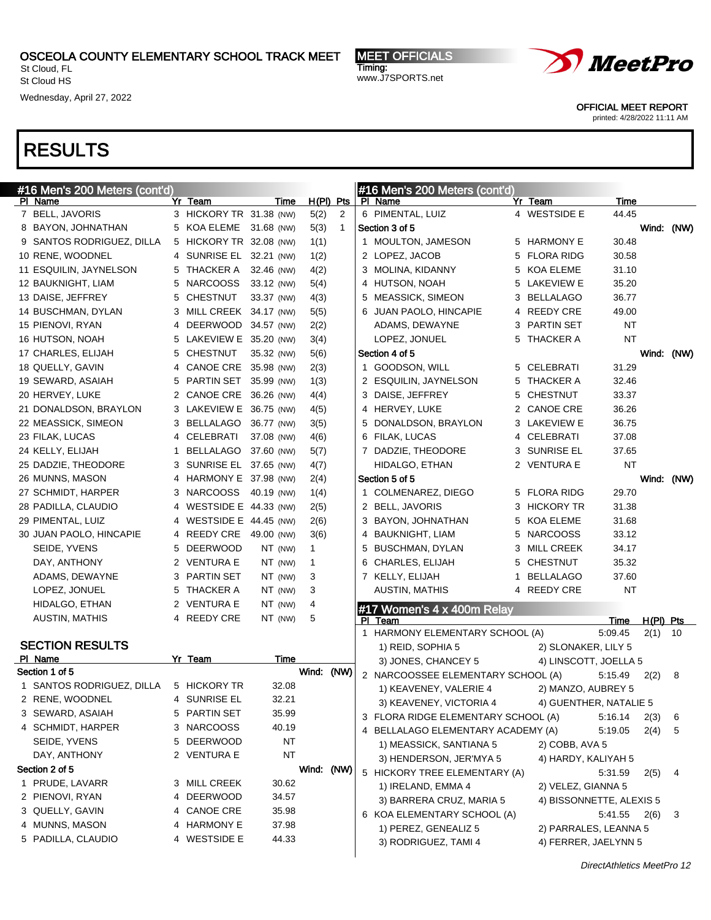St Cloud, FL St Cloud HS

Wednesday, April 27, 2022

MEET OFFICIALS Timing: www.J7SPORTS.net



OFFICIAL MEET REPORT

printed: 4/28/2022 11:11 AM

| #16 Men's 200 Meters (cont'd) |   |                         |            |            |              |   | #16 Men's 200 Meters (cont'd)         |   |                          |           |             |            |
|-------------------------------|---|-------------------------|------------|------------|--------------|---|---------------------------------------|---|--------------------------|-----------|-------------|------------|
| PI Name                       |   | Yr Team                 | Time       |            | $H(PI)$ Pts  |   | PI Name                               |   | Yr Team                  | Time      |             |            |
| 7 BELL, JAVORIS               |   | 3 HICKORY TR 31.38 (NW) |            | 5(2)       | 2            |   | 6 PIMENTAL, LUIZ                      |   | 4 WESTSIDE E             | 44.45     |             |            |
| 8 BAYON, JOHNATHAN            |   | 5 KOA ELEME 31.68 (NW)  |            | 5(3)       | $\mathbf{1}$ |   | Section 3 of 5                        |   |                          |           |             | Wind: (NW) |
| 9 SANTOS RODRIGUEZ, DILLA     |   | 5 HICKORY TR 32.08 (NW) |            | 1(1)       |              |   | 1 MOULTON, JAMESON                    |   | 5 HARMONY E              | 30.48     |             |            |
| 10 RENE, WOODNEL              |   | 4 SUNRISE EL 32.21 (NW) |            | 1(2)       |              |   | 2 LOPEZ, JACOB                        |   | 5 FLORA RIDG             | 30.58     |             |            |
| 11 ESQUILIN, JAYNELSON        |   | 5 THACKER A             | 32.46 (NW) | 4(2)       |              |   | 3 MOLINA, KIDANNY                     |   | 5 KOA ELEME              | 31.10     |             |            |
| 12 BAUKNIGHT, LIAM            | 5 | <b>NARCOOSS</b>         | 33.12 (NW) | 5(4)       |              |   | 4 HUTSON, NOAH                        |   | 5 LAKEVIEW E             | 35.20     |             |            |
| 13 DAISE, JEFFREY             | 5 | <b>CHESTNUT</b>         | 33.37 (NW) | 4(3)       |              |   | 5 MEASSICK, SIMEON                    |   | 3 BELLALAGO              | 36.77     |             |            |
| 14 BUSCHMAN, DYLAN            |   | 3 MILL CREEK 34.17 (NW) |            | 5(5)       |              |   | 6 JUAN PAOLO, HINCAPIE                |   | 4 REEDY CRE              | 49.00     |             |            |
| 15 PIENOVI, RYAN              | 4 | DEERWOOD 34.57 (NW)     |            | 2(2)       |              |   | ADAMS, DEWAYNE                        |   | 3 PARTIN SET             | <b>NT</b> |             |            |
| 16 HUTSON, NOAH               | 5 | LAKEVIEW E 35.20 (NW)   |            | 3(4)       |              |   | LOPEZ, JONUEL                         |   | 5 THACKER A              | <b>NT</b> |             |            |
| 17 CHARLES, ELIJAH            | 5 | <b>CHESTNUT</b>         | 35.32 (NW) | 5(6)       |              |   | Section 4 of 5                        |   |                          |           | Wind:       | (NW)       |
| 18 QUELLY, GAVIN              | 4 | CANOE CRE 35.98 (NW)    |            | 2(3)       |              |   | 1 GOODSON, WILL                       |   | 5 CELEBRATI              | 31.29     |             |            |
| 19 SEWARD, ASAIAH             | 5 | PARTIN SET 35.99 (NW)   |            | 1(3)       |              |   | 2 ESQUILIN, JAYNELSON                 |   | 5 THACKER A              | 32.46     |             |            |
| 20 HERVEY, LUKE               |   | 2 CANOE CRE 36.26 (NW)  |            | 4(4)       |              |   | 3 DAISE, JEFFREY                      |   | 5 CHESTNUT               | 33.37     |             |            |
| 21 DONALDSON, BRAYLON         |   | 3 LAKEVIEW E 36.75 (NW) |            | 4(5)       |              |   | 4 HERVEY, LUKE                        |   | 2 CANOE CRE              | 36.26     |             |            |
| 22 MEASSICK, SIMEON           |   | 3 BELLALAGO 36.77 (NW)  |            | 3(5)       |              |   | 5 DONALDSON, BRAYLON                  |   | 3 LAKEVIEW E             | 36.75     |             |            |
| 23 FILAK, LUCAS               |   | 4 CELEBRATI             | 37.08 (NW) | 4(6)       |              |   | 6 FILAK, LUCAS                        |   | 4 CELEBRATI              | 37.08     |             |            |
| 24 KELLY, ELIJAH              | 1 | BELLALAGO 37.60 (NW)    |            | 5(7)       |              |   | 7 DADZIE, THEODORE                    |   | 3 SUNRISE EL             | 37.65     |             |            |
| 25 DADZIE, THEODORE           | 3 | SUNRISE EL 37.65 (NW)   |            | 4(7)       |              |   | HIDALGO, ETHAN                        |   | 2 VENTURA E              | <b>NT</b> |             |            |
| 26 MUNNS, MASON               |   | 4 HARMONY E 37.98 (NW)  |            | 2(4)       |              |   | Section 5 of 5                        |   |                          |           | Wind:       | (NW)       |
| 27 SCHMIDT, HARPER            | 3 | <b>NARCOOSS</b>         | 40.19 (NW) | 1(4)       |              |   | 1 COLMENAREZ, DIEGO                   |   | 5 FLORA RIDG             | 29.70     |             |            |
| 28 PADILLA, CLAUDIO           |   | 4 WESTSIDE E 44.33 (NW) |            | 2(5)       |              |   | 2 BELL, JAVORIS                       |   | 3 HICKORY TR             | 31.38     |             |            |
| 29 PIMENTAL, LUIZ             |   | 4 WESTSIDE E 44.45 (NW) |            | 2(6)       |              |   | 3 BAYON, JOHNATHAN                    |   | 5 KOA ELEME              | 31.68     |             |            |
| 30 JUAN PAOLO, HINCAPIE       |   | 4 REEDY CRE             | 49.00 (NW) | 3(6)       |              |   | 4 BAUKNIGHT, LIAM                     |   | 5 NARCOOSS               | 33.12     |             |            |
| SEIDE, YVENS                  | 5 | <b>DEERWOOD</b>         | NT (NW)    | 1          |              |   | 5 BUSCHMAN, DYLAN                     |   | 3 MILL CREEK             | 34.17     |             |            |
| DAY, ANTHONY                  |   | 2 VENTURA E             | NT (NW)    | 1          |              |   | 6 CHARLES, ELIJAH                     |   | 5 CHESTNUT               | 35.32     |             |            |
| ADAMS, DEWAYNE                |   | 3 PARTIN SET            | NT (NW)    | 3          |              |   | 7 KELLY, ELIJAH                       | 1 | <b>BELLALAGO</b>         | 37.60     |             |            |
| LOPEZ, JONUEL                 | 5 | THACKER A               | NT (NW)    | 3          |              |   | <b>AUSTIN, MATHIS</b>                 |   | 4 REEDY CRE              | <b>NT</b> |             |            |
| HIDALGO, ETHAN                |   | 2 VENTURA E             | NT (NW)    | 4          |              |   |                                       |   |                          |           |             |            |
| <b>AUSTIN, MATHIS</b>         |   | 4 REEDY CRE             | NT (NW)    | 5          |              |   | #17 Women's 4 x 400m Relay<br>PI Team |   |                          | Time      | $H(PI)$ Pts |            |
|                               |   |                         |            |            |              | 1 | HARMONY ELEMENTARY SCHOOL (A)         |   |                          | 5:09.45   | 2(1)        | - 10       |
| <b>SECTION RESULTS</b>        |   |                         |            |            |              |   | 1) REID, SOPHIA 5                     |   | 2) SLONAKER, LILY 5      |           |             |            |
| PI Name                       |   | Yr Team                 | Time       |            |              |   | 3) JONES, CHANCEY 5                   |   | 4) LINSCOTT, JOELLA 5    |           |             |            |
| Section 1 of 5                |   |                         |            | Wind: (NW) |              |   | 2 NARCOOSSEE ELEMENTARY SCHOOL (A)    |   |                          | 5:15.49   | 2(2)        | 8          |
| 1 SANTOS RODRIGUEZ, DILLA     |   | 5 HICKORY TR            | 32.08      |            |              |   | 1) KEAVENEY, VALERIE 4                |   | 2) MANZO, AUBREY 5       |           |             |            |
| 2 RENE, WOODNEL               |   | 4 SUNRISE EL            | 32.21      |            |              |   | 3) KEAVENEY, VICTORIA 4               |   | 4) GUENTHER, NATALIE 5   |           |             |            |
| 3 SEWARD, ASAIAH              |   | 5 PARTIN SET            | 35.99      |            |              |   | 3 FLORA RIDGE ELEMENTARY SCHOOL (A)   |   |                          | 5:16.14   | 2(3)        | 6          |
| 4 SCHMIDT, HARPER             |   | 3 NARCOOSS              | 40.19      |            |              |   | 4 BELLALAGO ELEMENTARY ACADEMY (A)    |   |                          | 5:19.05   | 2(4)        | 5          |
| SEIDE, YVENS                  |   | 5 DEERWOOD              | NT         |            |              |   | 1) MEASSICK, SANTIANA 5               |   | 2) COBB, AVA 5           |           |             |            |
| DAY, ANTHONY                  |   | 2 VENTURA E             | <b>NT</b>  |            |              |   |                                       |   |                          |           |             |            |
| Section 2 of 5                |   |                         |            | Wind: (NW) |              |   | 3) HENDERSON, JER'MYA 5               |   | 4) HARDY, KALIYAH 5      |           |             |            |
| 1 PRUDE, LAVARR               |   | 3 MILL CREEK            | 30.62      |            |              |   | 5 HICKORY TREE ELEMENTARY (A)         |   |                          | 5:31.59   | 2(5)        | 4          |
| 2 PIENOVI, RYAN               |   | 4 DEERWOOD              | 34.57      |            |              |   | 1) IRELAND, EMMA 4                    |   | 2) VELEZ, GIANNA 5       |           |             |            |
| 3 QUELLY, GAVIN               |   | 4 CANOE CRE             | 35.98      |            |              |   | 3) BARRERA CRUZ, MARIA 5              |   | 4) BISSONNETTE, ALEXIS 5 |           |             |            |
| 4 MUNNS, MASON                |   | 4 HARMONY E             | 37.98      |            |              |   | 6 KOA ELEMENTARY SCHOOL (A)           |   |                          | 5:41.55   | 2(6)        | 3          |
| 5 PADILLA, CLAUDIO            |   | 4 WESTSIDE E            | 44.33      |            |              |   | 1) PEREZ, GENEALIZ 5                  |   | 2) PARRALES, LEANNA 5    |           |             |            |
|                               |   |                         |            |            |              |   | 3) RODRIGUEZ, TAMI 4                  |   | 4) FERRER, JAELYNN 5     |           |             |            |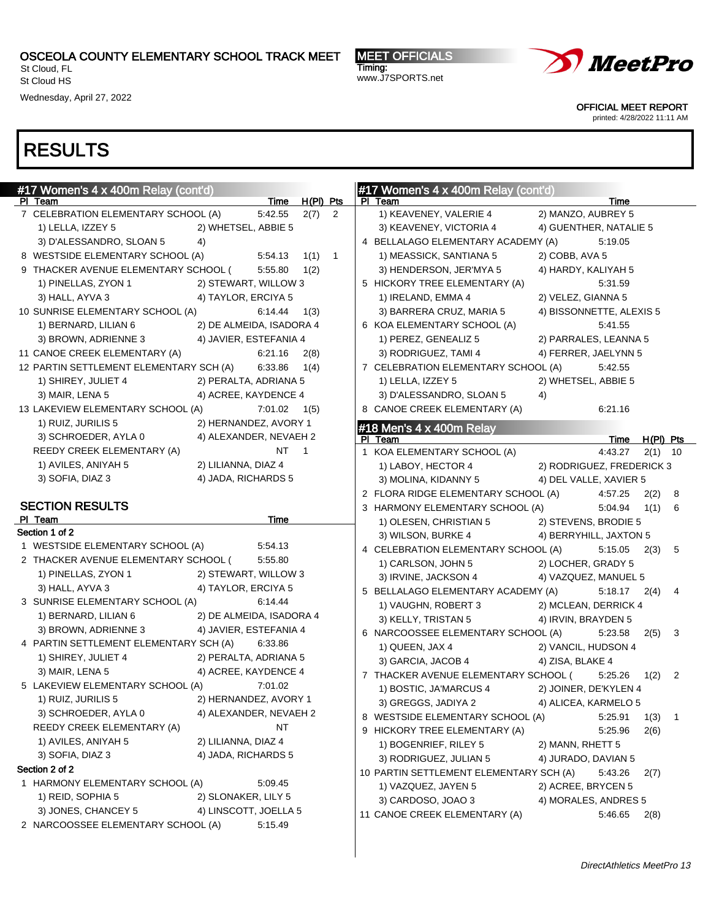St Cloud, FL St Cloud HS

Wednesday, April 27, 2022

MEET OFFICIALS Timing: www.J7SPORTS.net



OFFICIAL MEET REPORT

printed: 4/28/2022 11:11 AM

| #17 Women's 4 x 400m Relay (cont'd)                |                                                    |                  |          | #17 Women's 4 x 400m Relay (cont'd)                        |           |
|----------------------------------------------------|----------------------------------------------------|------------------|----------|------------------------------------------------------------|-----------|
| PI Team                                            |                                                    | Time H(PI) Pts   |          | PI Team<br>Time                                            |           |
| 7 CELEBRATION ELEMENTARY SCHOOL (A)                | 5:42.55                                            |                  | $2(7)$ 2 | 2) MANZO, AUBREY 5<br>1) KEAVENEY, VALERIE 4               |           |
| 1) LELLA, IZZEY 5                                  | 2) WHETSEL, ABBIE 5                                |                  |          | 4) GUENTHER, NATALIE 5<br>3) KEAVENEY, VICTORIA 4          |           |
| 3) D'ALESSANDRO, SLOAN 5                           | 4)                                                 |                  |          | 4 BELLALAGO ELEMENTARY ACADEMY (A)<br>5:19.05              |           |
| 8 WESTSIDE ELEMENTARY SCHOOL (A)                   | 5:54.13                                            |                  | $1(1)$ 1 | 1) MEASSICK, SANTIANA 5<br>2) COBB, AVA 5                  |           |
| 9 THACKER AVENUE ELEMENTARY SCHOOL (               | 5:55.80                                            | 1(2)             |          | 3) HENDERSON, JER'MYA 5<br>4) HARDY, KALIYAH 5             |           |
| 1) PINELLAS, ZYON 1                                | 2) STEWART, WILLOW 3                               |                  |          | 5 HICKORY TREE ELEMENTARY (A)<br>5:31.59                   |           |
| 3) HALL, AYVA 3                                    | 4) TAYLOR, ERCIYA 5                                |                  |          | 1) IRELAND, EMMA 4<br>2) VELEZ, GIANNA 5                   |           |
| 10 SUNRISE ELEMENTARY SCHOOL (A)                   | 6:14.44                                            | 1(3)             |          | 3) BARRERA CRUZ, MARIA 5<br>4) BISSONNETTE, ALEXIS 5       |           |
| 1) BERNARD, LILIAN 6                               | 2) DE ALMEIDA, ISADORA 4                           |                  |          | 6 KOA ELEMENTARY SCHOOL (A)<br>5:41.55                     |           |
| 3) BROWN, ADRIENNE 3                               | 4) JAVIER, ESTEFANIA 4                             |                  |          | 1) PEREZ, GENEALIZ 5<br>2) PARRALES, LEANNA 5              |           |
| 11 CANOE CREEK ELEMENTARY (A)                      | 6:21.16                                            | 2(8)             |          | 3) RODRIGUEZ, TAMI 4<br>4) FERRER, JAELYNN 5               |           |
| 12 PARTIN SETTLEMENT ELEMENTARY SCH (A)            | 6:33.86                                            | 1(4)             |          | 7 CELEBRATION ELEMENTARY SCHOOL (A)<br>5:42.55             |           |
| 1) SHIREY, JULIET 4                                | 2) PERALTA, ADRIANA 5                              |                  |          | 1) LELLA, IZZEY 5<br>2) WHETSEL, ABBIE 5                   |           |
| 3) MAIR, LENA 5                                    | 4) ACREE, KAYDENCE 4                               |                  |          | 3) D'ALESSANDRO, SLOAN 5<br>4)                             |           |
| 13 LAKEVIEW ELEMENTARY SCHOOL (A)                  |                                                    | $7:01.02$ $1(5)$ |          | 8 CANOE CREEK ELEMENTARY (A)<br>6:21.16                    |           |
| 1) RUIZ, JURILIS 5                                 | 2) HERNANDEZ, AVORY 1                              |                  |          | $\#18$ Men's 4 x 400m Relay                                |           |
| 3) SCHROEDER, AYLA 0                               | 4) ALEXANDER, NEVAEH 2                             |                  |          | Time H(PI) Pts<br>PI Team                                  |           |
| REEDY CREEK ELEMENTARY (A)                         |                                                    | NT 1             |          | 4:43.27<br>1 KOA ELEMENTARY SCHOOL (A)                     | $2(1)$ 10 |
| 1) AVILES, ANIYAH 5                                | 2) LILIANNA, DIAZ 4                                |                  |          | 1) LABOY, HECTOR 4<br>2) RODRIGUEZ, FREDERICK 3            |           |
| 3) SOFIA, DIAZ 3                                   | 4) JADA, RICHARDS 5                                |                  |          | 4) DEL VALLE, XAVIER 5<br>3) MOLINA, KIDANNY 5             |           |
|                                                    |                                                    |                  |          | 2 FLORA RIDGE ELEMENTARY SCHOOL (A)<br>4:57.25             | 2(2) 8    |
| <b>SECTION RESULTS</b>                             |                                                    |                  |          | 3 HARMONY ELEMENTARY SCHOOL (A)<br>5:04.94                 | $1(1)$ 6  |
| PI Team                                            | Time                                               |                  |          | 1) OLESEN, CHRISTIAN 5<br>2) STEVENS, BRODIE 5             |           |
| Section 1 of 2                                     |                                                    |                  |          | 3) WILSON, BURKE 4<br>4) BERRYHILL, JAXTON 5               |           |
| 1 WESTSIDE ELEMENTARY SCHOOL (A)                   | 5:54.13                                            |                  |          | 4 CELEBRATION ELEMENTARY SCHOOL (A)<br>$5:15.05$ $2(3)$ 5  |           |
| 2 THACKER AVENUE ELEMENTARY SCHOOL (               | 5:55.80                                            |                  |          | 1) CARLSON, JOHN 5<br>2) LOCHER, GRADY 5                   |           |
| 1) PINELLAS, ZYON 1                                | 2) STEWART, WILLOW 3<br>4) TAYLOR, ERCIYA 5        |                  |          | 3) IRVINE, JACKSON 4<br>4) VAZQUEZ, MANUEL 5               |           |
| 3) HALL, AYVA 3<br>3 SUNRISE ELEMENTARY SCHOOL (A) | 6:14.44                                            |                  |          | 5 BELLALAGO ELEMENTARY ACADEMY (A)<br>$5:18.17$ $2(4)$ 4   |           |
|                                                    |                                                    |                  |          | 1) VAUGHN, ROBERT 3<br>2) MCLEAN, DERRICK 4                |           |
| 1) BERNARD, LILIAN 6<br>3) BROWN, ADRIENNE 3       | 2) DE ALMEIDA, ISADORA 4<br>4) JAVIER, ESTEFANIA 4 |                  |          | 3) KELLY, TRISTAN 5<br>4) IRVIN, BRAYDEN 5                 |           |
| 4 PARTIN SETTLEMENT ELEMENTARY SCH (A)             | 6.33.86                                            |                  |          | 6 NARCOOSSEE ELEMENTARY SCHOOL (A)<br>$5:23.58$ $2(5)$ 3   |           |
| 1) SHIREY, JULIET 4                                | 2) PERALTA, ADRIANA 5                              |                  |          | 1) QUEEN, JAX 4<br>2) VANCIL, HUDSON 4                     |           |
| 3) MAIR, LENA 5                                    | 4) ACREE, KAYDENCE 4                               |                  |          | 3) GARCIA, JACOB 4<br>4) ZISA, BLAKE 4                     |           |
| 5 LAKEVIEW ELEMENTARY SCHOOL (A)                   | 7:01.02                                            |                  |          | 7 THACKER AVENUE ELEMENTARY SCHOOL (<br>$5:25.26$ $1(2)$ 2 |           |
| 1) RUIZ, JURILIS 5                                 | 2) HERNANDEZ, AVORY 1                              |                  |          | 1) BOSTIC, JA'MARCUS 4<br>2) JOINER, DE'KYLEN 4            |           |
| 3) SCHROEDER, AYLA 0                               | 4) ALEXANDER, NEVAEH 2                             |                  |          | 3) GREGGS, JADIYA 2 4) ALICEA, KARMELO 5                   |           |
| REEDY CREEK ELEMENTARY (A)                         |                                                    | NT               |          | 8 WESTSIDE ELEMENTARY SCHOOL (A)<br>5:25.91                | $1(3)$ 1  |
| 1) AVILES, ANIYAH 5                                | 2) LILIANNA, DIAZ 4                                |                  |          | 9 HICKORY TREE ELEMENTARY (A)<br>5:25.96<br>2(6)           |           |
| 3) SOFIA, DIAZ 3                                   | 4) JADA, RICHARDS 5                                |                  |          | 1) BOGENRIEF, RILEY 5<br>2) MANN, RHETT 5                  |           |
| Section 2 of 2                                     |                                                    |                  |          | 3) RODRIGUEZ, JULIAN 5<br>4) JURADO, DAVIAN 5              |           |
| 1 HARMONY ELEMENTARY SCHOOL (A)                    | 5:09.45                                            |                  |          | 10 PARTIN SETTLEMENT ELEMENTARY SCH (A)<br>5:43.26<br>2(7) |           |
| 1) REID, SOPHIA 5                                  | 2) SLONAKER, LILY 5                                |                  |          | 1) VAZQUEZ, JAYEN 5<br>2) ACREE, BRYCEN 5                  |           |
| 3) JONES, CHANCEY 5                                | 4) LINSCOTT, JOELLA 5                              |                  |          | 3) CARDOSO, JOAO 3<br>4) MORALES, ANDRES 5                 |           |
|                                                    |                                                    |                  |          | 11 CANOE CREEK ELEMENTARY (A)<br>5:46.65<br>2(8)           |           |
| 2 NARCOOSSEE ELEMENTARY SCHOOL (A)                 | 5:15.49                                            |                  |          |                                                            |           |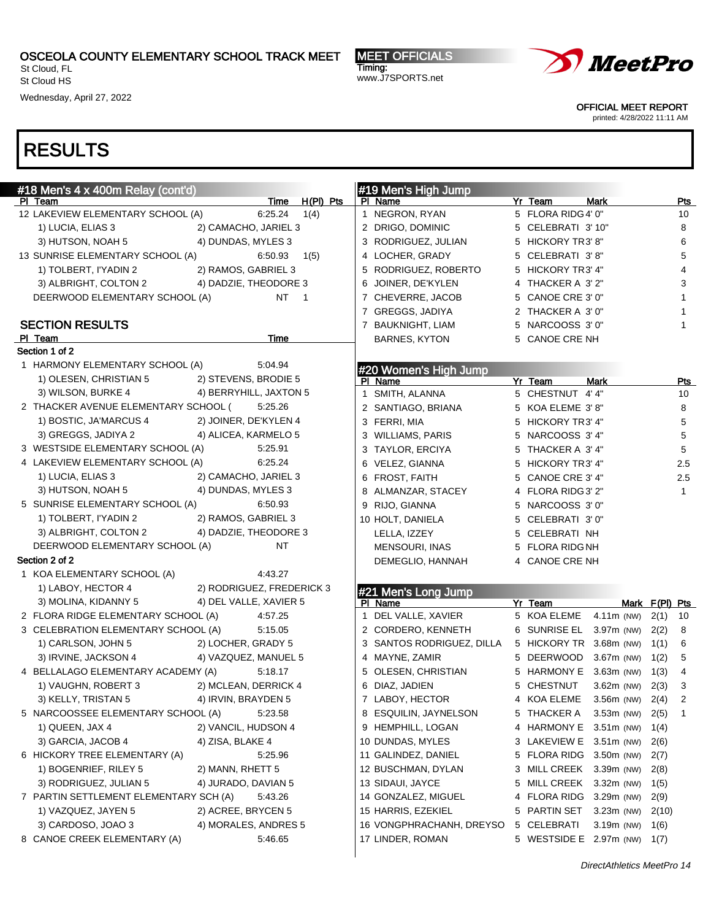St Cloud, FL St Cloud HS

Wednesday, April 27, 2022

MEET OFFICIALS Timing: www.J7SPORTS.net



OFFICIAL MEET REPORT

printed: 4/28/2022 11:11 AM

| #18 Men's 4 x 400m Relay (cont'd)                             |      | #19 Men's High Jump       |                              |              |                |              |
|---------------------------------------------------------------|------|---------------------------|------------------------------|--------------|----------------|--------------|
| Time H(PI) Pts<br>PI Team                                     |      | PI Name                   | Yr Team                      | <b>Mark</b>  |                | <u>Pts</u>   |
| 12 LAKEVIEW ELEMENTARY SCHOOL (A)<br>6:25.24                  | 1(4) | 1 NEGRON, RYAN            | 5 FLORA RIDG 4' 0"           |              |                | 10           |
| 2) CAMACHO, JARIEL 3<br>1) LUCIA, ELIAS 3                     |      | 2 DRIGO, DOMINIC          | 5 CELEBRATI 3' 10"           |              |                | 8            |
| 4) DUNDAS, MYLES 3<br>3) HUTSON, NOAH 5                       |      | 3 RODRIGUEZ, JULIAN       | 5 HICKORY TR3' 8"            |              |                | 6            |
| 13 SUNRISE ELEMENTARY SCHOOL (A)<br>6:50.93                   | 1(5) | 4 LOCHER, GRADY           | 5 CELEBRATI 3'8"             |              |                | 5            |
| 2) RAMOS, GABRIEL 3<br>1) TOLBERT, I'YADIN 2                  |      | 5 RODRIGUEZ, ROBERTO      | 5 HICKORY TR3' 4"            |              |                | 4            |
| 3) ALBRIGHT, COLTON 2<br>4) DADZIE, THEODORE 3                |      | 6 JOINER, DE'KYLEN        | 4 THACKER A 3'2"             |              |                | 3            |
| <b>NT</b><br>DEERWOOD ELEMENTARY SCHOOL (A)<br>$\overline{1}$ |      | 7 CHEVERRE, JACOB         | 5 CANOE CRE 3' 0"            |              |                | $\mathbf{1}$ |
|                                                               |      | 7 GREGGS, JADIYA          | 2 THACKER A 3'0"             |              |                | $\mathbf{1}$ |
| <b>SECTION RESULTS</b>                                        |      | 7 BAUKNIGHT, LIAM         | 5 NARCOOSS 3' 0"             |              |                | $\mathbf{1}$ |
| PI_Team<br>Time                                               |      | <b>BARNES, KYTON</b>      | 5 CANOE CRE NH               |              |                |              |
| Section 1 of 2                                                |      |                           |                              |              |                |              |
| 1 HARMONY ELEMENTARY SCHOOL (A)<br>5:04.94                    |      | #20 Women's High Jump     |                              |              |                |              |
| 1) OLESEN, CHRISTIAN 5<br>2) STEVENS, BRODIE 5                |      | PI Name                   | Yr Team                      | <b>Mark</b>  |                | <b>Pts</b>   |
| 3) WILSON, BURKE 4<br>4) BERRYHILL, JAXTON 5                  |      | 1 SMITH, ALANNA           | 5 CHESTNUT 4' 4"             |              |                | 10           |
| 2 THACKER AVENUE ELEMENTARY SCHOOL (<br>5:25.26               |      | 2 SANTIAGO, BRIANA        | 5 KOA ELEME 3'8"             |              |                | 8            |
| 1) BOSTIC, JA'MARCUS 4<br>2) JOINER, DE'KYLEN 4               |      | 3 FERRI, MIA              | 5 HICKORY TR3' 4"            |              |                | 5            |
| 3) GREGGS, JADIYA 2<br>4) ALICEA, KARMELO 5                   |      | 3 WILLIAMS, PARIS         | 5 NARCOOSS 3' 4"             |              |                | 5            |
| 3 WESTSIDE ELEMENTARY SCHOOL (A)<br>5:25.91                   |      | 3 TAYLOR, ERCIYA          | 5 THACKER A 3'4"             |              |                | 5            |
| 4 LAKEVIEW ELEMENTARY SCHOOL (A)<br>6:25.24                   |      | 6 VELEZ, GIANNA           | 5 HICKORY TR3' 4"            |              |                | 2.5          |
| 1) LUCIA, ELIAS 3<br>2) CAMACHO, JARIEL 3                     |      | 6 FROST, FAITH            | 5 CANOE CRE 3' 4"            |              |                | 2.5          |
| 4) DUNDAS, MYLES 3<br>3) HUTSON, NOAH 5                       |      | 8 ALMANZAR, STACEY        | 4 FLORA RIDG 3' 2"           |              |                | $\mathbf{1}$ |
| 5 SUNRISE ELEMENTARY SCHOOL (A)<br>6.50.93                    |      | 9 RIJO, GIANNA            | 5 NARCOOSS 3' 0"             |              |                |              |
| 2) RAMOS, GABRIEL 3<br>1) TOLBERT, I'YADIN 2                  |      | 10 HOLT, DANIELA          | 5 CELEBRATI 3'0"             |              |                |              |
| 4) DADZIE, THEODORE 3<br>3) ALBRIGHT, COLTON 2                |      | LELLA, IZZEY              | 5 CELEBRATI NH               |              |                |              |
| DEERWOOD ELEMENTARY SCHOOL (A)<br>NT                          |      | <b>MENSOURI, INAS</b>     | 5 FLORA RIDG NH              |              |                |              |
| Section 2 of 2                                                |      | DEMEGLIO, HANNAH          | 4 CANOE CRE NH               |              |                |              |
| 1 KOA ELEMENTARY SCHOOL (A)<br>4:43.27                        |      |                           |                              |              |                |              |
| 1) LABOY, HECTOR 4<br>2) RODRIGUEZ, FREDERICK 3               |      | #21 Men's Long Jump       |                              |              |                |              |
| 4) DEL VALLE, XAVIER 5<br>3) MOLINA, KIDANNY 5                |      | PI Name                   | Yr Team                      |              | Mark F(PI) Pts |              |
| 2 FLORA RIDGE ELEMENTARY SCHOOL (A)<br>4:57.25                |      | 1 DEL VALLE, XAVIER       | 5 KOA ELEME                  | $4.11m$ (NW) | 2(1)           | 10           |
| 3 CELEBRATION ELEMENTARY SCHOOL (A)<br>5:15.05                |      | 2 CORDERO, KENNETH        | 6 SUNRISE EL                 | $3.97m$ (NW) | 2(2)           | 8            |
| 2) LOCHER, GRADY 5<br>1) CARLSON, JOHN 5                      |      | 3 SANTOS RODRIGUEZ, DILLA | 5 HICKORY TR 3.68m (NW)      |              | 1(1)           | 6            |
| 4) VAZQUEZ, MANUEL 5<br>3) IRVINE, JACKSON 4                  |      | 4 MAYNE, ZAMIR            | 5 DEERWOOD                   | 3.67m (NW)   | 1(2)           | 5            |
| 4 BELLALAGO ELEMENTARY ACADEMY (A)<br>5:18.17                 |      | 5 OLESEN, CHRISTIAN       | 5 HARMONY E                  | $3.63m$ (NW) | 1(3)           | 4            |
| 1) VAUGHN, ROBERT 3<br>2) MCLEAN, DERRICK 4                   |      | 6 DIAZ, JADIEN            | 5 CHESTNUT                   | $3.62m$ (NW) | 2(3)           | 3            |
| 3) KELLY, TRISTAN 5<br>4) IRVIN, BRAYDEN 5                    |      | 7 LABOY, HECTOR           | 4 KOA ELEME                  | $3.56m$ (NW) | 2(4)           | 2            |
| 5 NARCOOSSEE ELEMENTARY SCHOOL (A)<br>5:23.58                 |      | 8 ESQUILIN, JAYNELSON     | 5 THACKER A 3.53m (NW) 2(5)  |              |                | $\mathbf{1}$ |
| 1) QUEEN, JAX 4<br>2) VANCIL, HUDSON 4                        |      | 9 HEMPHILL, LOGAN         | 4 HARMONY E 3.51m (NW)       |              | 1(4)           |              |
| 3) GARCIA, JACOB 4<br>4) ZISA, BLAKE 4                        |      | 10 DUNDAS, MYLES          | 3 LAKEVIEW E 3.51m (NW)      |              | 2(6)           |              |
| 6 HICKORY TREE ELEMENTARY (A)<br>5:25.96                      |      | 11 GALINDEZ, DANIEL       | 5 FLORA RIDG 3.50m (NW)      |              | 2(7)           |              |
| 1) BOGENRIEF, RILEY 5<br>2) MANN, RHETT 5                     |      | 12 BUSCHMAN, DYLAN        | 3 MILL CREEK 3.39m (NW)      |              | 2(8)           |              |
| 3) RODRIGUEZ, JULIAN 5<br>4) JURADO, DAVIAN 5                 |      | 13 SIDAUI, JAYCE          | 5 MILL CREEK 3.32m (NW)      |              | 1(5)           |              |
| 7 PARTIN SETTLEMENT ELEMENTARY SCH (A)<br>5:43.26             |      | 14 GONZALEZ, MIGUEL       | 4 FLORA RIDG 3.29m (NW)      |              | 2(9)           |              |
| 1) VAZQUEZ, JAYEN 5<br>2) ACREE, BRYCEN 5                     |      | 15 HARRIS, EZEKIEL        | 5 PARTIN SET                 | $3.23m$ (NW) | 2(10)          |              |
| 3) CARDOSO, JOAO 3<br>4) MORALES, ANDRES 5                    |      | 16 VONGPHRACHANH, DREYSO  | 5 CELEBRATI                  | $3.19m$ (NW) | 1(6)           |              |
| 8 CANOE CREEK ELEMENTARY (A)<br>5:46.65                       |      | 17 LINDER, ROMAN          | 5 WESTSIDE E 2.97m (NW) 1(7) |              |                |              |
|                                                               |      |                           |                              |              |                |              |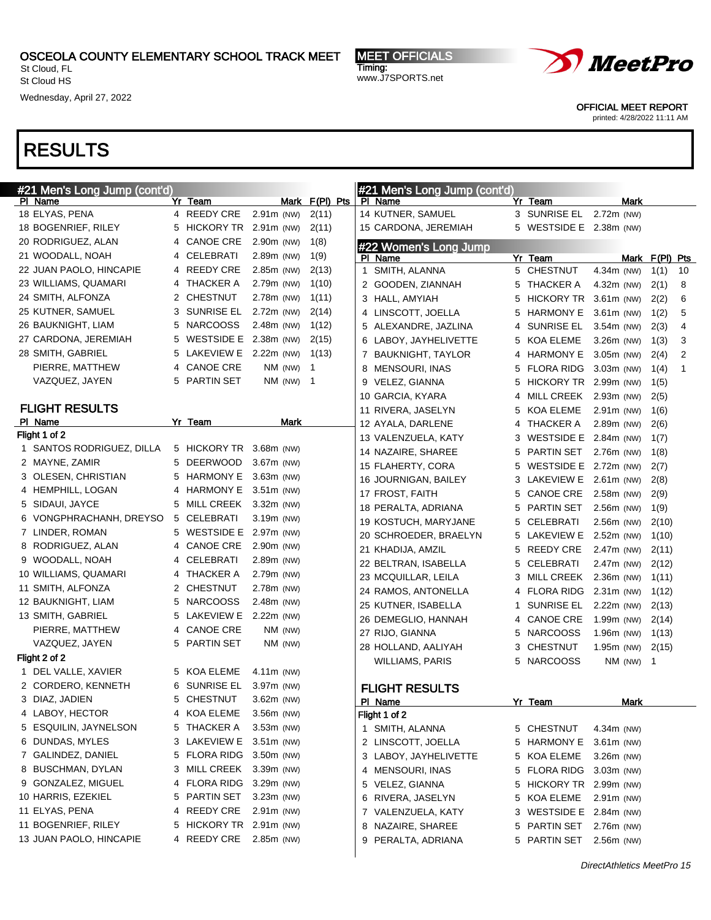St Cloud, FL St Cloud HS

Wednesday, April 27, 2022

MEET OFFICIALS Timing: www.J7SPORTS.net



OFFICIAL MEET REPORT

printed: 4/28/2022 11:11 AM

| #21 Men's Long Jump (cont'd) |    |                       |                              |             |                |              | #21 Men's Long Jump (cont'd) |   |                       |              |      |                |    |
|------------------------------|----|-----------------------|------------------------------|-------------|----------------|--------------|------------------------------|---|-----------------------|--------------|------|----------------|----|
| PI Name                      |    | Yr Team               |                              |             | Mark F(PI) Pts |              | PI Name                      |   | Yr Team               |              | Mark |                |    |
| 18 ELYAS, PENA               |    | 4 REEDY CRE           | $2.91m$ (NW)                 |             | 2(11)          |              | 14 KUTNER, SAMUEL            |   | 3 SUNRISE EL          | 2.72m (NW)   |      |                |    |
| 18 BOGENRIEF, RILEY          | 5. | HICKORY TR 2.91m (NW) |                              |             | 2(11)          |              | 15 CARDONA, JEREMIAH         | 5 | WESTSIDE E 2.38m (NW) |              |      |                |    |
| 20 RODRIGUEZ, ALAN           | 4  | <b>CANOE CRE</b>      | 2.90m (NW)                   |             | 1(8)           |              | #22 Women's Long Jump        |   |                       |              |      |                |    |
| 21 WOODALL, NOAH             | 4  | CELEBRATI             | 2.89m (NW)                   |             | 1(9)           |              | PI Name                      |   | Yr Team               |              |      | Mark F(PI) Pts |    |
| 22 JUAN PAOLO, HINCAPIE      |    | 4 REEDY CRE           | 2.85m (NW)                   |             | 2(13)          | $\mathbf{1}$ | SMITH, ALANNA                | 5 | <b>CHESTNUT</b>       | 4.34m (NW)   |      | 1(1)           | 10 |
| 23 WILLIAMS, QUAMARI         | 4  | <b>THACKER A</b>      | 2.79m (NW)                   |             | 1(10)          |              | 2 GOODEN, ZIANNAH            | 5 | <b>THACKER A</b>      | 4.32m (NW)   |      | 2(1)           | 8  |
| 24 SMITH, ALFONZA            |    | 2 CHESTNUT            | 2.78m (NW)                   |             | 1(11)          |              | 3 HALL, AMYIAH               | 5 | <b>HICKORY TR</b>     | $3.61m$ (NW) |      | 2(2)           | 6  |
| 25 KUTNER, SAMUEL            | 3  | <b>SUNRISE EL</b>     | 2.72m (NW)                   |             | 2(14)          |              | 4 LINSCOTT, JOELLA           | 5 | <b>HARMONY E</b>      | $3.61m$ (NW) |      | 1(2)           | 5  |
| 26 BAUKNIGHT, LIAM           | 5  | <b>NARCOOSS</b>       | 2.48m (NW)                   |             | 1(12)          |              | 5 ALEXANDRE, JAZLINA         | 4 | <b>SUNRISE EL</b>     | 3.54m (NW)   |      | 2(3)           | 4  |
| 27 CARDONA, JEREMIAH         | 5  | WESTSIDE E 2.38m (NW) |                              |             | 2(15)          |              | 6 LABOY, JAYHELIVETTE        | 5 | KOA ELEME             | $3.26m$ (NW) |      | 1(3)           | 3  |
| 28 SMITH, GABRIEL            | 5  | LAKEVIEW E            | 2.22m (NW)                   |             | 1(13)          | 7            | <b>BAUKNIGHT, TAYLOR</b>     | 4 | <b>HARMONY E</b>      | 3.05m (NW)   |      | 2(4)           | 2  |
| PIERRE, MATTHEW              | 4  | <b>CANOE CRE</b>      |                              | NM (NW)     | -1             |              | 8 MENSOURI, INAS             | 5 | <b>FLORA RIDG</b>     | 3.03m (NW)   |      | 1(4)           | 1  |
| VAZQUEZ, JAYEN               | 5  | <b>PARTIN SET</b>     |                              | $NM$ (NW) 1 |                |              | 9 VELEZ, GIANNA              | 5 | <b>HICKORY TR</b>     | 2.99m (NW)   |      | 1(5)           |    |
|                              |    |                       |                              |             |                |              | 10 GARCIA, KYARA             | 4 | MILL CREEK            | 2.93m (NW)   |      | 2(5)           |    |
| <b>FLIGHT RESULTS</b>        |    |                       |                              |             |                |              | 11 RIVERA, JASELYN           | 5 | KOA ELEME             | $2.91m$ (NW) |      | 1(6)           |    |
| PI Name                      |    | Yr Team               |                              | Mark        |                |              | 12 AYALA, DARLENE            | 4 | <b>THACKER A</b>      | 2.89m (NW)   |      | 2(6)           |    |
| Flight 1 of 2                |    |                       |                              |             |                |              | 13 VALENZUELA, KATY          | 3 | <b>WESTSIDE E</b>     | 2.84m (NW)   |      | 1(7)           |    |
| 1 SANTOS RODRIGUEZ, DILLA    |    | 5 HICKORY TR          | $3.68m$ (NW)                 |             |                |              | 14 NAZAIRE, SHAREE           | 5 | <b>PARTIN SET</b>     | 2.76m (NW)   |      | 1(8)           |    |
| 2 MAYNE, ZAMIR               | 5  | <b>DEERWOOD</b>       | 3.67m (NW)                   |             |                |              | 15 FLAHERTY, CORA            | 5 | <b>WESTSIDE E</b>     | 2.72m (NW)   |      | 2(7)           |    |
| 3 OLESEN, CHRISTIAN          | 5  | <b>HARMONY E</b>      | $3.63m$ (NW)                 |             |                |              | 16 JOURNIGAN, BAILEY         | 3 | <b>LAKEVIEW E</b>     | $2.61m$ (NW) |      | 2(8)           |    |
| 4 HEMPHILL, LOGAN            | 4  | <b>HARMONY E</b>      | 3.51m (NW)                   |             |                |              | 17 FROST, FAITH              | 5 | <b>CANOE CRE</b>      | 2.58m (NW)   |      | 2(9)           |    |
| 5 SIDAUI, JAYCE              | 5  | <b>MILL CREEK</b>     | $3.32m$ (NW)                 |             |                |              | 18 PERALTA, ADRIANA          | 5 | <b>PARTIN SET</b>     | 2.56m (NW)   |      | 1(9)           |    |
| 6 VONGPHRACHANH, DREYSO      | 5  | CELEBRATI             | 3.19m (NW)                   |             |                |              | 19 KOSTUCH, MARYJANE         | 5 | <b>CELEBRATI</b>      | 2.56m (NW)   |      | 2(10)          |    |
| 7 LINDER, ROMAN              | 5  | <b>WESTSIDE E</b>     | 2.97m (NW)                   |             |                |              | 20 SCHROEDER, BRAELYN        | 5 | LAKEVIEW E            | 2.52m (NW)   |      | 1(10)          |    |
| 8 RODRIGUEZ, ALAN            | 4  | <b>CANOE CRE</b>      | 2.90m (NW)                   |             |                |              | 21 KHADIJA, AMZIL            | 5 | <b>REEDY CRE</b>      | 2.47m (NW)   |      | 2(11)          |    |
| 9 WOODALL, NOAH              | 4  | CELEBRATI             | 2.89m (NW)                   |             |                |              | 22 BELTRAN, ISABELLA         | 5 | <b>CELEBRATI</b>      | 2.47m (NW)   |      | 2(12)          |    |
| 10 WILLIAMS, QUAMARI         | 4  | <b>THACKER A</b>      | 2.79m (NW)                   |             |                |              | 23 MCQUILLAR, LEILA          | 3 | MILL CREEK            | 2.36m (NW)   |      | 1(11)          |    |
| 11 SMITH, ALFONZA            | 2  | <b>CHESTNUT</b>       | 2.78m (NW)                   |             |                |              | 24 RAMOS, ANTONELLA          | 4 | <b>FLORA RIDG</b>     | 2.31m (NW)   |      | 1(12)          |    |
| 12 BAUKNIGHT, LIAM           | 5  | <b>NARCOOSS</b>       | 2.48m (NW)                   |             |                |              | 25 KUTNER, ISABELLA          | 1 | <b>SUNRISE EL</b>     | 2.22m (NW)   |      | 2(13)          |    |
| 13 SMITH, GABRIEL            | 5  | <b>LAKEVIEW E</b>     | $2.22m$ (NW)                 |             |                |              | 26 DEMEGLIO, HANNAH          | 4 | <b>CANOE CRE</b>      | 1.99m (NW)   |      |                |    |
| PIERRE, MATTHEW              | 4  | <b>CANOE CRE</b>      |                              | NM (NW)     |                |              | 27 RIJO, GIANNA              |   | <b>NARCOOSS</b>       | 1.96m (NW)   |      | 2(14)          |    |
| VAZQUEZ, JAYEN               | 5  | <b>PARTIN SET</b>     |                              | NM (NW)     |                |              |                              | 5 |                       |              |      | 1(13)          |    |
| Flight 2 of 2                |    |                       |                              |             |                |              | 28 HOLLAND, AALIYAH          | 3 | <b>CHESTNUT</b>       | 1.95m (NW)   |      | 2(15)          |    |
| 1 DEL VALLE, XAVIER          |    | 5 KOA ELEME           | 4.11 $m$ (NW)                |             |                |              | <b>WILLIAMS, PARIS</b>       | 5 | <b>NARCOOSS</b>       | $NM$ (NW) 1  |      |                |    |
| 2 CORDERO, KENNETH           | 6  | <b>SUNRISE EL</b>     | 3.97m (NW)                   |             |                |              | <b>FLIGHT RESULTS</b>        |   |                       |              |      |                |    |
| 3 DIAZ, JADIEN               | 5  | <b>CHESTNUT</b>       | 3.62m (NW)                   |             |                |              | PI Name                      |   | Yr Team               |              | Mark |                |    |
| 4 LABOY, HECTOR              |    | 4 KOA ELEME           | $3.56m$ (NW)                 |             |                |              | Flight 1 of 2                |   |                       |              |      |                |    |
| 5 ESQUILIN, JAYNELSON        | 5. | <b>THACKER A</b>      | 3.53m (NW)                   |             |                |              | 1 SMITH, ALANNA              |   | 5 CHESTNUT            | 4.34m (NW)   |      |                |    |
| 6 DUNDAS, MYLES              |    | 3 LAKEVIEW E          | $3.51m$ (NW)                 |             |                |              |                              |   |                       |              |      |                |    |
| 7 GALINDEZ, DANIEL           |    | 5 FLORA RIDG          |                              |             |                |              | 2 LINSCOTT, JOELLA           | 5 | <b>HARMONY E</b>      | 3.61m (NW)   |      |                |    |
| 8 BUSCHMAN, DYLAN            | 3  | <b>MILL CREEK</b>     | $3.50m$ (NW)<br>$3.39m$ (NW) |             |                |              | 3 LABOY, JAYHELIVETTE        | 5 | <b>KOA ELEME</b>      | 3.26m (NW)   |      |                |    |
| 9 GONZALEZ, MIGUEL           |    | 4 FLORA RIDG          | $3.29m$ (NW)                 |             |                |              | 4 MENSOURI, INAS             | 5 | <b>FLORA RIDG</b>     | 3.03m (NW)   |      |                |    |
|                              |    |                       |                              |             |                |              | 5 VELEZ, GIANNA              | 5 | HICKORY TR 2.99m (NW) |              |      |                |    |
| 10 HARRIS, EZEKIEL           | 5  | <b>PARTIN SET</b>     | $3.23m$ (NW)                 |             |                |              | 6 RIVERA, JASELYN            | 5 | KOA ELEME             | 2.91m (NW)   |      |                |    |
| 11 ELYAS, PENA               | 4  | <b>REEDY CRE</b>      | $2.91m$ (NW)                 |             |                |              | 7 VALENZUELA, KATY           | 3 | <b>WESTSIDE E</b>     | 2.84m (NW)   |      |                |    |
| 11 BOGENRIEF, RILEY          |    | 5 HICKORY TR          | $2.91m$ (NW)                 |             |                |              | 8 NAZAIRE, SHAREE            | 5 | PARTIN SET            | 2.76m (NW)   |      |                |    |
| 13 JUAN PAOLO, HINCAPIE      |    | 4 REEDY CRE           | 2.85m (NW)                   |             |                |              | 9 PERALTA, ADRIANA           |   | 5 PARTIN SET          | 2.56m (NW)   |      |                |    |
|                              |    |                       |                              |             |                |              |                              |   |                       |              |      |                |    |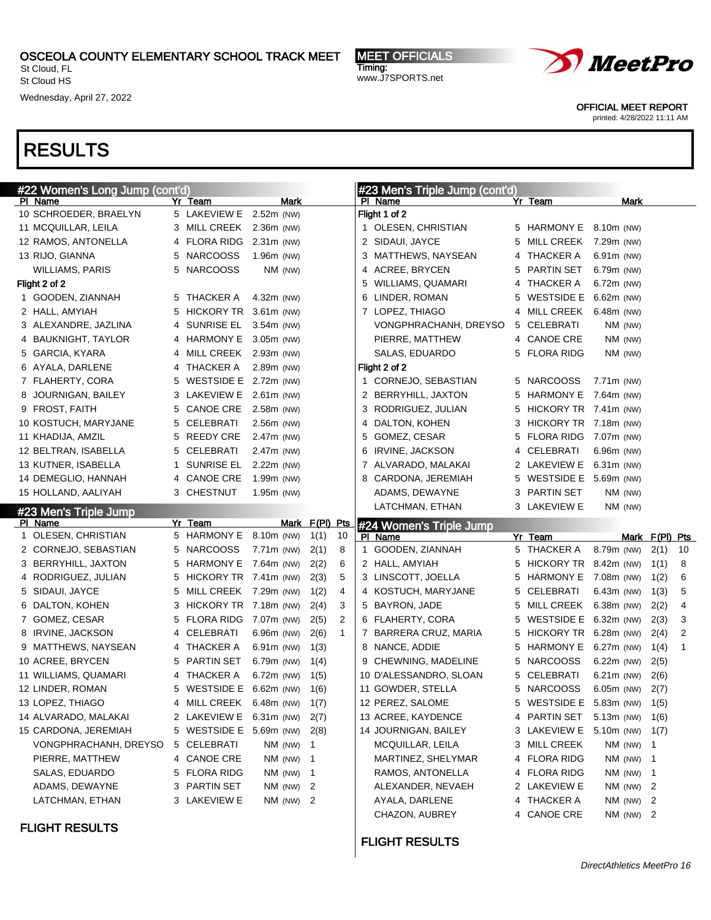St Cloud, FL St Cloud HS

Wednesday, April 27, 2022

MEET OFFICIALS Timing: www.J7SPORTS.net



OFFICIAL MEET REPORT

printed: 4/28/2022 11:11 AM

| #22 Women's Long Jump (cont'd) |   |                         |               |                |              | #23 Men's Triple Jump (cont'd) |    |                              |                 |               |                |    |
|--------------------------------|---|-------------------------|---------------|----------------|--------------|--------------------------------|----|------------------------------|-----------------|---------------|----------------|----|
| PI Name                        |   | Yr Team                 | Mark          |                |              | PI Name                        |    | Yr Team                      |                 | Mark          |                |    |
| 10 SCHROEDER, BRAELYN          |   | 5 LAKEVIEW E            | 2.52m (NW)    |                |              | Flight 1 of 2                  |    |                              |                 |               |                |    |
| 11 MCQUILLAR, LEILA            |   | 3 MILL CREEK 2.36m (NW) |               |                |              | 1 OLESEN, CHRISTIAN            |    | 5 HARMONY E 8.10m (NW)       |                 |               |                |    |
| 12 RAMOS, ANTONELLA            | 4 | <b>FLORA RIDG</b>       | $2.31m$ (NW)  |                |              | 2 SIDAUI, JAYCE                | 5  | MILL CREEK                   | 7.29m (NW)      |               |                |    |
| 13 RIJO, GIANNA                | 5 | <b>NARCOOSS</b>         | 1.96m (NW)    |                |              | 3 MATTHEWS, NAYSEAN            |    | 4 THACKER A                  | $6.91m$ (NW)    |               |                |    |
| <b>WILLIAMS, PARIS</b>         | 5 | <b>NARCOOSS</b>         | NM (NW)       |                |              | 4 ACREE, BRYCEN                | 5  | <b>PARTIN SET</b>            | 6.79m (NW)      |               |                |    |
| Flight 2 of 2                  |   |                         |               |                |              | 5 WILLIAMS, QUAMARI            |    | 4 THACKER A                  | 6.72m (NW)      |               |                |    |
| 1 GOODEN, ZIANNAH              |   | 5 THACKER A             | 4.32m (NW)    |                |              | 6 LINDER, ROMAN                | 5  | WESTSIDE E 6.62m (NW)        |                 |               |                |    |
| 2 HALL, AMYIAH                 | 5 | HICKORY TR 3.61m (NW)   |               |                |              | 7 LOPEZ, THIAGO                |    | 4 MILL CREEK                 | $6.48m$ (NW)    |               |                |    |
| 3 ALEXANDRE, JAZLINA           | 4 | <b>SUNRISE EL</b>       | $3.54m$ (NW)  |                |              | VONGPHRACHANH, DREYSO          |    | 5 CELEBRATI                  |                 | NM (NW)       |                |    |
| 4 BAUKNIGHT, TAYLOR            | 4 | HARMONY E               | $3.05m$ (NW)  |                |              | PIERRE, MATTHEW                |    | 4 CANOE CRE                  |                 | NM (NW)       |                |    |
| 5 GARCIA, KYARA                | 4 | <b>MILL CREEK</b>       | $2.93m$ (NW)  |                |              | SALAS, EDUARDO                 |    | 5 FLORA RIDG                 |                 | NM (NW)       |                |    |
| 6 AYALA, DARLENE               | 4 | THACKER A               | 2.89m (NW)    |                |              | Flight 2 of 2                  |    |                              |                 |               |                |    |
| 7 FLAHERTY, CORA               | 5 | WESTSIDE E 2.72m (NW)   |               |                |              | 1 CORNEJO, SEBASTIAN           |    | 5 NARCOOSS                   | $7.71m$ (NW)    |               |                |    |
| 8 JOURNIGAN, BAILEY            | 3 | LAKEVIEW E              | $2.61m$ (NW)  |                |              | 2 BERRYHILL, JAXTON            | 5  | HARMONY E                    | 7.64m (NW)      |               |                |    |
| 9 FROST, FAITH                 | 5 | <b>CANOE CRE</b>        | 2.58m (NW)    |                |              | 3 RODRIGUEZ, JULIAN            | 5  | HICKORY TR 7.41m (NW)        |                 |               |                |    |
| 10 KOSTUCH, MARYJANE           | 5 | CELEBRATI               | 2.56m (NW)    |                |              | 4 DALTON, KOHEN                | 3. | HICKORY TR 7.18m (NW)        |                 |               |                |    |
| 11 KHADIJA, AMZIL              | 5 | <b>REEDY CRE</b>        | 2.47m (NW)    |                |              | 5 GOMEZ, CESAR                 | 5  | FLORA RIDG 7.07m (NW)        |                 |               |                |    |
| 12 BELTRAN, ISABELLA           | 5 | CELEBRATI               | 2.47m (NW)    |                |              | 6 IRVINE, JACKSON              |    | 4 CELEBRATI                  | 6.96m (NW)      |               |                |    |
| 13 KUTNER, ISABELLA            | 1 | <b>SUNRISE EL</b>       | 2.22m (NW)    |                |              | 7 ALVARADO, MALAKAI            |    | 2 LAKEVIEW E                 | $6.31m$ (NW)    |               |                |    |
| 14 DEMEGLIO, HANNAH            | 4 | <b>CANOE CRE</b>        | 1.99m (NW)    |                |              | 8 CARDONA, JEREMIAH            |    | 5 WESTSIDE E 5.69m (NW)      |                 |               |                |    |
| 15 HOLLAND, AALIYAH            |   | 3 CHESTNUT              | 1.95m (NW)    |                |              | ADAMS, DEWAYNE                 |    | 3 PARTIN SET                 |                 | NM (NW)       |                |    |
| #23 Men's Triple Jump          |   |                         |               |                |              | LATCHMAN, ETHAN                |    | 3 LAKEVIEW E                 |                 | NM (NW)       |                |    |
| PI Name                        |   | Yr Team                 |               | Mark F(PI) Pts |              | #24 Women's Triple Jump        |    |                              |                 |               |                |    |
|                                |   |                         |               |                | 10           | PI Name                        |    | Yr Team                      |                 |               | Mark F(PI) Pts |    |
| 1 OLESEN, CHRISTIAN            |   | 5 HARMONY E             | 8.10m (NW)    | 1(1)           |              |                                |    |                              |                 |               |                |    |
| 2 CORNEJO, SEBASTIAN           | 5 | <b>NARCOOSS</b>         | 7.71m (NW)    | 2(1)           | 8            | 1 GOODEN, ZIANNAH              |    | 5 THACKER A                  | 8.79m (NW)      |               | 2(1)           | 10 |
| 3 BERRYHILL, JAXTON            | 5 | HARMONY E               | 7.64m (NW)    | 2(2)           | 6            | 2 HALL, AMYIAH                 | 5  | HICKORY TR 8.42m (NW)        |                 |               | 1(1)           | 8  |
| 4 RODRIGUEZ, JULIAN            | 5 | HICKORY TR 7.41m (NW)   |               | 2(3)           | 5            | 3 LINSCOTT, JOELLA             | 5  | HARMONY E                    | 7.08m (NW)      |               | 1(2)           | 6  |
| 5 SIDAUI, JAYCE                | 5 | MILL CREEK 7.29m (NW)   |               | 1(2)           | 4            | 4 KOSTUCH, MARYJANE            |    | 5 CELEBRATI                  | $6.43m$ (NW)    |               | 1(3)           | 5  |
| 6 DALTON, KOHEN                | 3 | HICKORY TR 7.18m (NW)   |               | 2(4)           | 3            | 5 BAYRON, JADE                 | 5  | MILL CREEK                   | 6.38m (NW)      |               | 2(2)           | 4  |
| 7 GOMEZ, CESAR                 | 5 | <b>FLORA RIDG</b>       | 7.07m (NW)    | 2(5)           | 2            | 6 FLAHERTY, CORA               | 5  | WESTSIDE E 6.32m (NW)        |                 |               | 2(3)           | 3  |
| 8 IRVINE, JACKSON              | 4 | CELEBRATI               | 6.96m (NW)    | 2(6)           | $\mathbf{1}$ | 7 BARRERA CRUZ, MARIA          | 5  | HICKORY TR 6.28m (NW)        |                 |               | 2(4)           | 2  |
| 9 MATTHEWS, NAYSEAN            |   | 4 THACKER A             | $6.91m$ (NW)  | 1(3)           |              | 8 NANCE, ADDIE                 | 5  | <b>HARMONY E</b>             | 6.27m (NW)      |               | 1(4)           | 1  |
| 10 ACREE, BRYCEN               | 5 | PARTIN SET              | 6.79m (NW)    | 1(4)           |              | 9 CHEWNING, MADELINE           | 5  | <b>NARCOOSS</b>              | 6.22m (NW)      |               | 2(5)           |    |
| 11 WILLIAMS, QUAMARI           |   | 4 THACKER A             | $6.72m$ (NW)  | 1(5)           |              | 10 D'ALESSANDRO, SLOAN         |    | 5 CELEBRATI                  | 6.21m (NW)      |               | 2(6)           |    |
| 12 LINDER, ROMAN               | 5 | WESTSIDE E 6.62m (NW)   |               | 1(6)           |              | 11 GOWDER, STELLA              |    | 5 NARCOOSS                   | $6.05m$ (NW)    |               | 2(7)           |    |
| 13 LOPEZ, THIAGO               |   | 4 MILL CREEK 6.48m (NW) |               | 1(7)           |              | 12 PEREZ, SALOME               |    | 5 WESTSIDE E 5.83m (NW) 1(5) |                 |               |                |    |
| 14 ALVARADO, MALAKAI           |   | 2 LAKEVIEW E 6.31m (NW) |               | 2(7)           |              | 13 ACREE, KAYDENCE             |    | 4 PARTIN SET 5.13m (NW) 1(6) |                 |               |                |    |
| 15 CARDONA, JEREMIAH           |   | 5 WESTSIDE E 5.69m (NW) |               | 2(8)           |              | 14 JOURNIGAN, BAILEY           |    | 3 LAKEVIEW E                 | 5.10m (NW) 1(7) |               |                |    |
| VONGPHRACHANH, DREYSO          |   | 5 CELEBRATI             | $NM$ (NW) 1   |                |              | MCQUILLAR, LEILA               |    | 3 MILL CREEK                 |                 | NM (NW) 1     |                |    |
| PIERRE, MATTHEW                |   | 4 CANOE CRE             | NM (NW) 1     |                |              | MARTINEZ, SHELYMAR             |    | 4 FLORA RIDG                 |                 | NM (NW) 1     |                |    |
| SALAS, EDUARDO                 |   | 5 FLORA RIDG            | NM (NW) 1     |                |              | RAMOS, ANTONELLA               |    | 4 FLORA RIDG                 |                 | NM (NW) 1     |                |    |
| ADAMS, DEWAYNE                 |   | 3 PARTIN SET            | $NM$ (NW) $2$ |                |              | ALEXANDER, NEVAEH              |    | 2 LAKEVIEW E                 |                 | NM (NW) 2     |                |    |
| LATCHMAN, ETHAN                |   | 3 LAKEVIEW E            | NM (NW) 2     |                |              | AYALA, DARLENE                 |    | 4 THACKER A                  |                 | $NM$ (NW) $2$ |                |    |
| <b>FLIGHT RESULTS</b>          |   |                         |               |                |              | CHAZON, AUBREY                 |    | 4 CANOE CRE                  |                 | $NM$ (NW) $2$ |                |    |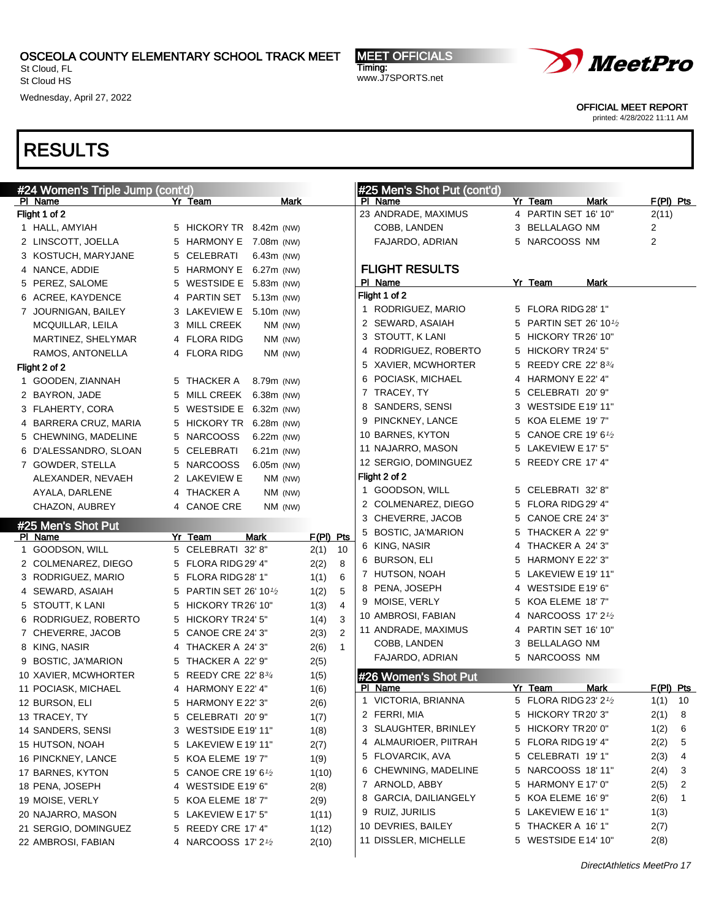St Cloud, FL St Cloud HS

Wednesday, April 27, 2022

MEET OFFICIALS Timing: www.J7SPORTS.net



OFFICIAL MEET REPORT

printed: 4/28/2022 11:11 AM

| #24 Women's Triple Jump (cont'd) |   |                                       |             |              |                | #25 Men's Shot Put (cont'd)       |   |                                 |             |                      |
|----------------------------------|---|---------------------------------------|-------------|--------------|----------------|-----------------------------------|---|---------------------------------|-------------|----------------------|
| PI Name<br>Flight 1 of 2         |   | Yr Team                               | <b>Mark</b> |              |                | PI Name<br>23 ANDRADE, MAXIMUS    |   | Yr Team<br>4 PARTIN SET 16' 10" | <b>Mark</b> | $F(PI)$ Pts<br>2(11) |
| 1 HALL, AMYIAH                   |   | 5 HICKORY TR 8.42m (NW)               |             |              |                | COBB, LANDEN                      |   | 3 BELLALAGO NM                  |             | 2                    |
| 2 LINSCOTT, JOELLA               |   | 5 HARMONY E 7.08m (NW)                |             |              |                | FAJARDO, ADRIAN                   |   | 5 NARCOOSS NM                   |             | 2                    |
| 3 KOSTUCH, MARYJANE              |   | 5 CELEBRATI<br>6.43m (NW)             |             |              |                |                                   |   |                                 |             |                      |
| 4 NANCE, ADDIE                   |   | 5 HARMONY E 6.27m (NW)                |             |              |                | <b>FLIGHT RESULTS</b>             |   |                                 |             |                      |
| 5 PEREZ, SALOME                  |   | 5 WESTSIDE E 5.83m (NW)               |             |              |                | PI Name                           |   | Yr Team                         | Mark        |                      |
| 6 ACREE, KAYDENCE                |   | 4 PARTIN SET<br>5.13m (NW)            |             |              |                | Flight 1 of 2                     |   |                                 |             |                      |
| 7 JOURNIGAN, BAILEY              |   | 3 LAKEVIEW E 5.10m (NW)               |             |              |                | 1 RODRIGUEZ, MARIO                |   | 5 FLORA RIDG 28' 1"             |             |                      |
| MCQUILLAR, LEILA                 |   | 3 MILL CREEK                          | NM (NW)     |              |                | 2 SEWARD, ASAIAH                  |   | 5 PARTIN SET 26' 101/2          |             |                      |
| MARTINEZ, SHELYMAR               |   | 4 FLORA RIDG                          | NM (NW)     |              |                | 3 STOUTT, K LANI                  |   | 5 HICKORY TR26' 10"             |             |                      |
| RAMOS, ANTONELLA                 |   | 4 FLORA RIDG                          | $NM$ (NW)   |              |                | 4 RODRIGUEZ, ROBERTO              |   | 5 HICKORY TR24' 5"              |             |                      |
| Flight 2 of 2                    |   |                                       |             |              |                | 5 XAVIER, MCWHORTER               |   | 5 REEDY CRE 22' 83/4            |             |                      |
| 1 GOODEN, ZIANNAH                |   | 5 THACKER A<br>8.79m (NW)             |             |              |                | 6 POCIASK, MICHAEL                |   | 4 HARMONY E 22' 4"              |             |                      |
| 2 BAYRON, JADE                   |   | 5 MILL CREEK<br>$6.38m$ (NW)          |             |              |                | 7 TRACEY, TY                      |   | 5 CELEBRATI 20' 9"              |             |                      |
| 3 FLAHERTY, CORA                 |   | 5 WESTSIDE E 6.32m (NW)               |             |              |                | 8 SANDERS, SENSI                  |   | 3 WESTSIDE E19' 11"             |             |                      |
| 4 BARRERA CRUZ, MARIA            |   | 5 HICKORY TR 6.28m (NW)               |             |              |                | 9 PINCKNEY, LANCE                 |   | 5 KOA ELEME 19' 7"              |             |                      |
| 5 CHEWNING, MADELINE             |   | 5 NARCOOSS<br>$6.22m$ (NW)            |             |              |                | 10 BARNES, KYTON                  | 5 | CANOE CRE 19' 6 $1/2$           |             |                      |
| 6 D'ALESSANDRO, SLOAN            | 5 | CELEBRATI<br>6.21m (NW)               |             |              |                | 11 NAJARRO, MASON                 |   | 5 LAKEVIEW E 17' 5"             |             |                      |
| 7 GOWDER, STELLA                 |   | 5 NARCOOSS<br>6.05m (NW)              |             |              |                | 12 SERGIO, DOMINGUEZ              |   | 5 REEDY CRE 17' 4"              |             |                      |
| ALEXANDER, NEVAEH                |   | 2 LAKEVIEW E                          | NM (NW)     |              |                | Flight 2 of 2                     |   |                                 |             |                      |
| AYALA, DARLENE                   |   | 4 THACKER A                           | NM (NW)     |              |                | 1 GOODSON, WILL                   |   | 5 CELEBRATI 32'8"               |             |                      |
| CHAZON, AUBREY                   |   | 4 CANOE CRE                           | NM (NW)     |              |                | 2 COLMENAREZ, DIEGO               |   | 5 FLORA RIDG 29' 4"             |             |                      |
|                                  |   |                                       |             |              |                | 3 CHEVERRE, JACOB                 | 5 | CANOE CRE 24' 3"                |             |                      |
|                                  |   |                                       |             |              |                |                                   |   |                                 |             |                      |
| #25 Men's Shot Put               |   |                                       |             |              |                | 5 BOSTIC, JA'MARION               | 5 | THACKER A 22' 9"                |             |                      |
| PI Name<br>1 GOODSON, WILL       |   | Yr Team<br>Mark<br>5 CELEBRATI 32' 8" |             | F(PI) Pts    | 10             | 6 KING, NASIR                     |   | 4 THACKER A 24' 3"              |             |                      |
| 2 COLMENAREZ, DIEGO              | 5 | FLORA RIDG 29' 4"                     |             | 2(1)<br>2(2) | 8              | 6 BURSON, ELI                     |   | 5 HARMONY E 22' 3"              |             |                      |
| 3 RODRIGUEZ, MARIO               | 5 | FLORA RIDG 28' 1"                     |             | 1(1)         | 6              | 7 HUTSON, NOAH                    |   | 5 LAKEVIEW E 19' 11"            |             |                      |
| 4 SEWARD, ASAIAH                 | 5 | <b>PARTIN SET 26' 101/2</b>           |             | 1(2)         | 5              | 8 PENA, JOSEPH                    |   | 4 WESTSIDE E19' 6"              |             |                      |
| 5 STOUTT, K LANI                 | 5 | HICKORY TR26' 10"                     |             | 1(3)         | $\overline{4}$ | 9 MOISE, VERLY                    |   | 5 KOA ELEME 18' 7"              |             |                      |
| 6 RODRIGUEZ, ROBERTO             | 5 | HICKORY TR24' 5"                      |             | 1(4)         | 3              | 10 AMBROSI, FABIAN                |   | 4 NARCOOSS 17' 21/2             |             |                      |
| 7 CHEVERRE, JACOB                | 5 | CANOE CRE 24' 3"                      |             | 2(3)         | 2              | 11 ANDRADE, MAXIMUS               |   | 4 PARTIN SET 16' 10"            |             |                      |
| 8 KING, NASIR                    | 4 | THACKER A 24' 3"                      |             | 2(6)         | $\mathbf{1}$   | COBB, LANDEN                      |   | 3 BELLALAGO NM                  |             |                      |
| 9 BOSTIC, JA'MARION              | 5 | THACKER A 22' 9"                      |             | 2(5)         |                | FAJARDO, ADRIAN                   |   | 5 NARCOOSS NM                   |             |                      |
| 10 XAVIER, MCWHORTER             |   | 5 REEDY CRE 22' 834                   |             | 1(5)         |                | #26 Women's Shot Put              |   |                                 |             |                      |
| 11 POCIASK, MICHAEL              |   | 4 HARMONY E 22' 4"                    |             | 1(6)         |                | PI Name                           |   | Yr Team                         | Mark        | $F(PI)$ Pts          |
| 12 BURSON, ELI                   |   | 5 HARMONY E 22' 3"                    |             | 2(6)         |                | $\mathbf{1}$<br>VICTORIA, BRIANNA |   | 5 FLORA RIDG 23' 21/2           |             | 1(1) 10              |
| 13 TRACEY, TY                    |   | 5 CELEBRATI 20' 9"                    |             | 1(7)         |                | 2 FERRI, MIA                      |   | 5 HICKORY TR20'3"               |             | 2(1)<br>8            |
| 14 SANDERS, SENSI                |   | 3 WESTSIDE E19' 11"                   |             | 1(8)         |                | 3 SLAUGHTER, BRINLEY              |   | 5 HICKORY TR20' 0"              |             | 1(2)<br>6            |
| 15 HUTSON, NOAH                  |   | 5 LAKEVIEW E 19' 11"                  |             | 2(7)         |                | 4 ALMAURIOER, PIITRAH             |   | 5 FLORA RIDG 19' 4"             |             | 2(2)<br>5            |
| 16 PINCKNEY, LANCE               |   | 5 KOA ELEME 19' 7"                    |             | 1(9)         |                | 5 FLOVARCIK, AVA                  |   | 5 CELEBRATI 19'1"               |             | 2(3)<br>4            |
| 17 BARNES, KYTON                 | 5 | CANOE CRE 19' 6 $1/2$                 |             | 1(10)        |                | 6 CHEWNING, MADELINE              |   | 5 NARCOOSS 18'11"               |             | 2(4)<br>3            |
| 18 PENA, JOSEPH                  | 4 | WESTSIDE E19' 6"                      |             | 2(8)         |                | 7 ARNOLD, ABBY                    |   | 5 HARMONY E 17' 0"              |             | 2(5)<br>2            |
| 19 MOISE, VERLY                  | 5 | KOA ELEME 18'7"                       |             | 2(9)         |                | 8 GARCIA, DAILIANGELY             |   | 5 KOA ELEME 16' 9"              |             | 2(6)<br>1            |
| 20 NAJARRO, MASON                | 5 | LAKEVIEW E 17' 5"                     |             | 1(11)        |                | 9 RUIZ, JURILIS                   |   | 5 LAKEVIEW E 16' 1"             |             | 1(3)                 |
| 21 SERGIO, DOMINGUEZ             |   | 5 REEDY CRE 17' 4"                    |             | 1(12)        |                | 10 DEVRIES, BAILEY                |   | 5 THACKER A 16' 1"              |             | 2(7)                 |
| 22 AMBROSI, FABIAN               |   | 4 NARCOOSS 17' 21/2                   |             | 2(10)        |                | 11 DISSLER, MICHELLE              |   | 5 WESTSIDE E14' 10"             |             | 2(8)                 |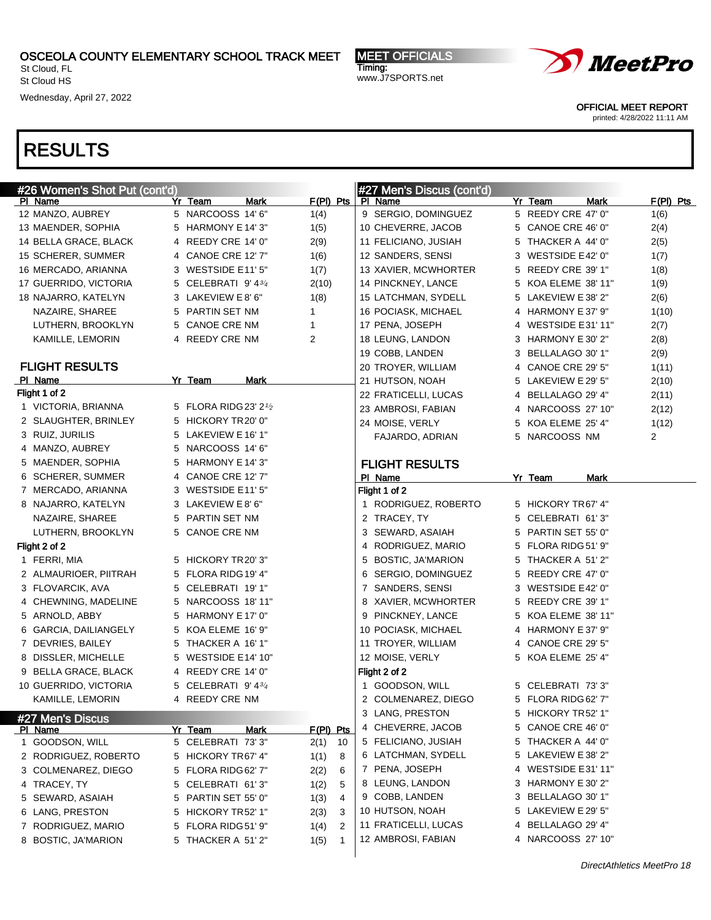St Cloud, FL St Cloud HS

Wednesday, April 27, 2022

MEET OFFICIALS Timing: www.J7SPORTS.net



OFFICIAL MEET REPORT

printed: 4/28/2022 11:11 AM

| #26 Women's Shot Put (cont'd)     |                                        |                           | #27 Men's Discus (cont'd) |         |                     |      |             |
|-----------------------------------|----------------------------------------|---------------------------|---------------------------|---------|---------------------|------|-------------|
| PI Name                           | Yr Team                                | $F(PI)$ Pts<br>Mark       | PI Name                   | Yr Team |                     | Mark | $F(PI)$ Pts |
| 12 MANZO, AUBREY                  | 5 NARCOOSS 14' 6"                      | 1(4)                      | 9 SERGIO, DOMINGUEZ       |         | 5 REEDY CRE 47' 0"  |      | 1(6)        |
| 13 MAENDER, SOPHIA                | HARMONY E 14' 3"<br>5                  | 1(5)                      | 10 CHEVERRE, JACOB        |         | 5 CANOE CRE 46' 0"  |      | 2(4)        |
| 14 BELLA GRACE, BLACK             | 4 REEDY CRE 14' 0"                     | 2(9)                      | 11 FELICIANO, JUSIAH      |         | 5 THACKER A 44' 0"  |      | 2(5)        |
| 15 SCHERER, SUMMER                | CANOE CRE 12' 7"<br>4                  | 1(6)                      | 12 SANDERS, SENSI         |         | 3 WESTSIDE E42' 0"  |      | 1(7)        |
| 16 MERCADO, ARIANNA               | WESTSIDE E11'5"<br>3                   | 1(7)                      | 13 XAVIER, MCWHORTER      |         | 5 REEDY CRE 39' 1"  |      | 1(8)        |
| 17 GUERRIDO, VICTORIA             | CELEBRATI 9' 43/4<br>5                 | 2(10)                     | 14 PINCKNEY, LANCE        |         | 5 KOA ELEME 38' 11" |      | 1(9)        |
| 18 NAJARRO, KATELYN               | 3 LAKEVIEW E 8' 6"                     | 1(8)                      | 15 LATCHMAN, SYDELL       |         | 5 LAKEVIEW E 38' 2" |      | 2(6)        |
| NAZAIRE, SHAREE                   | PARTIN SET NM<br>5                     | 1                         | 16 POCIASK, MICHAEL       |         | 4 HARMONY E 37' 9"  |      | 1(10)       |
| LUTHERN, BROOKLYN                 | <b>CANOE CRE NM</b><br>5               | 1                         | 17 PENA, JOSEPH           |         | 4 WESTSIDE E31' 11" |      | 2(7)        |
| KAMILLE, LEMORIN                  | REEDY CRE NM<br>4                      | $\overline{2}$            | 18 LEUNG, LANDON          |         | 3 HARMONY E 30' 2"  |      | 2(8)        |
|                                   |                                        |                           | 19 COBB, LANDEN           |         | 3 BELLALAGO 30' 1"  |      | 2(9)        |
| <b>FLIGHT RESULTS</b>             |                                        |                           | 20 TROYER, WILLIAM        |         | 4 CANOE CRE 29' 5"  |      | 1(11)       |
| PI Name                           | Yr Team                                | Mark                      | 21 HUTSON, NOAH           |         | 5 LAKEVIEW E 29' 5" |      | 2(10)       |
| Flight 1 of 2                     |                                        |                           | 22 FRATICELLI, LUCAS      |         | 4 BELLALAGO 29' 4"  |      | 2(11)       |
| 1 VICTORIA, BRIANNA               | 5 FLORA RIDG 23' 21/2                  |                           | 23 AMBROSI, FABIAN        |         | 4 NARCOOSS 27' 10"  |      | 2(12)       |
| 2 SLAUGHTER, BRINLEY              | 5 HICKORY TR20' 0"                     |                           | 24 MOISE, VERLY           |         | 5 KOA ELEME 25' 4"  |      | 1(12)       |
| 3 RUIZ, JURILIS                   | 5 LAKEVIEW E 16' 1"                    |                           | FAJARDO, ADRIAN           |         | 5 NARCOOSS NM       |      | 2           |
| 4 MANZO, AUBREY                   | 5 NARCOOSS 14' 6"                      |                           |                           |         |                     |      |             |
| 5 MAENDER, SOPHIA                 | HARMONY E 14' 3"<br>5                  |                           | <b>FLIGHT RESULTS</b>     |         |                     |      |             |
| 6 SCHERER, SUMMER                 | CANOE CRE 12' 7"<br>4                  |                           | PI Name                   | Yr_Team |                     | Mark |             |
| 7 MERCADO, ARIANNA                | 3 WESTSIDE E11'5"                      |                           | Flight 1 of 2             |         |                     |      |             |
| 8 NAJARRO, KATELYN                | 3 LAKEVIEW E 8' 6"                     |                           | 1 RODRIGUEZ, ROBERTO      |         | 5 HICKORY TR67' 4"  |      |             |
| NAZAIRE, SHAREE                   | 5 PARTIN SET NM                        |                           | 2 TRACEY, TY              |         | 5 CELEBRATI 61'3"   |      |             |
| LUTHERN, BROOKLYN                 | 5 CANOE CRE NM                         |                           | 3 SEWARD, ASAIAH          |         | 5 PARTIN SET 55' 0" |      |             |
| Flight 2 of 2                     |                                        |                           | 4 RODRIGUEZ, MARIO        |         | 5 FLORA RIDG 51' 9" |      |             |
| 1 FERRI, MIA                      | 5 HICKORY TR20' 3"                     |                           | 5 BOSTIC, JA'MARION       |         | 5 THACKER A 51'2"   |      |             |
| 2 ALMAURIOER, PIITRAH             | 5 FLORA RIDG 19' 4"                    |                           | 6 SERGIO, DOMINGUEZ       |         | 5 REEDY CRE 47' 0"  |      |             |
| 3 FLOVARCIK, AVA                  | 5 CELEBRATI 19'1"                      |                           | 7 SANDERS, SENSI          |         | 3 WESTSIDE E42' 0"  |      |             |
| 4 CHEWNING, MADELINE              | 5 NARCOOSS 18' 11"                     |                           | 8 XAVIER, MCWHORTER       |         | 5 REEDY CRE 39' 1"  |      |             |
| 5 ARNOLD, ABBY                    | 5 HARMONY E 17' 0"                     |                           | 9 PINCKNEY, LANCE         |         | 5 KOA ELEME 38' 11" |      |             |
| 6 GARCIA, DAILIANGELY             | 5 KOA ELEME 16' 9"                     |                           | 10 POCIASK, MICHAEL       |         | 4 HARMONY E 37' 9"  |      |             |
| 7 DEVRIES, BAILEY                 | 5 THACKER A 16' 1"                     |                           | 11 TROYER, WILLIAM        |         | 4 CANOE CRE 29' 5"  |      |             |
| 8 DISSLER, MICHELLE               | 5 WESTSIDE E14' 10"                    |                           | 12 MOISE, VERLY           |         | 5 KOA ELEME 25' 4"  |      |             |
| 9 BELLA GRACE, BLACK              | 4 REEDY CRE 14' 0"                     |                           | Flight 2 of 2             |         |                     |      |             |
| 10 GUERRIDO, VICTORIA             | 5 CELEBRATI 9' 43/4                    |                           | 1 GOODSON, WILL           |         | 5 CELEBRATI 73'3"   |      |             |
| KAMILLE, LEMORIN                  | 4 REEDY CRE NM                         |                           | 2 COLMENAREZ, DIEGO       |         | 5 FLORA RIDG 62' 7" |      |             |
|                                   |                                        |                           | 3 LANG, PRESTON           |         | 5 HICKORY TR52' 1"  |      |             |
| #27 Men's Discus                  |                                        | F(PI) Pts                 | 4 CHEVERRE, JACOB         |         | 5 CANOE CRE 46' 0"  |      |             |
| <b>PI Name</b><br>1 GOODSON, WILL | Yr Team<br>5 CELEBRATI 73'3"           | <b>Mark</b><br>2(1)<br>10 | 5 FELICIANO, JUSIAH       |         | 5 THACKER A 44' 0"  |      |             |
| 2 RODRIGUEZ, ROBERTO              | 5 HICKORY TR67' 4"                     |                           | 6 LATCHMAN, SYDELL        |         | 5 LAKEVIEW E 38' 2" |      |             |
|                                   |                                        | 1(1)<br>8                 | 7 PENA, JOSEPH            |         | 4 WESTSIDE E31'11"  |      |             |
| 3 COLMENAREZ, DIEGO               | 5 FLORA RIDG 62' 7"<br>CELEBRATI 61'3" | 2(2)<br>6                 | 8 LEUNG, LANDON           |         | 3 HARMONY E 30' 2"  |      |             |
| 4 TRACEY, TY                      | 5                                      | 1(2)<br>5                 | 9 COBB, LANDEN            |         | 3 BELLALAGO 30' 1"  |      |             |
| 5 SEWARD, ASAIAH                  | PARTIN SET 55' 0"<br>5                 | 1(3)<br>4                 | 10 HUTSON, NOAH           |         | 5 LAKEVIEW E 29' 5" |      |             |
| 6 LANG, PRESTON                   | HICKORY TR52' 1"<br>5                  | 2(3)<br>3                 | 11 FRATICELLI, LUCAS      |         | 4 BELLALAGO 29' 4"  |      |             |
| 7 RODRIGUEZ, MARIO                | FLORA RIDG 51' 9"<br>5                 | 1(4)<br>2                 | 12 AMBROSI, FABIAN        |         | 4 NARCOOSS 27' 10"  |      |             |
| 8 BOSTIC, JA'MARION               | THACKER A 51'2"<br>5                   | 1(5)<br>1                 |                           |         |                     |      |             |